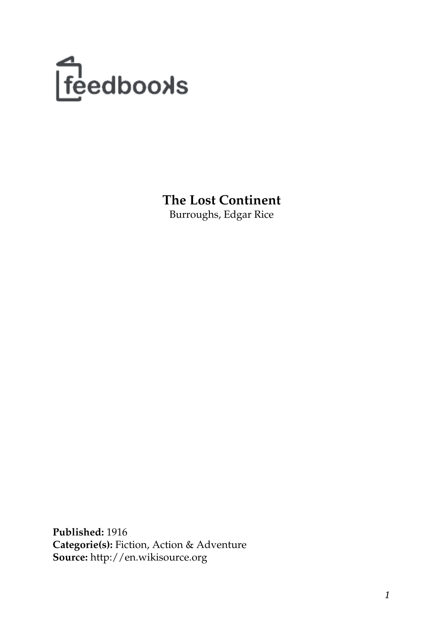

**The Lost Continent** Burroughs, Edgar Rice

**Published:** 1916 **Categorie(s):** Fiction, Action & Adventure **Source:** http://en.wikisource.org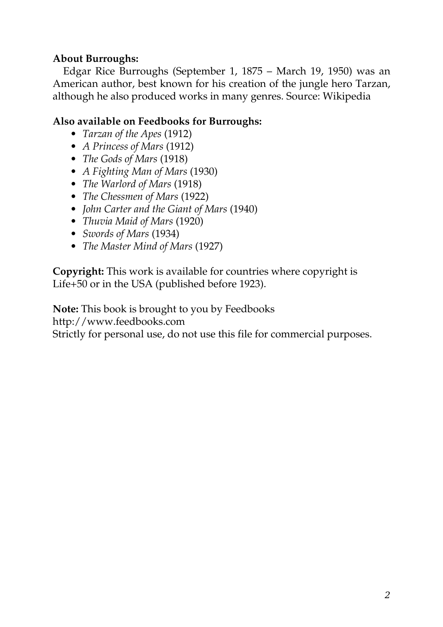#### **About Burroughs:**

Edgar Rice Burroughs (September 1, 1875 – March 19, 1950) was an American author, best known for his creation of the jungle hero Tarzan, although he also produced works in many genres. Source: Wikipedia

#### **Also available on Feedbooks for Burroughs:**

- *[Tarzan of the Apes](http://generation.feedbooks.com/book/69.pdf)* (1912)
- *[A Princess of Mars](http://generation.feedbooks.com/book/80.pdf)* (1912)
- *[The Gods of Mars](http://generation.feedbooks.com/book/163.pdf)* (1918)
- *[A Fighting Man of Mars](http://generation.feedbooks.com/book/1214.pdf)* (1930)
- *[The Warlord of Mars](http://generation.feedbooks.com/book/189.pdf)* (1918)
- *[The Chessmen of Mars](http://generation.feedbooks.com/book/438.pdf)* (1922)
- *[John Carter and the Giant of Mars](http://generation.feedbooks.com/book/1217.pdf)* (1940)
- *[Thuvia Maid of Mars](http://generation.feedbooks.com/book/437.pdf)* (1920)
- *[Swords of Mars](http://generation.feedbooks.com/book/1215.pdf)* (1934)
- *[The Master Mind of Mars](http://generation.feedbooks.com/book/1213.pdf)* (1927)

**Copyright:** This work is available for countries where copyright is [Life+50](http://en.wikisource.org/wiki/Help:Public_domain#Copyright_terms_by_country) or in the USA (published before 1923).

**Note:** This book is brought to you by Feedbooks

<http://www.feedbooks.com>

Strictly for personal use, do not use this file for commercial purposes.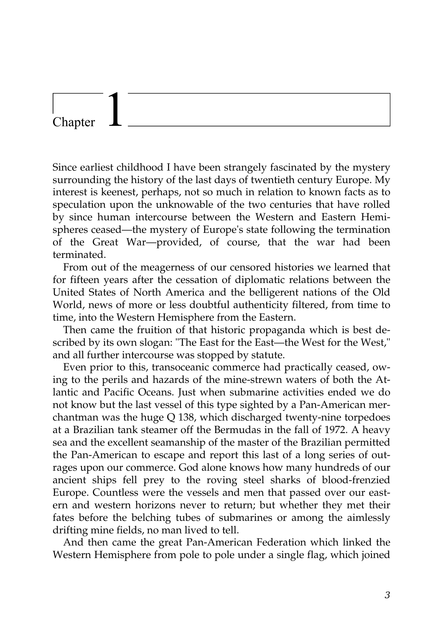### Chapter

Since earliest childhood I have been strangely fascinated by the mystery surrounding the history of the last days of twentieth century Europe. My interest is keenest, perhaps, not so much in relation to known facts as to speculation upon the unknowable of the two centuries that have rolled by since human intercourse between the Western and Eastern Hemispheres ceased—the mystery of Europe's state following the termination of the Great War—provided, of course, that the war had been terminated.

From out of the meagerness of our censored histories we learned that for fifteen years after the cessation of diplomatic relations between the United States of North America and the belligerent nations of the Old World, news of more or less doubtful authenticity filtered, from time to time, into the Western Hemisphere from the Eastern.

Then came the fruition of that historic propaganda which is best described by its own slogan: "The East for the East—the West for the West," and all further intercourse was stopped by statute.

Even prior to this, transoceanic commerce had practically ceased, owing to the perils and hazards of the mine-strewn waters of both the Atlantic and Pacific Oceans. Just when submarine activities ended we do not know but the last vessel of this type sighted by a Pan-American merchantman was the huge Q 138, which discharged twenty-nine torpedoes at a Brazilian tank steamer off the Bermudas in the fall of 1972. A heavy sea and the excellent seamanship of the master of the Brazilian permitted the Pan-American to escape and report this last of a long series of outrages upon our commerce. God alone knows how many hundreds of our ancient ships fell prey to the roving steel sharks of blood-frenzied Europe. Countless were the vessels and men that passed over our eastern and western horizons never to return; but whether they met their fates before the belching tubes of submarines or among the aimlessly drifting mine fields, no man lived to tell.

And then came the great Pan-American Federation which linked the Western Hemisphere from pole to pole under a single flag, which joined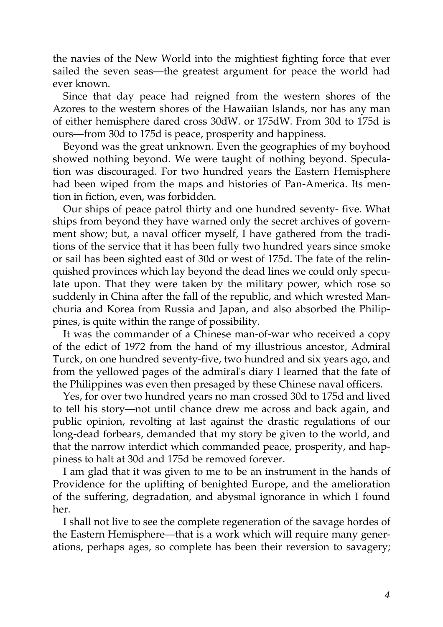the navies of the New World into the mightiest fighting force that ever sailed the seven seas—the greatest argument for peace the world had ever known.

Since that day peace had reigned from the western shores of the Azores to the western shores of the Hawaiian Islands, nor has any man of either hemisphere dared cross 30dW. or 175dW. From 30d to 175d is ours—from 30d to 175d is peace, prosperity and happiness.

Beyond was the great unknown. Even the geographies of my boyhood showed nothing beyond. We were taught of nothing beyond. Speculation was discouraged. For two hundred years the Eastern Hemisphere had been wiped from the maps and histories of Pan-America. Its mention in fiction, even, was forbidden.

Our ships of peace patrol thirty and one hundred seventy- five. What ships from beyond they have warned only the secret archives of government show; but, a naval officer myself, I have gathered from the traditions of the service that it has been fully two hundred years since smoke or sail has been sighted east of 30d or west of 175d. The fate of the relinquished provinces which lay beyond the dead lines we could only speculate upon. That they were taken by the military power, which rose so suddenly in China after the fall of the republic, and which wrested Manchuria and Korea from Russia and Japan, and also absorbed the Philippines, is quite within the range of possibility.

It was the commander of a Chinese man-of-war who received a copy of the edict of 1972 from the hand of my illustrious ancestor, Admiral Turck, on one hundred seventy-five, two hundred and six years ago, and from the yellowed pages of the admiral's diary I learned that the fate of the Philippines was even then presaged by these Chinese naval officers.

Yes, for over two hundred years no man crossed 30d to 175d and lived to tell his story—not until chance drew me across and back again, and public opinion, revolting at last against the drastic regulations of our long-dead forbears, demanded that my story be given to the world, and that the narrow interdict which commanded peace, prosperity, and happiness to halt at 30d and 175d be removed forever.

I am glad that it was given to me to be an instrument in the hands of Providence for the uplifting of benighted Europe, and the amelioration of the suffering, degradation, and abysmal ignorance in which I found her.

I shall not live to see the complete regeneration of the savage hordes of the Eastern Hemisphere—that is a work which will require many generations, perhaps ages, so complete has been their reversion to savagery;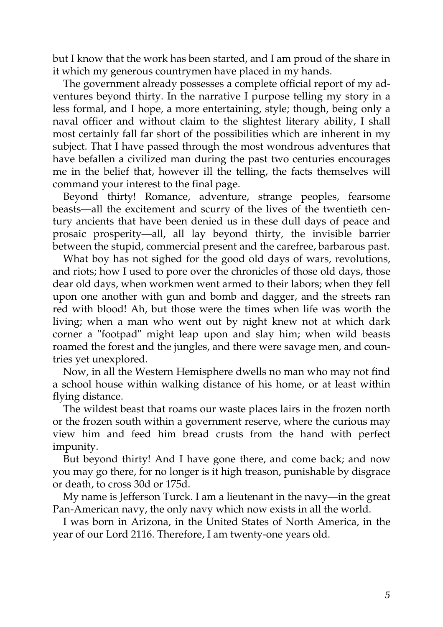but I know that the work has been started, and I am proud of the share in it which my generous countrymen have placed in my hands.

The government already possesses a complete official report of my adventures beyond thirty. In the narrative I purpose telling my story in a less formal, and I hope, a more entertaining, style; though, being only a naval officer and without claim to the slightest literary ability, I shall most certainly fall far short of the possibilities which are inherent in my subject. That I have passed through the most wondrous adventures that have befallen a civilized man during the past two centuries encourages me in the belief that, however ill the telling, the facts themselves will command your interest to the final page.

Beyond thirty! Romance, adventure, strange peoples, fearsome beasts—all the excitement and scurry of the lives of the twentieth century ancients that have been denied us in these dull days of peace and prosaic prosperity—all, all lay beyond thirty, the invisible barrier between the stupid, commercial present and the carefree, barbarous past.

What boy has not sighed for the good old days of wars, revolutions, and riots; how I used to pore over the chronicles of those old days, those dear old days, when workmen went armed to their labors; when they fell upon one another with gun and bomb and dagger, and the streets ran red with blood! Ah, but those were the times when life was worth the living; when a man who went out by night knew not at which dark corner a "footpad" might leap upon and slay him; when wild beasts roamed the forest and the jungles, and there were savage men, and countries yet unexplored.

Now, in all the Western Hemisphere dwells no man who may not find a school house within walking distance of his home, or at least within flying distance.

The wildest beast that roams our waste places lairs in the frozen north or the frozen south within a government reserve, where the curious may view him and feed him bread crusts from the hand with perfect impunity.

But beyond thirty! And I have gone there, and come back; and now you may go there, for no longer is it high treason, punishable by disgrace or death, to cross 30d or 175d.

My name is Jefferson Turck. I am a lieutenant in the navy—in the great Pan-American navy, the only navy which now exists in all the world.

I was born in Arizona, in the United States of North America, in the year of our Lord 2116. Therefore, I am twenty-one years old.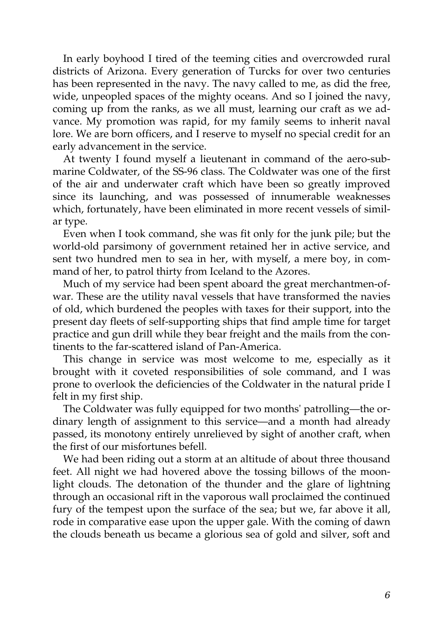In early boyhood I tired of the teeming cities and overcrowded rural districts of Arizona. Every generation of Turcks for over two centuries has been represented in the navy. The navy called to me, as did the free, wide, unpeopled spaces of the mighty oceans. And so I joined the navy, coming up from the ranks, as we all must, learning our craft as we advance. My promotion was rapid, for my family seems to inherit naval lore. We are born officers, and I reserve to myself no special credit for an early advancement in the service.

At twenty I found myself a lieutenant in command of the aero-submarine Coldwater, of the SS-96 class. The Coldwater was one of the first of the air and underwater craft which have been so greatly improved since its launching, and was possessed of innumerable weaknesses which, fortunately, have been eliminated in more recent vessels of similar type.

Even when I took command, she was fit only for the junk pile; but the world-old parsimony of government retained her in active service, and sent two hundred men to sea in her, with myself, a mere boy, in command of her, to patrol thirty from Iceland to the Azores.

Much of my service had been spent aboard the great merchantmen-ofwar. These are the utility naval vessels that have transformed the navies of old, which burdened the peoples with taxes for their support, into the present day fleets of self-supporting ships that find ample time for target practice and gun drill while they bear freight and the mails from the continents to the far-scattered island of Pan-America.

This change in service was most welcome to me, especially as it brought with it coveted responsibilities of sole command, and I was prone to overlook the deficiencies of the Coldwater in the natural pride I felt in my first ship.

The Coldwater was fully equipped for two months' patrolling—the ordinary length of assignment to this service—and a month had already passed, its monotony entirely unrelieved by sight of another craft, when the first of our misfortunes befell.

We had been riding out a storm at an altitude of about three thousand feet. All night we had hovered above the tossing billows of the moonlight clouds. The detonation of the thunder and the glare of lightning through an occasional rift in the vaporous wall proclaimed the continued fury of the tempest upon the surface of the sea; but we, far above it all, rode in comparative ease upon the upper gale. With the coming of dawn the clouds beneath us became a glorious sea of gold and silver, soft and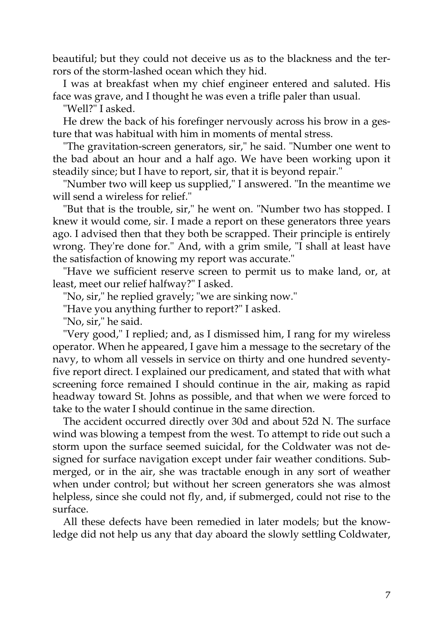beautiful; but they could not deceive us as to the blackness and the terrors of the storm-lashed ocean which they hid.

I was at breakfast when my chief engineer entered and saluted. His face was grave, and I thought he was even a trifle paler than usual.

"Well?" I asked.

He drew the back of his forefinger nervously across his brow in a gesture that was habitual with him in moments of mental stress.

"The gravitation-screen generators, sir," he said. "Number one went to the bad about an hour and a half ago. We have been working upon it steadily since; but I have to report, sir, that it is beyond repair."

"Number two will keep us supplied," I answered. "In the meantime we will send a wireless for relief."

"But that is the trouble, sir," he went on. "Number two has stopped. I knew it would come, sir. I made a report on these generators three years ago. I advised then that they both be scrapped. Their principle is entirely wrong. They're done for." And, with a grim smile, "I shall at least have the satisfaction of knowing my report was accurate."

"Have we sufficient reserve screen to permit us to make land, or, at least, meet our relief halfway?" I asked.

"No, sir," he replied gravely; "we are sinking now."

"Have you anything further to report?" I asked.

"No, sir," he said.

"Very good," I replied; and, as I dismissed him, I rang for my wireless operator. When he appeared, I gave him a message to the secretary of the navy, to whom all vessels in service on thirty and one hundred seventyfive report direct. I explained our predicament, and stated that with what screening force remained I should continue in the air, making as rapid headway toward St. Johns as possible, and that when we were forced to take to the water I should continue in the same direction.

The accident occurred directly over 30d and about 52d N. The surface wind was blowing a tempest from the west. To attempt to ride out such a storm upon the surface seemed suicidal, for the Coldwater was not designed for surface navigation except under fair weather conditions. Submerged, or in the air, she was tractable enough in any sort of weather when under control; but without her screen generators she was almost helpless, since she could not fly, and, if submerged, could not rise to the surface.

All these defects have been remedied in later models; but the knowledge did not help us any that day aboard the slowly settling Coldwater,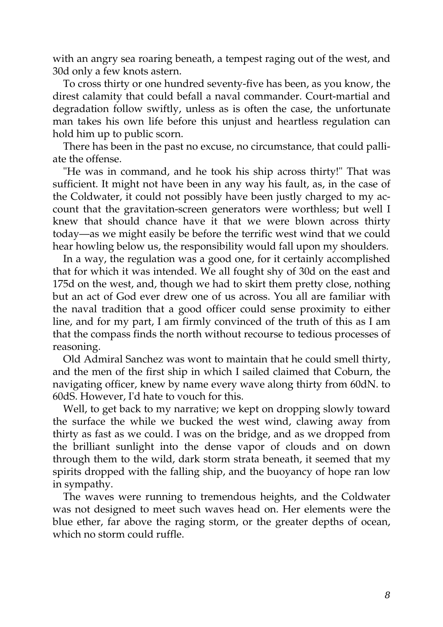with an angry sea roaring beneath, a tempest raging out of the west, and 30d only a few knots astern.

To cross thirty or one hundred seventy-five has been, as you know, the direst calamity that could befall a naval commander. Court-martial and degradation follow swiftly, unless as is often the case, the unfortunate man takes his own life before this unjust and heartless regulation can hold him up to public scorn.

There has been in the past no excuse, no circumstance, that could palliate the offense.

"He was in command, and he took his ship across thirty!" That was sufficient. It might not have been in any way his fault, as, in the case of the Coldwater, it could not possibly have been justly charged to my account that the gravitation-screen generators were worthless; but well I knew that should chance have it that we were blown across thirty today—as we might easily be before the terrific west wind that we could hear howling below us, the responsibility would fall upon my shoulders.

In a way, the regulation was a good one, for it certainly accomplished that for which it was intended. We all fought shy of 30d on the east and 175d on the west, and, though we had to skirt them pretty close, nothing but an act of God ever drew one of us across. You all are familiar with the naval tradition that a good officer could sense proximity to either line, and for my part, I am firmly convinced of the truth of this as I am that the compass finds the north without recourse to tedious processes of reasoning.

Old Admiral Sanchez was wont to maintain that he could smell thirty, and the men of the first ship in which I sailed claimed that Coburn, the navigating officer, knew by name every wave along thirty from 60dN. to 60dS. However, I'd hate to vouch for this.

Well, to get back to my narrative; we kept on dropping slowly toward the surface the while we bucked the west wind, clawing away from thirty as fast as we could. I was on the bridge, and as we dropped from the brilliant sunlight into the dense vapor of clouds and on down through them to the wild, dark storm strata beneath, it seemed that my spirits dropped with the falling ship, and the buoyancy of hope ran low in sympathy.

The waves were running to tremendous heights, and the Coldwater was not designed to meet such waves head on. Her elements were the blue ether, far above the raging storm, or the greater depths of ocean, which no storm could ruffle.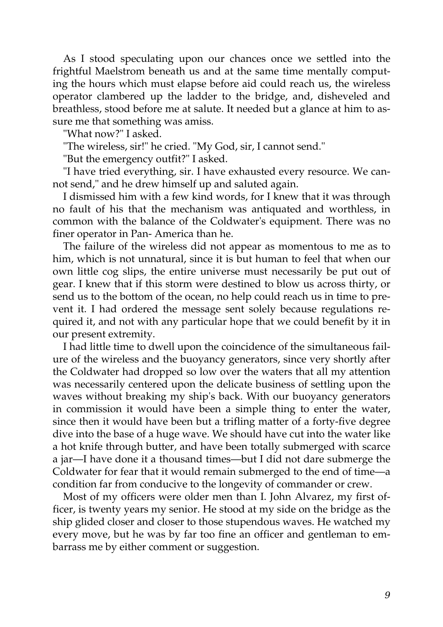As I stood speculating upon our chances once we settled into the frightful Maelstrom beneath us and at the same time mentally computing the hours which must elapse before aid could reach us, the wireless operator clambered up the ladder to the bridge, and, disheveled and breathless, stood before me at salute. It needed but a glance at him to assure me that something was amiss.

"What now?" I asked.

"The wireless, sir!" he cried. "My God, sir, I cannot send."

"But the emergency outfit?" I asked.

"I have tried everything, sir. I have exhausted every resource. We cannot send," and he drew himself up and saluted again.

I dismissed him with a few kind words, for I knew that it was through no fault of his that the mechanism was antiquated and worthless, in common with the balance of the Coldwater's equipment. There was no finer operator in Pan- America than he.

The failure of the wireless did not appear as momentous to me as to him, which is not unnatural, since it is but human to feel that when our own little cog slips, the entire universe must necessarily be put out of gear. I knew that if this storm were destined to blow us across thirty, or send us to the bottom of the ocean, no help could reach us in time to prevent it. I had ordered the message sent solely because regulations required it, and not with any particular hope that we could benefit by it in our present extremity.

I had little time to dwell upon the coincidence of the simultaneous failure of the wireless and the buoyancy generators, since very shortly after the Coldwater had dropped so low over the waters that all my attention was necessarily centered upon the delicate business of settling upon the waves without breaking my ship's back. With our buoyancy generators in commission it would have been a simple thing to enter the water, since then it would have been but a trifling matter of a forty-five degree dive into the base of a huge wave. We should have cut into the water like a hot knife through butter, and have been totally submerged with scarce a jar—I have done it a thousand times—but I did not dare submerge the Coldwater for fear that it would remain submerged to the end of time—a condition far from conducive to the longevity of commander or crew.

Most of my officers were older men than I. John Alvarez, my first officer, is twenty years my senior. He stood at my side on the bridge as the ship glided closer and closer to those stupendous waves. He watched my every move, but he was by far too fine an officer and gentleman to embarrass me by either comment or suggestion.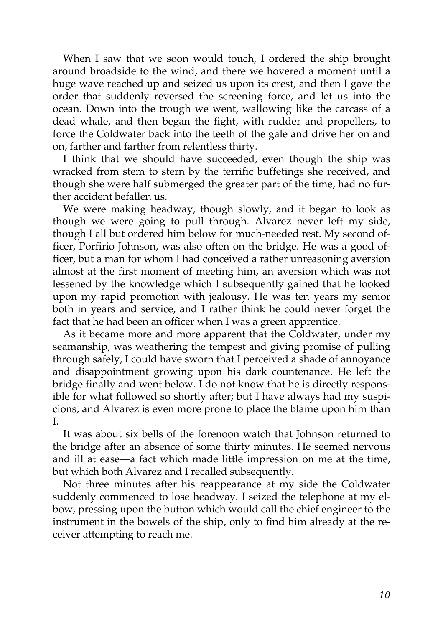When I saw that we soon would touch, I ordered the ship brought around broadside to the wind, and there we hovered a moment until a huge wave reached up and seized us upon its crest, and then I gave the order that suddenly reversed the screening force, and let us into the ocean. Down into the trough we went, wallowing like the carcass of a dead whale, and then began the fight, with rudder and propellers, to force the Coldwater back into the teeth of the gale and drive her on and on, farther and farther from relentless thirty.

I think that we should have succeeded, even though the ship was wracked from stem to stern by the terrific buffetings she received, and though she were half submerged the greater part of the time, had no further accident befallen us.

We were making headway, though slowly, and it began to look as though we were going to pull through. Alvarez never left my side, though I all but ordered him below for much-needed rest. My second officer, Porfirio Johnson, was also often on the bridge. He was a good officer, but a man for whom I had conceived a rather unreasoning aversion almost at the first moment of meeting him, an aversion which was not lessened by the knowledge which I subsequently gained that he looked upon my rapid promotion with jealousy. He was ten years my senior both in years and service, and I rather think he could never forget the fact that he had been an officer when I was a green apprentice.

As it became more and more apparent that the Coldwater, under my seamanship, was weathering the tempest and giving promise of pulling through safely, I could have sworn that I perceived a shade of annoyance and disappointment growing upon his dark countenance. He left the bridge finally and went below. I do not know that he is directly responsible for what followed so shortly after; but I have always had my suspicions, and Alvarez is even more prone to place the blame upon him than I.

It was about six bells of the forenoon watch that Johnson returned to the bridge after an absence of some thirty minutes. He seemed nervous and ill at ease—a fact which made little impression on me at the time, but which both Alvarez and I recalled subsequently.

Not three minutes after his reappearance at my side the Coldwater suddenly commenced to lose headway. I seized the telephone at my elbow, pressing upon the button which would call the chief engineer to the instrument in the bowels of the ship, only to find him already at the receiver attempting to reach me.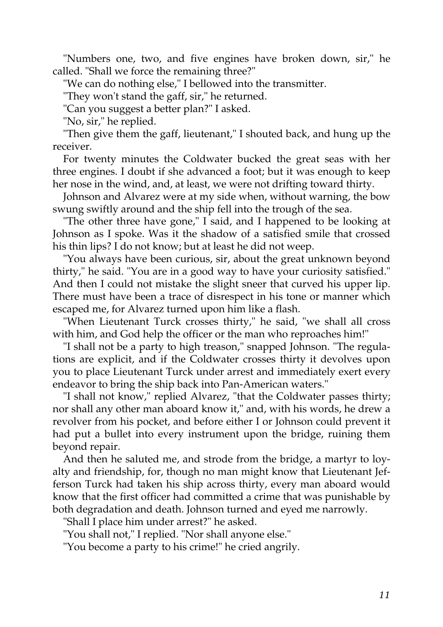"Numbers one, two, and five engines have broken down, sir," he called. "Shall we force the remaining three?"

"We can do nothing else," I bellowed into the transmitter.

"They won't stand the gaff, sir," he returned.

"Can you suggest a better plan?" I asked.

"No, sir," he replied.

"Then give them the gaff, lieutenant," I shouted back, and hung up the receiver.

For twenty minutes the Coldwater bucked the great seas with her three engines. I doubt if she advanced a foot; but it was enough to keep her nose in the wind, and, at least, we were not drifting toward thirty.

Johnson and Alvarez were at my side when, without warning, the bow swung swiftly around and the ship fell into the trough of the sea.

"The other three have gone," I said, and I happened to be looking at Johnson as I spoke. Was it the shadow of a satisfied smile that crossed his thin lips? I do not know; but at least he did not weep.

"You always have been curious, sir, about the great unknown beyond thirty," he said. "You are in a good way to have your curiosity satisfied." And then I could not mistake the slight sneer that curved his upper lip. There must have been a trace of disrespect in his tone or manner which escaped me, for Alvarez turned upon him like a flash.

"When Lieutenant Turck crosses thirty," he said, "we shall all cross with him, and God help the officer or the man who reproaches him!"

"I shall not be a party to high treason," snapped Johnson. "The regulations are explicit, and if the Coldwater crosses thirty it devolves upon you to place Lieutenant Turck under arrest and immediately exert every endeavor to bring the ship back into Pan-American waters."

"I shall not know," replied Alvarez, "that the Coldwater passes thirty; nor shall any other man aboard know it," and, with his words, he drew a revolver from his pocket, and before either I or Johnson could prevent it had put a bullet into every instrument upon the bridge, ruining them beyond repair.

And then he saluted me, and strode from the bridge, a martyr to loyalty and friendship, for, though no man might know that Lieutenant Jefferson Turck had taken his ship across thirty, every man aboard would know that the first officer had committed a crime that was punishable by both degradation and death. Johnson turned and eyed me narrowly.

"Shall I place him under arrest?" he asked.

"You shall not," I replied. "Nor shall anyone else."

"You become a party to his crime!" he cried angrily.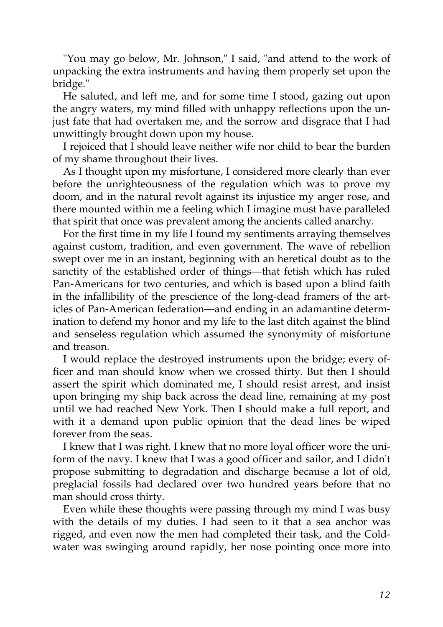"You may go below, Mr. Johnson," I said, "and attend to the work of unpacking the extra instruments and having them properly set upon the bridge."

He saluted, and left me, and for some time I stood, gazing out upon the angry waters, my mind filled with unhappy reflections upon the unjust fate that had overtaken me, and the sorrow and disgrace that I had unwittingly brought down upon my house.

I rejoiced that I should leave neither wife nor child to bear the burden of my shame throughout their lives.

As I thought upon my misfortune, I considered more clearly than ever before the unrighteousness of the regulation which was to prove my doom, and in the natural revolt against its injustice my anger rose, and there mounted within me a feeling which I imagine must have paralleled that spirit that once was prevalent among the ancients called anarchy.

For the first time in my life I found my sentiments arraying themselves against custom, tradition, and even government. The wave of rebellion swept over me in an instant, beginning with an heretical doubt as to the sanctity of the established order of things—that fetish which has ruled Pan-Americans for two centuries, and which is based upon a blind faith in the infallibility of the prescience of the long-dead framers of the articles of Pan-American federation—and ending in an adamantine determination to defend my honor and my life to the last ditch against the blind and senseless regulation which assumed the synonymity of misfortune and treason.

I would replace the destroyed instruments upon the bridge; every officer and man should know when we crossed thirty. But then I should assert the spirit which dominated me, I should resist arrest, and insist upon bringing my ship back across the dead line, remaining at my post until we had reached New York. Then I should make a full report, and with it a demand upon public opinion that the dead lines be wiped forever from the seas.

I knew that I was right. I knew that no more loyal officer wore the uniform of the navy. I knew that I was a good officer and sailor, and I didn't propose submitting to degradation and discharge because a lot of old, preglacial fossils had declared over two hundred years before that no man should cross thirty.

Even while these thoughts were passing through my mind I was busy with the details of my duties. I had seen to it that a sea anchor was rigged, and even now the men had completed their task, and the Coldwater was swinging around rapidly, her nose pointing once more into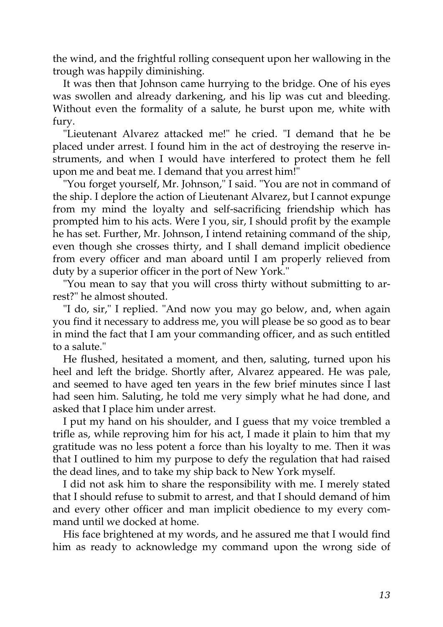the wind, and the frightful rolling consequent upon her wallowing in the trough was happily diminishing.

It was then that Johnson came hurrying to the bridge. One of his eyes was swollen and already darkening, and his lip was cut and bleeding. Without even the formality of a salute, he burst upon me, white with fury.

"Lieutenant Alvarez attacked me!" he cried. "I demand that he be placed under arrest. I found him in the act of destroying the reserve instruments, and when I would have interfered to protect them he fell upon me and beat me. I demand that you arrest him!"

"You forget yourself, Mr. Johnson," I said. "You are not in command of the ship. I deplore the action of Lieutenant Alvarez, but I cannot expunge from my mind the loyalty and self-sacrificing friendship which has prompted him to his acts. Were I you, sir, I should profit by the example he has set. Further, Mr. Johnson, I intend retaining command of the ship, even though she crosses thirty, and I shall demand implicit obedience from every officer and man aboard until I am properly relieved from duty by a superior officer in the port of New York."

"You mean to say that you will cross thirty without submitting to arrest?" he almost shouted.

"I do, sir," I replied. "And now you may go below, and, when again you find it necessary to address me, you will please be so good as to bear in mind the fact that I am your commanding officer, and as such entitled to a salute."

He flushed, hesitated a moment, and then, saluting, turned upon his heel and left the bridge. Shortly after, Alvarez appeared. He was pale, and seemed to have aged ten years in the few brief minutes since I last had seen him. Saluting, he told me very simply what he had done, and asked that I place him under arrest.

I put my hand on his shoulder, and I guess that my voice trembled a trifle as, while reproving him for his act, I made it plain to him that my gratitude was no less potent a force than his loyalty to me. Then it was that I outlined to him my purpose to defy the regulation that had raised the dead lines, and to take my ship back to New York myself.

I did not ask him to share the responsibility with me. I merely stated that I should refuse to submit to arrest, and that I should demand of him and every other officer and man implicit obedience to my every command until we docked at home.

His face brightened at my words, and he assured me that I would find him as ready to acknowledge my command upon the wrong side of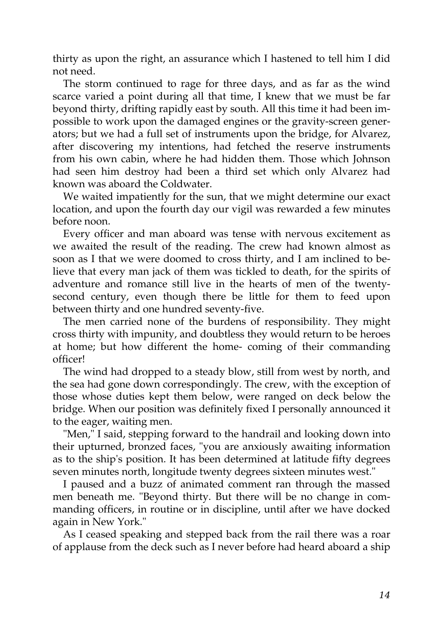thirty as upon the right, an assurance which I hastened to tell him I did not need.

The storm continued to rage for three days, and as far as the wind scarce varied a point during all that time, I knew that we must be far beyond thirty, drifting rapidly east by south. All this time it had been impossible to work upon the damaged engines or the gravity-screen generators; but we had a full set of instruments upon the bridge, for Alvarez, after discovering my intentions, had fetched the reserve instruments from his own cabin, where he had hidden them. Those which Johnson had seen him destroy had been a third set which only Alvarez had known was aboard the Coldwater.

We waited impatiently for the sun, that we might determine our exact location, and upon the fourth day our vigil was rewarded a few minutes before noon.

Every officer and man aboard was tense with nervous excitement as we awaited the result of the reading. The crew had known almost as soon as I that we were doomed to cross thirty, and I am inclined to believe that every man jack of them was tickled to death, for the spirits of adventure and romance still live in the hearts of men of the twentysecond century, even though there be little for them to feed upon between thirty and one hundred seventy-five.

The men carried none of the burdens of responsibility. They might cross thirty with impunity, and doubtless they would return to be heroes at home; but how different the home- coming of their commanding officer!

The wind had dropped to a steady blow, still from west by north, and the sea had gone down correspondingly. The crew, with the exception of those whose duties kept them below, were ranged on deck below the bridge. When our position was definitely fixed I personally announced it to the eager, waiting men.

"Men," I said, stepping forward to the handrail and looking down into their upturned, bronzed faces, "you are anxiously awaiting information as to the ship's position. It has been determined at latitude fifty degrees seven minutes north, longitude twenty degrees sixteen minutes west."

I paused and a buzz of animated comment ran through the massed men beneath me. "Beyond thirty. But there will be no change in commanding officers, in routine or in discipline, until after we have docked again in New York."

As I ceased speaking and stepped back from the rail there was a roar of applause from the deck such as I never before had heard aboard a ship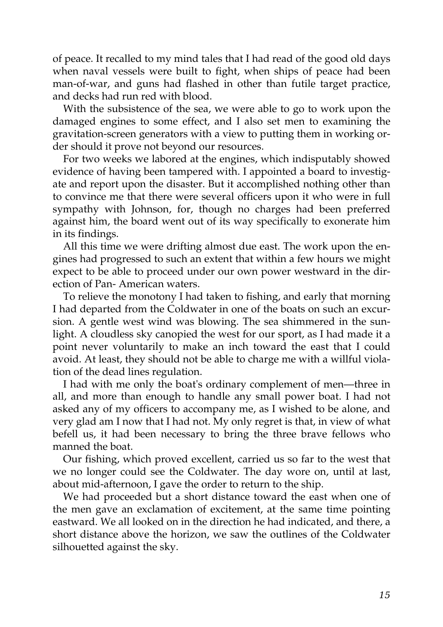of peace. It recalled to my mind tales that I had read of the good old days when naval vessels were built to fight, when ships of peace had been man-of-war, and guns had flashed in other than futile target practice, and decks had run red with blood.

With the subsistence of the sea, we were able to go to work upon the damaged engines to some effect, and I also set men to examining the gravitation-screen generators with a view to putting them in working order should it prove not beyond our resources.

For two weeks we labored at the engines, which indisputably showed evidence of having been tampered with. I appointed a board to investigate and report upon the disaster. But it accomplished nothing other than to convince me that there were several officers upon it who were in full sympathy with Johnson, for, though no charges had been preferred against him, the board went out of its way specifically to exonerate him in its findings.

All this time we were drifting almost due east. The work upon the engines had progressed to such an extent that within a few hours we might expect to be able to proceed under our own power westward in the direction of Pan- American waters.

To relieve the monotony I had taken to fishing, and early that morning I had departed from the Coldwater in one of the boats on such an excursion. A gentle west wind was blowing. The sea shimmered in the sunlight. A cloudless sky canopied the west for our sport, as I had made it a point never voluntarily to make an inch toward the east that I could avoid. At least, they should not be able to charge me with a willful violation of the dead lines regulation.

I had with me only the boat's ordinary complement of men—three in all, and more than enough to handle any small power boat. I had not asked any of my officers to accompany me, as I wished to be alone, and very glad am I now that I had not. My only regret is that, in view of what befell us, it had been necessary to bring the three brave fellows who manned the boat.

Our fishing, which proved excellent, carried us so far to the west that we no longer could see the Coldwater. The day wore on, until at last, about mid-afternoon, I gave the order to return to the ship.

We had proceeded but a short distance toward the east when one of the men gave an exclamation of excitement, at the same time pointing eastward. We all looked on in the direction he had indicated, and there, a short distance above the horizon, we saw the outlines of the Coldwater silhouetted against the sky.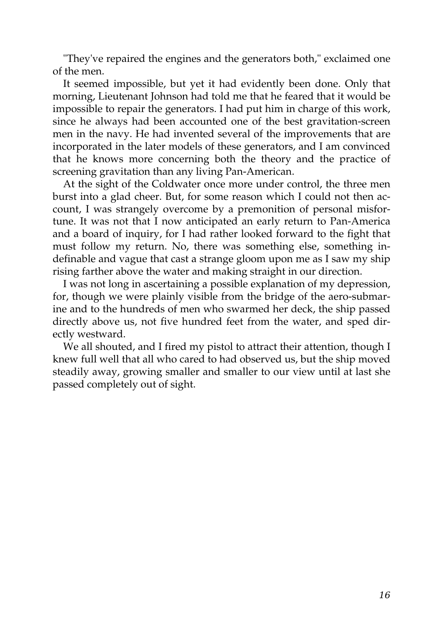"They've repaired the engines and the generators both," exclaimed one of the men.

It seemed impossible, but yet it had evidently been done. Only that morning, Lieutenant Johnson had told me that he feared that it would be impossible to repair the generators. I had put him in charge of this work, since he always had been accounted one of the best gravitation-screen men in the navy. He had invented several of the improvements that are incorporated in the later models of these generators, and I am convinced that he knows more concerning both the theory and the practice of screening gravitation than any living Pan-American.

At the sight of the Coldwater once more under control, the three men burst into a glad cheer. But, for some reason which I could not then account, I was strangely overcome by a premonition of personal misfortune. It was not that I now anticipated an early return to Pan-America and a board of inquiry, for I had rather looked forward to the fight that must follow my return. No, there was something else, something indefinable and vague that cast a strange gloom upon me as I saw my ship rising farther above the water and making straight in our direction.

I was not long in ascertaining a possible explanation of my depression, for, though we were plainly visible from the bridge of the aero-submarine and to the hundreds of men who swarmed her deck, the ship passed directly above us, not five hundred feet from the water, and sped directly westward.

We all shouted, and I fired my pistol to attract their attention, though I knew full well that all who cared to had observed us, but the ship moved steadily away, growing smaller and smaller to our view until at last she passed completely out of sight.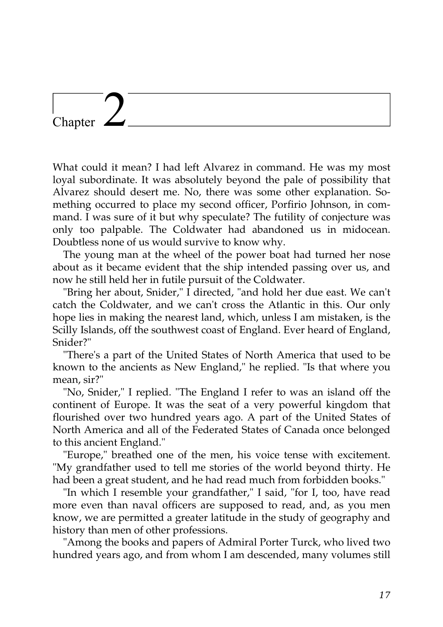### Chapter

What could it mean? I had left Alvarez in command. He was my most loyal subordinate. It was absolutely beyond the pale of possibility that Alvarez should desert me. No, there was some other explanation. Something occurred to place my second officer, Porfirio Johnson, in command. I was sure of it but why speculate? The futility of conjecture was only too palpable. The Coldwater had abandoned us in midocean. Doubtless none of us would survive to know why.

The young man at the wheel of the power boat had turned her nose about as it became evident that the ship intended passing over us, and now he still held her in futile pursuit of the Coldwater.

"Bring her about, Snider," I directed, "and hold her due east. We can't catch the Coldwater, and we can't cross the Atlantic in this. Our only hope lies in making the nearest land, which, unless I am mistaken, is the Scilly Islands, off the southwest coast of England. Ever heard of England, Snider?"

"There's a part of the United States of North America that used to be known to the ancients as New England," he replied. "Is that where you mean, sir?"

"No, Snider," I replied. "The England I refer to was an island off the continent of Europe. It was the seat of a very powerful kingdom that flourished over two hundred years ago. A part of the United States of North America and all of the Federated States of Canada once belonged to this ancient England."

"Europe," breathed one of the men, his voice tense with excitement. "My grandfather used to tell me stories of the world beyond thirty. He had been a great student, and he had read much from forbidden books."

"In which I resemble your grandfather," I said, "for I, too, have read more even than naval officers are supposed to read, and, as you men know, we are permitted a greater latitude in the study of geography and history than men of other professions.

"Among the books and papers of Admiral Porter Turck, who lived two hundred years ago, and from whom I am descended, many volumes still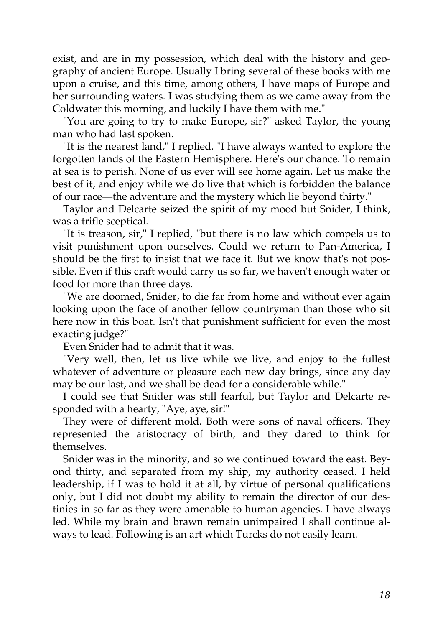exist, and are in my possession, which deal with the history and geography of ancient Europe. Usually I bring several of these books with me upon a cruise, and this time, among others, I have maps of Europe and her surrounding waters. I was studying them as we came away from the Coldwater this morning, and luckily I have them with me."

"You are going to try to make Europe, sir?" asked Taylor, the young man who had last spoken.

"It is the nearest land," I replied. "I have always wanted to explore the forgotten lands of the Eastern Hemisphere. Here's our chance. To remain at sea is to perish. None of us ever will see home again. Let us make the best of it, and enjoy while we do live that which is forbidden the balance of our race—the adventure and the mystery which lie beyond thirty."

Taylor and Delcarte seized the spirit of my mood but Snider, I think, was a trifle sceptical.

"It is treason, sir," I replied, "but there is no law which compels us to visit punishment upon ourselves. Could we return to Pan-America, I should be the first to insist that we face it. But we know that's not possible. Even if this craft would carry us so far, we haven't enough water or food for more than three days.

"We are doomed, Snider, to die far from home and without ever again looking upon the face of another fellow countryman than those who sit here now in this boat. Isn't that punishment sufficient for even the most exacting judge?"

Even Snider had to admit that it was.

"Very well, then, let us live while we live, and enjoy to the fullest whatever of adventure or pleasure each new day brings, since any day may be our last, and we shall be dead for a considerable while."

I could see that Snider was still fearful, but Taylor and Delcarte responded with a hearty, "Aye, aye, sir!"

They were of different mold. Both were sons of naval officers. They represented the aristocracy of birth, and they dared to think for themselves.

Snider was in the minority, and so we continued toward the east. Beyond thirty, and separated from my ship, my authority ceased. I held leadership, if I was to hold it at all, by virtue of personal qualifications only, but I did not doubt my ability to remain the director of our destinies in so far as they were amenable to human agencies. I have always led. While my brain and brawn remain unimpaired I shall continue always to lead. Following is an art which Turcks do not easily learn.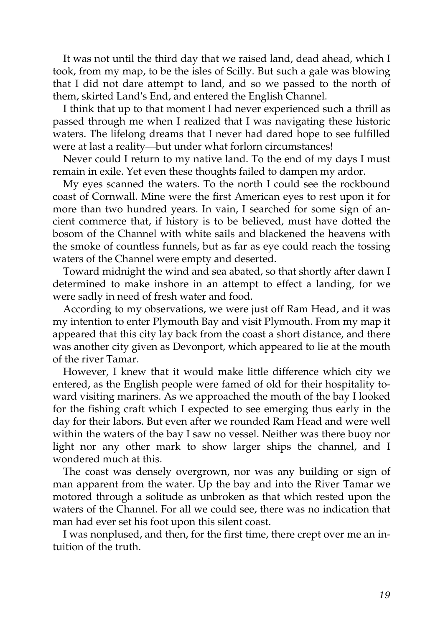It was not until the third day that we raised land, dead ahead, which I took, from my map, to be the isles of Scilly. But such a gale was blowing that I did not dare attempt to land, and so we passed to the north of them, skirted Land's End, and entered the English Channel.

I think that up to that moment I had never experienced such a thrill as passed through me when I realized that I was navigating these historic waters. The lifelong dreams that I never had dared hope to see fulfilled were at last a reality—but under what forlorn circumstances!

Never could I return to my native land. To the end of my days I must remain in exile. Yet even these thoughts failed to dampen my ardor.

My eyes scanned the waters. To the north I could see the rockbound coast of Cornwall. Mine were the first American eyes to rest upon it for more than two hundred years. In vain, I searched for some sign of ancient commerce that, if history is to be believed, must have dotted the bosom of the Channel with white sails and blackened the heavens with the smoke of countless funnels, but as far as eye could reach the tossing waters of the Channel were empty and deserted.

Toward midnight the wind and sea abated, so that shortly after dawn I determined to make inshore in an attempt to effect a landing, for we were sadly in need of fresh water and food.

According to my observations, we were just off Ram Head, and it was my intention to enter Plymouth Bay and visit Plymouth. From my map it appeared that this city lay back from the coast a short distance, and there was another city given as Devonport, which appeared to lie at the mouth of the river Tamar.

However, I knew that it would make little difference which city we entered, as the English people were famed of old for their hospitality toward visiting mariners. As we approached the mouth of the bay I looked for the fishing craft which I expected to see emerging thus early in the day for their labors. But even after we rounded Ram Head and were well within the waters of the bay I saw no vessel. Neither was there buoy nor light nor any other mark to show larger ships the channel, and I wondered much at this.

The coast was densely overgrown, nor was any building or sign of man apparent from the water. Up the bay and into the River Tamar we motored through a solitude as unbroken as that which rested upon the waters of the Channel. For all we could see, there was no indication that man had ever set his foot upon this silent coast.

I was nonplused, and then, for the first time, there crept over me an intuition of the truth.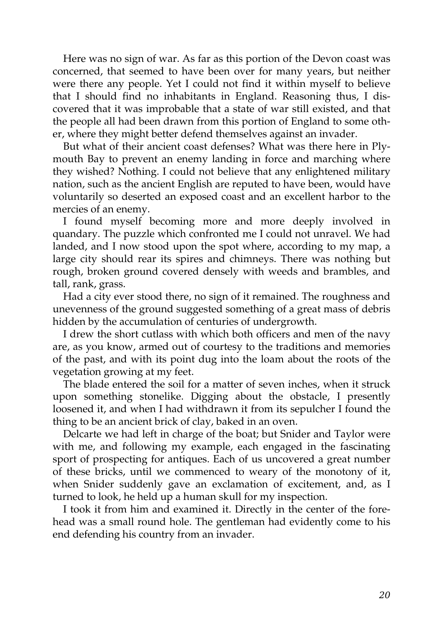Here was no sign of war. As far as this portion of the Devon coast was concerned, that seemed to have been over for many years, but neither were there any people. Yet I could not find it within myself to believe that I should find no inhabitants in England. Reasoning thus, I discovered that it was improbable that a state of war still existed, and that the people all had been drawn from this portion of England to some other, where they might better defend themselves against an invader.

But what of their ancient coast defenses? What was there here in Plymouth Bay to prevent an enemy landing in force and marching where they wished? Nothing. I could not believe that any enlightened military nation, such as the ancient English are reputed to have been, would have voluntarily so deserted an exposed coast and an excellent harbor to the mercies of an enemy.

I found myself becoming more and more deeply involved in quandary. The puzzle which confronted me I could not unravel. We had landed, and I now stood upon the spot where, according to my map, a large city should rear its spires and chimneys. There was nothing but rough, broken ground covered densely with weeds and brambles, and tall, rank, grass.

Had a city ever stood there, no sign of it remained. The roughness and unevenness of the ground suggested something of a great mass of debris hidden by the accumulation of centuries of undergrowth.

I drew the short cutlass with which both officers and men of the navy are, as you know, armed out of courtesy to the traditions and memories of the past, and with its point dug into the loam about the roots of the vegetation growing at my feet.

The blade entered the soil for a matter of seven inches, when it struck upon something stonelike. Digging about the obstacle, I presently loosened it, and when I had withdrawn it from its sepulcher I found the thing to be an ancient brick of clay, baked in an oven.

Delcarte we had left in charge of the boat; but Snider and Taylor were with me, and following my example, each engaged in the fascinating sport of prospecting for antiques. Each of us uncovered a great number of these bricks, until we commenced to weary of the monotony of it, when Snider suddenly gave an exclamation of excitement, and, as I turned to look, he held up a human skull for my inspection.

I took it from him and examined it. Directly in the center of the forehead was a small round hole. The gentleman had evidently come to his end defending his country from an invader.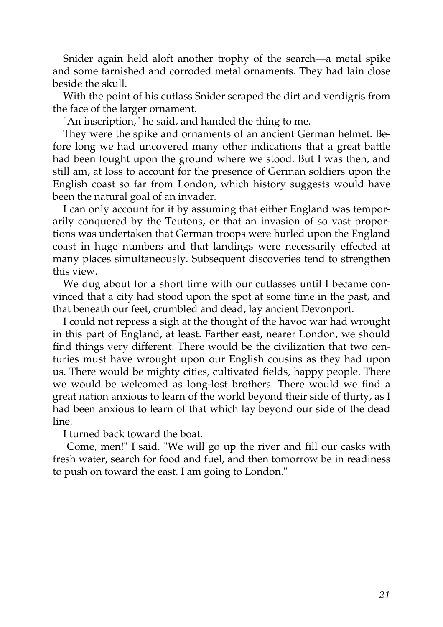Snider again held aloft another trophy of the search—a metal spike and some tarnished and corroded metal ornaments. They had lain close beside the skull.

With the point of his cutlass Snider scraped the dirt and verdigris from the face of the larger ornament.

"An inscription," he said, and handed the thing to me.

They were the spike and ornaments of an ancient German helmet. Before long we had uncovered many other indications that a great battle had been fought upon the ground where we stood. But I was then, and still am, at loss to account for the presence of German soldiers upon the English coast so far from London, which history suggests would have been the natural goal of an invader.

I can only account for it by assuming that either England was temporarily conquered by the Teutons, or that an invasion of so vast proportions was undertaken that German troops were hurled upon the England coast in huge numbers and that landings were necessarily effected at many places simultaneously. Subsequent discoveries tend to strengthen this view.

We dug about for a short time with our cutlasses until I became convinced that a city had stood upon the spot at some time in the past, and that beneath our feet, crumbled and dead, lay ancient Devonport.

I could not repress a sigh at the thought of the havoc war had wrought in this part of England, at least. Farther east, nearer London, we should find things very different. There would be the civilization that two centuries must have wrought upon our English cousins as they had upon us. There would be mighty cities, cultivated fields, happy people. There we would be welcomed as long-lost brothers. There would we find a great nation anxious to learn of the world beyond their side of thirty, as I had been anxious to learn of that which lay beyond our side of the dead line.

I turned back toward the boat.

"Come, men!" I said. "We will go up the river and fill our casks with fresh water, search for food and fuel, and then tomorrow be in readiness to push on toward the east. I am going to London."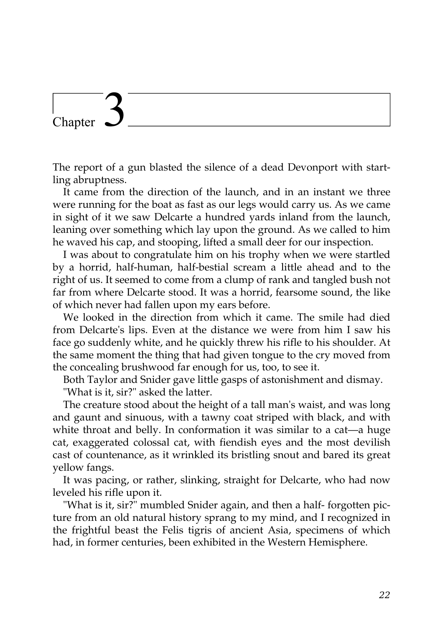## Chapter

The report of a gun blasted the silence of a dead Devonport with startling abruptness.

It came from the direction of the launch, and in an instant we three were running for the boat as fast as our legs would carry us. As we came in sight of it we saw Delcarte a hundred yards inland from the launch, leaning over something which lay upon the ground. As we called to him he waved his cap, and stooping, lifted a small deer for our inspection.

I was about to congratulate him on his trophy when we were startled by a horrid, half-human, half-bestial scream a little ahead and to the right of us. It seemed to come from a clump of rank and tangled bush not far from where Delcarte stood. It was a horrid, fearsome sound, the like of which never had fallen upon my ears before.

We looked in the direction from which it came. The smile had died from Delcarte's lips. Even at the distance we were from him I saw his face go suddenly white, and he quickly threw his rifle to his shoulder. At the same moment the thing that had given tongue to the cry moved from the concealing brushwood far enough for us, too, to see it.

Both Taylor and Snider gave little gasps of astonishment and dismay.

"What is it, sir?" asked the latter.

The creature stood about the height of a tall man's waist, and was long and gaunt and sinuous, with a tawny coat striped with black, and with white throat and belly. In conformation it was similar to a cat—a huge cat, exaggerated colossal cat, with fiendish eyes and the most devilish cast of countenance, as it wrinkled its bristling snout and bared its great yellow fangs.

It was pacing, or rather, slinking, straight for Delcarte, who had now leveled his rifle upon it.

"What is it, sir?" mumbled Snider again, and then a half- forgotten picture from an old natural history sprang to my mind, and I recognized in the frightful beast the Felis tigris of ancient Asia, specimens of which had, in former centuries, been exhibited in the Western Hemisphere.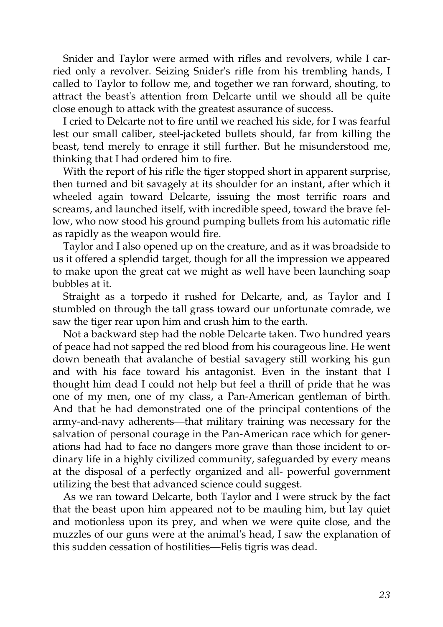Snider and Taylor were armed with rifles and revolvers, while I carried only a revolver. Seizing Snider's rifle from his trembling hands, I called to Taylor to follow me, and together we ran forward, shouting, to attract the beast's attention from Delcarte until we should all be quite close enough to attack with the greatest assurance of success.

I cried to Delcarte not to fire until we reached his side, for I was fearful lest our small caliber, steel-jacketed bullets should, far from killing the beast, tend merely to enrage it still further. But he misunderstood me, thinking that I had ordered him to fire.

With the report of his rifle the tiger stopped short in apparent surprise, then turned and bit savagely at its shoulder for an instant, after which it wheeled again toward Delcarte, issuing the most terrific roars and screams, and launched itself, with incredible speed, toward the brave fellow, who now stood his ground pumping bullets from his automatic rifle as rapidly as the weapon would fire.

Taylor and I also opened up on the creature, and as it was broadside to us it offered a splendid target, though for all the impression we appeared to make upon the great cat we might as well have been launching soap bubbles at it.

Straight as a torpedo it rushed for Delcarte, and, as Taylor and I stumbled on through the tall grass toward our unfortunate comrade, we saw the tiger rear upon him and crush him to the earth.

Not a backward step had the noble Delcarte taken. Two hundred years of peace had not sapped the red blood from his courageous line. He went down beneath that avalanche of bestial savagery still working his gun and with his face toward his antagonist. Even in the instant that I thought him dead I could not help but feel a thrill of pride that he was one of my men, one of my class, a Pan-American gentleman of birth. And that he had demonstrated one of the principal contentions of the army-and-navy adherents—that military training was necessary for the salvation of personal courage in the Pan-American race which for generations had had to face no dangers more grave than those incident to ordinary life in a highly civilized community, safeguarded by every means at the disposal of a perfectly organized and all- powerful government utilizing the best that advanced science could suggest.

As we ran toward Delcarte, both Taylor and I were struck by the fact that the beast upon him appeared not to be mauling him, but lay quiet and motionless upon its prey, and when we were quite close, and the muzzles of our guns were at the animal's head, I saw the explanation of this sudden cessation of hostilities—Felis tigris was dead.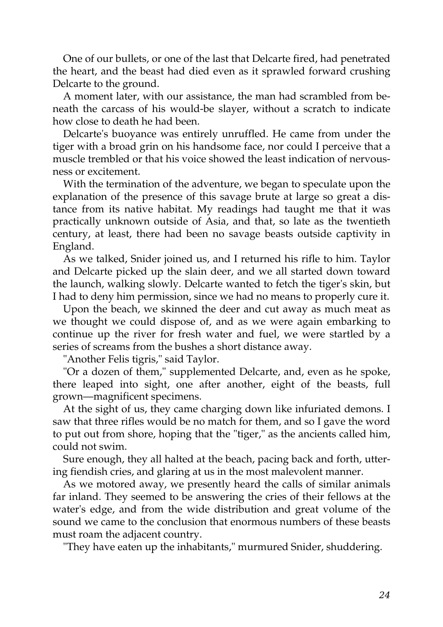One of our bullets, or one of the last that Delcarte fired, had penetrated the heart, and the beast had died even as it sprawled forward crushing Delcarte to the ground.

A moment later, with our assistance, the man had scrambled from beneath the carcass of his would-be slayer, without a scratch to indicate how close to death he had been.

Delcarte's buoyance was entirely unruffled. He came from under the tiger with a broad grin on his handsome face, nor could I perceive that a muscle trembled or that his voice showed the least indication of nervousness or excitement.

With the termination of the adventure, we began to speculate upon the explanation of the presence of this savage brute at large so great a distance from its native habitat. My readings had taught me that it was practically unknown outside of Asia, and that, so late as the twentieth century, at least, there had been no savage beasts outside captivity in England.

As we talked, Snider joined us, and I returned his rifle to him. Taylor and Delcarte picked up the slain deer, and we all started down toward the launch, walking slowly. Delcarte wanted to fetch the tiger's skin, but I had to deny him permission, since we had no means to properly cure it.

Upon the beach, we skinned the deer and cut away as much meat as we thought we could dispose of, and as we were again embarking to continue up the river for fresh water and fuel, we were startled by a series of screams from the bushes a short distance away.

"Another Felis tigris," said Taylor.

"Or a dozen of them," supplemented Delcarte, and, even as he spoke, there leaped into sight, one after another, eight of the beasts, full grown—magnificent specimens.

At the sight of us, they came charging down like infuriated demons. I saw that three rifles would be no match for them, and so I gave the word to put out from shore, hoping that the "tiger," as the ancients called him, could not swim.

Sure enough, they all halted at the beach, pacing back and forth, uttering fiendish cries, and glaring at us in the most malevolent manner.

As we motored away, we presently heard the calls of similar animals far inland. They seemed to be answering the cries of their fellows at the water's edge, and from the wide distribution and great volume of the sound we came to the conclusion that enormous numbers of these beasts must roam the adjacent country.

"They have eaten up the inhabitants," murmured Snider, shuddering.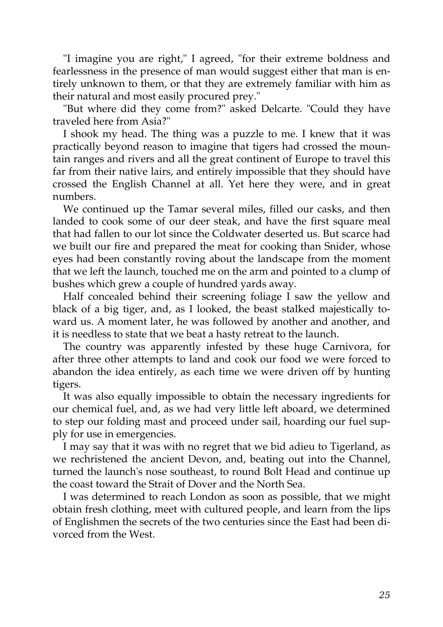"I imagine you are right," I agreed, "for their extreme boldness and fearlessness in the presence of man would suggest either that man is entirely unknown to them, or that they are extremely familiar with him as their natural and most easily procured prey."

"But where did they come from?" asked Delcarte. "Could they have traveled here from Asia?"

I shook my head. The thing was a puzzle to me. I knew that it was practically beyond reason to imagine that tigers had crossed the mountain ranges and rivers and all the great continent of Europe to travel this far from their native lairs, and entirely impossible that they should have crossed the English Channel at all. Yet here they were, and in great numbers.

We continued up the Tamar several miles, filled our casks, and then landed to cook some of our deer steak, and have the first square meal that had fallen to our lot since the Coldwater deserted us. But scarce had we built our fire and prepared the meat for cooking than Snider, whose eyes had been constantly roving about the landscape from the moment that we left the launch, touched me on the arm and pointed to a clump of bushes which grew a couple of hundred yards away.

Half concealed behind their screening foliage I saw the yellow and black of a big tiger, and, as I looked, the beast stalked majestically toward us. A moment later, he was followed by another and another, and it is needless to state that we beat a hasty retreat to the launch.

The country was apparently infested by these huge Carnivora, for after three other attempts to land and cook our food we were forced to abandon the idea entirely, as each time we were driven off by hunting tigers.

It was also equally impossible to obtain the necessary ingredients for our chemical fuel, and, as we had very little left aboard, we determined to step our folding mast and proceed under sail, hoarding our fuel supply for use in emergencies.

I may say that it was with no regret that we bid adieu to Tigerland, as we rechristened the ancient Devon, and, beating out into the Channel, turned the launch's nose southeast, to round Bolt Head and continue up the coast toward the Strait of Dover and the North Sea.

I was determined to reach London as soon as possible, that we might obtain fresh clothing, meet with cultured people, and learn from the lips of Englishmen the secrets of the two centuries since the East had been divorced from the West.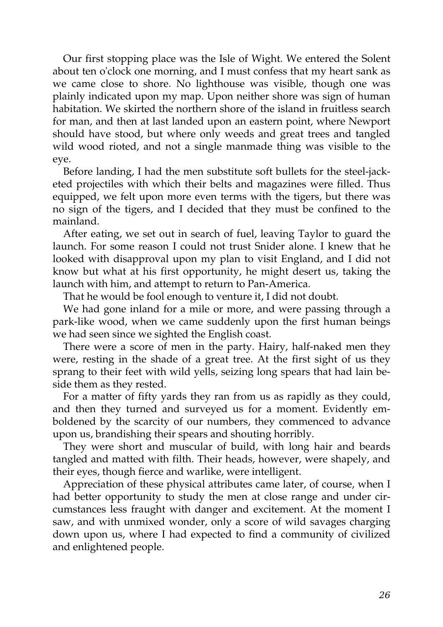Our first stopping place was the Isle of Wight. We entered the Solent about ten o'clock one morning, and I must confess that my heart sank as we came close to shore. No lighthouse was visible, though one was plainly indicated upon my map. Upon neither shore was sign of human habitation. We skirted the northern shore of the island in fruitless search for man, and then at last landed upon an eastern point, where Newport should have stood, but where only weeds and great trees and tangled wild wood rioted, and not a single manmade thing was visible to the eye.

Before landing, I had the men substitute soft bullets for the steel-jacketed projectiles with which their belts and magazines were filled. Thus equipped, we felt upon more even terms with the tigers, but there was no sign of the tigers, and I decided that they must be confined to the mainland.

After eating, we set out in search of fuel, leaving Taylor to guard the launch. For some reason I could not trust Snider alone. I knew that he looked with disapproval upon my plan to visit England, and I did not know but what at his first opportunity, he might desert us, taking the launch with him, and attempt to return to Pan-America.

That he would be fool enough to venture it, I did not doubt.

We had gone inland for a mile or more, and were passing through a park-like wood, when we came suddenly upon the first human beings we had seen since we sighted the English coast.

There were a score of men in the party. Hairy, half-naked men they were, resting in the shade of a great tree. At the first sight of us they sprang to their feet with wild yells, seizing long spears that had lain beside them as they rested.

For a matter of fifty yards they ran from us as rapidly as they could, and then they turned and surveyed us for a moment. Evidently emboldened by the scarcity of our numbers, they commenced to advance upon us, brandishing their spears and shouting horribly.

They were short and muscular of build, with long hair and beards tangled and matted with filth. Their heads, however, were shapely, and their eyes, though fierce and warlike, were intelligent.

Appreciation of these physical attributes came later, of course, when I had better opportunity to study the men at close range and under circumstances less fraught with danger and excitement. At the moment I saw, and with unmixed wonder, only a score of wild savages charging down upon us, where I had expected to find a community of civilized and enlightened people.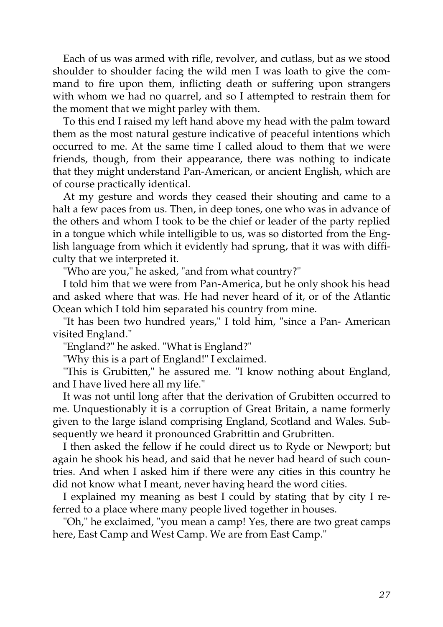Each of us was armed with rifle, revolver, and cutlass, but as we stood shoulder to shoulder facing the wild men I was loath to give the command to fire upon them, inflicting death or suffering upon strangers with whom we had no quarrel, and so I attempted to restrain them for the moment that we might parley with them.

To this end I raised my left hand above my head with the palm toward them as the most natural gesture indicative of peaceful intentions which occurred to me. At the same time I called aloud to them that we were friends, though, from their appearance, there was nothing to indicate that they might understand Pan-American, or ancient English, which are of course practically identical.

At my gesture and words they ceased their shouting and came to a halt a few paces from us. Then, in deep tones, one who was in advance of the others and whom I took to be the chief or leader of the party replied in a tongue which while intelligible to us, was so distorted from the English language from which it evidently had sprung, that it was with difficulty that we interpreted it.

"Who are you," he asked, "and from what country?"

I told him that we were from Pan-America, but he only shook his head and asked where that was. He had never heard of it, or of the Atlantic Ocean which I told him separated his country from mine.

"It has been two hundred years," I told him, "since a Pan- American visited England."

"England?" he asked. "What is England?"

"Why this is a part of England!" I exclaimed.

"This is Grubitten," he assured me. "I know nothing about England, and I have lived here all my life."

It was not until long after that the derivation of Grubitten occurred to me. Unquestionably it is a corruption of Great Britain, a name formerly given to the large island comprising England, Scotland and Wales. Subsequently we heard it pronounced Grabrittin and Grubritten.

I then asked the fellow if he could direct us to Ryde or Newport; but again he shook his head, and said that he never had heard of such countries. And when I asked him if there were any cities in this country he did not know what I meant, never having heard the word cities.

I explained my meaning as best I could by stating that by city I referred to a place where many people lived together in houses.

"Oh," he exclaimed, "you mean a camp! Yes, there are two great camps here, East Camp and West Camp. We are from East Camp."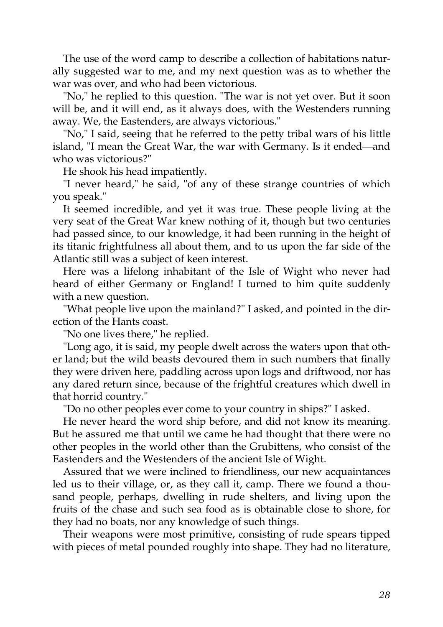The use of the word camp to describe a collection of habitations naturally suggested war to me, and my next question was as to whether the war was over, and who had been victorious.

"No," he replied to this question. "The war is not yet over. But it soon will be, and it will end, as it always does, with the Westenders running away. We, the Eastenders, are always victorious."

"No," I said, seeing that he referred to the petty tribal wars of his little island, "I mean the Great War, the war with Germany. Is it ended—and who was victorious?"

He shook his head impatiently.

"I never heard," he said, "of any of these strange countries of which you speak."

It seemed incredible, and yet it was true. These people living at the very seat of the Great War knew nothing of it, though but two centuries had passed since, to our knowledge, it had been running in the height of its titanic frightfulness all about them, and to us upon the far side of the Atlantic still was a subject of keen interest.

Here was a lifelong inhabitant of the Isle of Wight who never had heard of either Germany or England! I turned to him quite suddenly with a new question.

"What people live upon the mainland?" I asked, and pointed in the direction of the Hants coast.

"No one lives there," he replied.

"Long ago, it is said, my people dwelt across the waters upon that other land; but the wild beasts devoured them in such numbers that finally they were driven here, paddling across upon logs and driftwood, nor has any dared return since, because of the frightful creatures which dwell in that horrid country."

"Do no other peoples ever come to your country in ships?" I asked.

He never heard the word ship before, and did not know its meaning. But he assured me that until we came he had thought that there were no other peoples in the world other than the Grubittens, who consist of the Eastenders and the Westenders of the ancient Isle of Wight.

Assured that we were inclined to friendliness, our new acquaintances led us to their village, or, as they call it, camp. There we found a thousand people, perhaps, dwelling in rude shelters, and living upon the fruits of the chase and such sea food as is obtainable close to shore, for they had no boats, nor any knowledge of such things.

Their weapons were most primitive, consisting of rude spears tipped with pieces of metal pounded roughly into shape. They had no literature,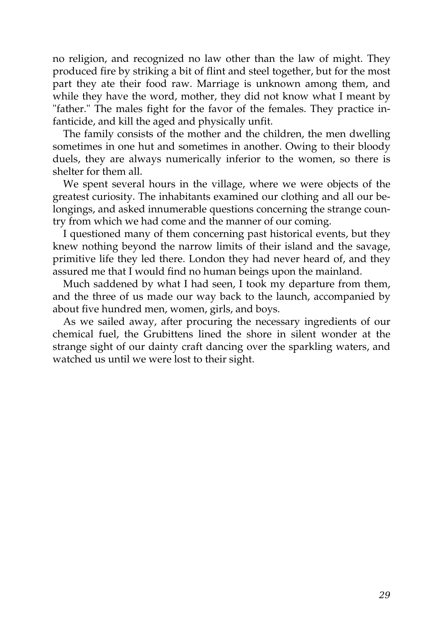no religion, and recognized no law other than the law of might. They produced fire by striking a bit of flint and steel together, but for the most part they ate their food raw. Marriage is unknown among them, and while they have the word, mother, they did not know what I meant by "father." The males fight for the favor of the females. They practice infanticide, and kill the aged and physically unfit.

The family consists of the mother and the children, the men dwelling sometimes in one hut and sometimes in another. Owing to their bloody duels, they are always numerically inferior to the women, so there is shelter for them all.

We spent several hours in the village, where we were objects of the greatest curiosity. The inhabitants examined our clothing and all our belongings, and asked innumerable questions concerning the strange country from which we had come and the manner of our coming.

I questioned many of them concerning past historical events, but they knew nothing beyond the narrow limits of their island and the savage, primitive life they led there. London they had never heard of, and they assured me that I would find no human beings upon the mainland.

Much saddened by what I had seen, I took my departure from them, and the three of us made our way back to the launch, accompanied by about five hundred men, women, girls, and boys.

As we sailed away, after procuring the necessary ingredients of our chemical fuel, the Grubittens lined the shore in silent wonder at the strange sight of our dainty craft dancing over the sparkling waters, and watched us until we were lost to their sight.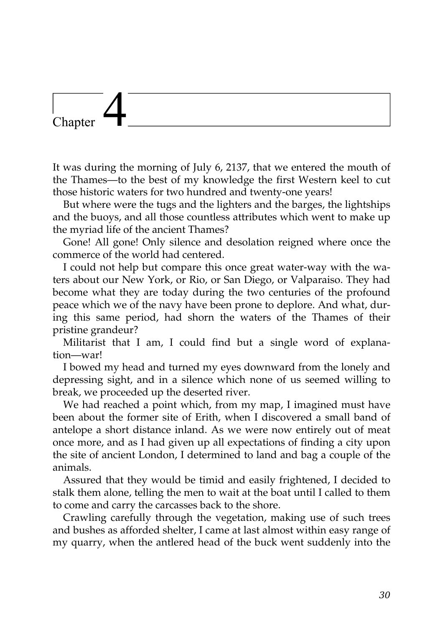# Chapter

It was during the morning of July 6, 2137, that we entered the mouth of the Thames—to the best of my knowledge the first Western keel to cut those historic waters for two hundred and twenty-one years!

But where were the tugs and the lighters and the barges, the lightships and the buoys, and all those countless attributes which went to make up the myriad life of the ancient Thames?

Gone! All gone! Only silence and desolation reigned where once the commerce of the world had centered.

I could not help but compare this once great water-way with the waters about our New York, or Rio, or San Diego, or Valparaiso. They had become what they are today during the two centuries of the profound peace which we of the navy have been prone to deplore. And what, during this same period, had shorn the waters of the Thames of their pristine grandeur?

Militarist that I am, I could find but a single word of explanation—war!

I bowed my head and turned my eyes downward from the lonely and depressing sight, and in a silence which none of us seemed willing to break, we proceeded up the deserted river.

We had reached a point which, from my map, I imagined must have been about the former site of Erith, when I discovered a small band of antelope a short distance inland. As we were now entirely out of meat once more, and as I had given up all expectations of finding a city upon the site of ancient London, I determined to land and bag a couple of the animals.

Assured that they would be timid and easily frightened, I decided to stalk them alone, telling the men to wait at the boat until I called to them to come and carry the carcasses back to the shore.

Crawling carefully through the vegetation, making use of such trees and bushes as afforded shelter, I came at last almost within easy range of my quarry, when the antlered head of the buck went suddenly into the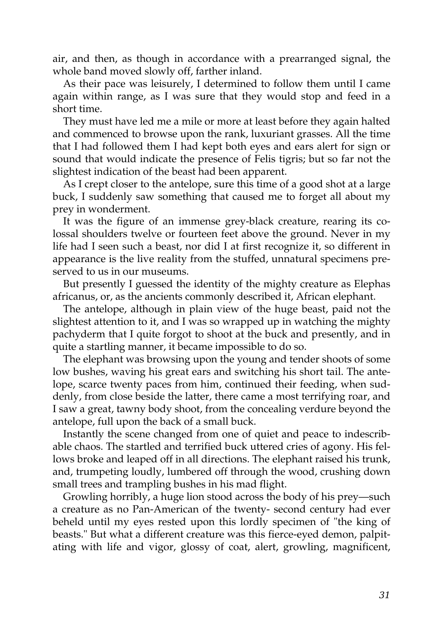air, and then, as though in accordance with a prearranged signal, the whole band moved slowly off, farther inland.

As their pace was leisurely, I determined to follow them until I came again within range, as I was sure that they would stop and feed in a short time.

They must have led me a mile or more at least before they again halted and commenced to browse upon the rank, luxuriant grasses. All the time that I had followed them I had kept both eyes and ears alert for sign or sound that would indicate the presence of Felis tigris; but so far not the slightest indication of the beast had been apparent.

As I crept closer to the antelope, sure this time of a good shot at a large buck, I suddenly saw something that caused me to forget all about my prey in wonderment.

It was the figure of an immense grey-black creature, rearing its colossal shoulders twelve or fourteen feet above the ground. Never in my life had I seen such a beast, nor did I at first recognize it, so different in appearance is the live reality from the stuffed, unnatural specimens preserved to us in our museums.

But presently I guessed the identity of the mighty creature as Elephas africanus, or, as the ancients commonly described it, African elephant.

The antelope, although in plain view of the huge beast, paid not the slightest attention to it, and I was so wrapped up in watching the mighty pachyderm that I quite forgot to shoot at the buck and presently, and in quite a startling manner, it became impossible to do so.

The elephant was browsing upon the young and tender shoots of some low bushes, waving his great ears and switching his short tail. The antelope, scarce twenty paces from him, continued their feeding, when suddenly, from close beside the latter, there came a most terrifying roar, and I saw a great, tawny body shoot, from the concealing verdure beyond the antelope, full upon the back of a small buck.

Instantly the scene changed from one of quiet and peace to indescribable chaos. The startled and terrified buck uttered cries of agony. His fellows broke and leaped off in all directions. The elephant raised his trunk, and, trumpeting loudly, lumbered off through the wood, crushing down small trees and trampling bushes in his mad flight.

Growling horribly, a huge lion stood across the body of his prey—such a creature as no Pan-American of the twenty- second century had ever beheld until my eyes rested upon this lordly specimen of "the king of beasts." But what a different creature was this fierce-eyed demon, palpitating with life and vigor, glossy of coat, alert, growling, magnificent,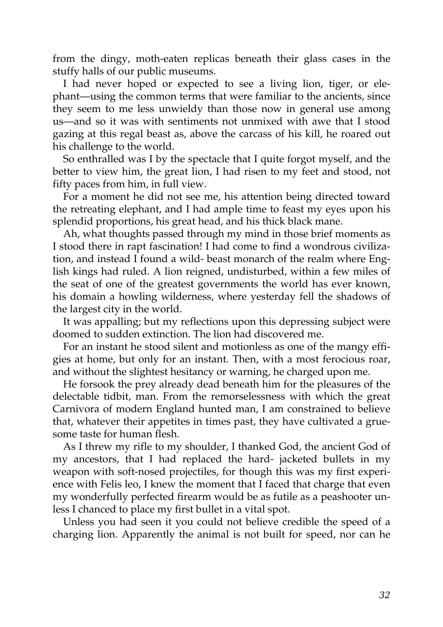from the dingy, moth-eaten replicas beneath their glass cases in the stuffy halls of our public museums.

I had never hoped or expected to see a living lion, tiger, or elephant—using the common terms that were familiar to the ancients, since they seem to me less unwieldy than those now in general use among us—and so it was with sentiments not unmixed with awe that I stood gazing at this regal beast as, above the carcass of his kill, he roared out his challenge to the world.

So enthralled was I by the spectacle that I quite forgot myself, and the better to view him, the great lion, I had risen to my feet and stood, not fifty paces from him, in full view.

For a moment he did not see me, his attention being directed toward the retreating elephant, and I had ample time to feast my eyes upon his splendid proportions, his great head, and his thick black mane.

Ah, what thoughts passed through my mind in those brief moments as I stood there in rapt fascination! I had come to find a wondrous civilization, and instead I found a wild- beast monarch of the realm where English kings had ruled. A lion reigned, undisturbed, within a few miles of the seat of one of the greatest governments the world has ever known, his domain a howling wilderness, where yesterday fell the shadows of the largest city in the world.

It was appalling; but my reflections upon this depressing subject were doomed to sudden extinction. The lion had discovered me.

For an instant he stood silent and motionless as one of the mangy effigies at home, but only for an instant. Then, with a most ferocious roar, and without the slightest hesitancy or warning, he charged upon me.

He forsook the prey already dead beneath him for the pleasures of the delectable tidbit, man. From the remorselessness with which the great Carnivora of modern England hunted man, I am constrained to believe that, whatever their appetites in times past, they have cultivated a gruesome taste for human flesh.

As I threw my rifle to my shoulder, I thanked God, the ancient God of my ancestors, that I had replaced the hard- jacketed bullets in my weapon with soft-nosed projectiles, for though this was my first experience with Felis leo, I knew the moment that I faced that charge that even my wonderfully perfected firearm would be as futile as a peashooter unless I chanced to place my first bullet in a vital spot.

Unless you had seen it you could not believe credible the speed of a charging lion. Apparently the animal is not built for speed, nor can he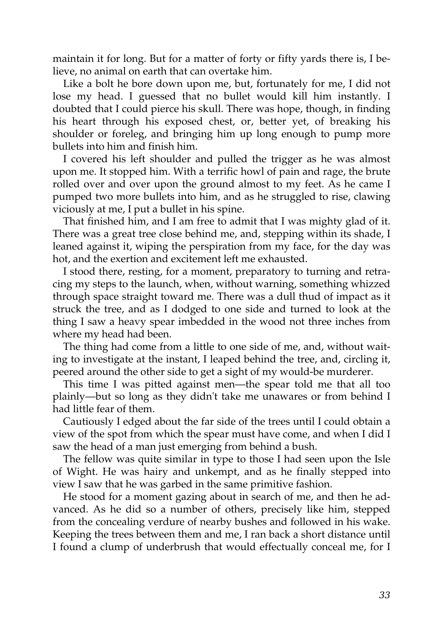maintain it for long. But for a matter of forty or fifty yards there is, I believe, no animal on earth that can overtake him.

Like a bolt he bore down upon me, but, fortunately for me, I did not lose my head. I guessed that no bullet would kill him instantly. I doubted that I could pierce his skull. There was hope, though, in finding his heart through his exposed chest, or, better yet, of breaking his shoulder or foreleg, and bringing him up long enough to pump more bullets into him and finish him.

I covered his left shoulder and pulled the trigger as he was almost upon me. It stopped him. With a terrific howl of pain and rage, the brute rolled over and over upon the ground almost to my feet. As he came I pumped two more bullets into him, and as he struggled to rise, clawing viciously at me, I put a bullet in his spine.

That finished him, and I am free to admit that I was mighty glad of it. There was a great tree close behind me, and, stepping within its shade, I leaned against it, wiping the perspiration from my face, for the day was hot, and the exertion and excitement left me exhausted.

I stood there, resting, for a moment, preparatory to turning and retracing my steps to the launch, when, without warning, something whizzed through space straight toward me. There was a dull thud of impact as it struck the tree, and as I dodged to one side and turned to look at the thing I saw a heavy spear imbedded in the wood not three inches from where my head had been.

The thing had come from a little to one side of me, and, without waiting to investigate at the instant, I leaped behind the tree, and, circling it, peered around the other side to get a sight of my would-be murderer.

This time I was pitted against men—the spear told me that all too plainly—but so long as they didn't take me unawares or from behind I had little fear of them.

Cautiously I edged about the far side of the trees until I could obtain a view of the spot from which the spear must have come, and when I did I saw the head of a man just emerging from behind a bush.

The fellow was quite similar in type to those I had seen upon the Isle of Wight. He was hairy and unkempt, and as he finally stepped into view I saw that he was garbed in the same primitive fashion.

He stood for a moment gazing about in search of me, and then he advanced. As he did so a number of others, precisely like him, stepped from the concealing verdure of nearby bushes and followed in his wake. Keeping the trees between them and me, I ran back a short distance until I found a clump of underbrush that would effectually conceal me, for I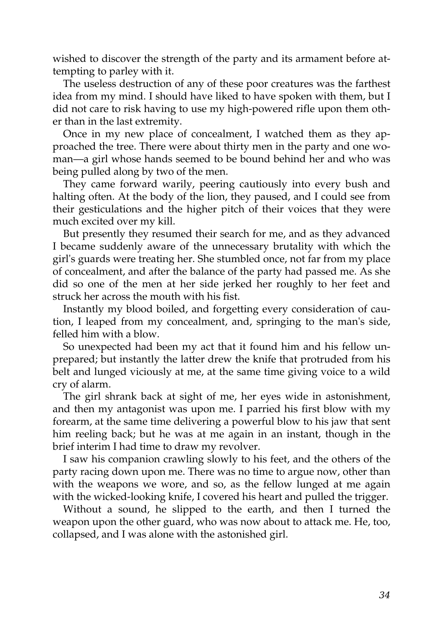wished to discover the strength of the party and its armament before attempting to parley with it.

The useless destruction of any of these poor creatures was the farthest idea from my mind. I should have liked to have spoken with them, but I did not care to risk having to use my high-powered rifle upon them other than in the last extremity.

Once in my new place of concealment, I watched them as they approached the tree. There were about thirty men in the party and one woman—a girl whose hands seemed to be bound behind her and who was being pulled along by two of the men.

They came forward warily, peering cautiously into every bush and halting often. At the body of the lion, they paused, and I could see from their gesticulations and the higher pitch of their voices that they were much excited over my kill.

But presently they resumed their search for me, and as they advanced I became suddenly aware of the unnecessary brutality with which the girl's guards were treating her. She stumbled once, not far from my place of concealment, and after the balance of the party had passed me. As she did so one of the men at her side jerked her roughly to her feet and struck her across the mouth with his fist.

Instantly my blood boiled, and forgetting every consideration of caution, I leaped from my concealment, and, springing to the man's side, felled him with a blow.

So unexpected had been my act that it found him and his fellow unprepared; but instantly the latter drew the knife that protruded from his belt and lunged viciously at me, at the same time giving voice to a wild cry of alarm.

The girl shrank back at sight of me, her eyes wide in astonishment, and then my antagonist was upon me. I parried his first blow with my forearm, at the same time delivering a powerful blow to his jaw that sent him reeling back; but he was at me again in an instant, though in the brief interim I had time to draw my revolver.

I saw his companion crawling slowly to his feet, and the others of the party racing down upon me. There was no time to argue now, other than with the weapons we wore, and so, as the fellow lunged at me again with the wicked-looking knife, I covered his heart and pulled the trigger.

Without a sound, he slipped to the earth, and then I turned the weapon upon the other guard, who was now about to attack me. He, too, collapsed, and I was alone with the astonished girl.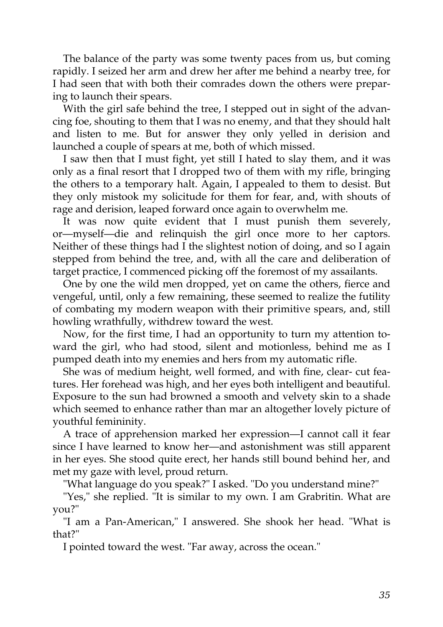The balance of the party was some twenty paces from us, but coming rapidly. I seized her arm and drew her after me behind a nearby tree, for I had seen that with both their comrades down the others were preparing to launch their spears.

With the girl safe behind the tree, I stepped out in sight of the advancing foe, shouting to them that I was no enemy, and that they should halt and listen to me. But for answer they only yelled in derision and launched a couple of spears at me, both of which missed.

I saw then that I must fight, yet still I hated to slay them, and it was only as a final resort that I dropped two of them with my rifle, bringing the others to a temporary halt. Again, I appealed to them to desist. But they only mistook my solicitude for them for fear, and, with shouts of rage and derision, leaped forward once again to overwhelm me.

It was now quite evident that I must punish them severely, or—myself—die and relinquish the girl once more to her captors. Neither of these things had I the slightest notion of doing, and so I again stepped from behind the tree, and, with all the care and deliberation of target practice, I commenced picking off the foremost of my assailants.

One by one the wild men dropped, yet on came the others, fierce and vengeful, until, only a few remaining, these seemed to realize the futility of combating my modern weapon with their primitive spears, and, still howling wrathfully, withdrew toward the west.

Now, for the first time, I had an opportunity to turn my attention toward the girl, who had stood, silent and motionless, behind me as I pumped death into my enemies and hers from my automatic rifle.

She was of medium height, well formed, and with fine, clear- cut features. Her forehead was high, and her eyes both intelligent and beautiful. Exposure to the sun had browned a smooth and velvety skin to a shade which seemed to enhance rather than mar an altogether lovely picture of youthful femininity.

A trace of apprehension marked her expression—I cannot call it fear since I have learned to know her—and astonishment was still apparent in her eyes. She stood quite erect, her hands still bound behind her, and met my gaze with level, proud return.

"What language do you speak?" I asked. "Do you understand mine?"

"Yes," she replied. "It is similar to my own. I am Grabritin. What are you?"

"I am a Pan-American," I answered. She shook her head. "What is that?"

I pointed toward the west. "Far away, across the ocean."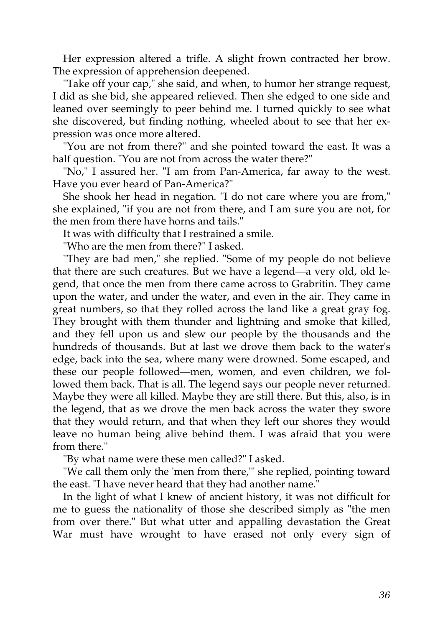Her expression altered a trifle. A slight frown contracted her brow. The expression of apprehension deepened.

"Take off your cap," she said, and when, to humor her strange request, I did as she bid, she appeared relieved. Then she edged to one side and leaned over seemingly to peer behind me. I turned quickly to see what she discovered, but finding nothing, wheeled about to see that her expression was once more altered.

"You are not from there?" and she pointed toward the east. It was a half question. "You are not from across the water there?"

"No," I assured her. "I am from Pan-America, far away to the west. Have you ever heard of Pan-America?"

She shook her head in negation. "I do not care where you are from," she explained, "if you are not from there, and I am sure you are not, for the men from there have horns and tails."

It was with difficulty that I restrained a smile.

"Who are the men from there?" I asked.

"They are bad men," she replied. "Some of my people do not believe that there are such creatures. But we have a legend—a very old, old legend, that once the men from there came across to Grabritin. They came upon the water, and under the water, and even in the air. They came in great numbers, so that they rolled across the land like a great gray fog. They brought with them thunder and lightning and smoke that killed, and they fell upon us and slew our people by the thousands and the hundreds of thousands. But at last we drove them back to the water's edge, back into the sea, where many were drowned. Some escaped, and these our people followed—men, women, and even children, we followed them back. That is all. The legend says our people never returned. Maybe they were all killed. Maybe they are still there. But this, also, is in the legend, that as we drove the men back across the water they swore that they would return, and that when they left our shores they would leave no human being alive behind them. I was afraid that you were from there."

"By what name were these men called?" I asked.

"We call them only the 'men from there,'" she replied, pointing toward the east. "I have never heard that they had another name."

In the light of what I knew of ancient history, it was not difficult for me to guess the nationality of those she described simply as "the men from over there." But what utter and appalling devastation the Great War must have wrought to have erased not only every sign of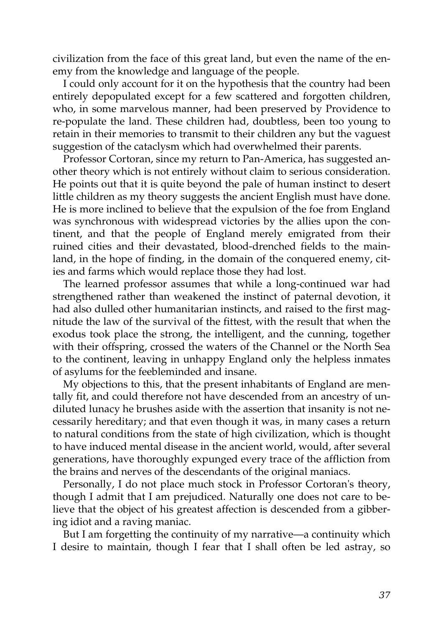civilization from the face of this great land, but even the name of the enemy from the knowledge and language of the people.

I could only account for it on the hypothesis that the country had been entirely depopulated except for a few scattered and forgotten children, who, in some marvelous manner, had been preserved by Providence to re-populate the land. These children had, doubtless, been too young to retain in their memories to transmit to their children any but the vaguest suggestion of the cataclysm which had overwhelmed their parents.

Professor Cortoran, since my return to Pan-America, has suggested another theory which is not entirely without claim to serious consideration. He points out that it is quite beyond the pale of human instinct to desert little children as my theory suggests the ancient English must have done. He is more inclined to believe that the expulsion of the foe from England was synchronous with widespread victories by the allies upon the continent, and that the people of England merely emigrated from their ruined cities and their devastated, blood-drenched fields to the mainland, in the hope of finding, in the domain of the conquered enemy, cities and farms which would replace those they had lost.

The learned professor assumes that while a long-continued war had strengthened rather than weakened the instinct of paternal devotion, it had also dulled other humanitarian instincts, and raised to the first magnitude the law of the survival of the fittest, with the result that when the exodus took place the strong, the intelligent, and the cunning, together with their offspring, crossed the waters of the Channel or the North Sea to the continent, leaving in unhappy England only the helpless inmates of asylums for the feebleminded and insane.

My objections to this, that the present inhabitants of England are mentally fit, and could therefore not have descended from an ancestry of undiluted lunacy he brushes aside with the assertion that insanity is not necessarily hereditary; and that even though it was, in many cases a return to natural conditions from the state of high civilization, which is thought to have induced mental disease in the ancient world, would, after several generations, have thoroughly expunged every trace of the affliction from the brains and nerves of the descendants of the original maniacs.

Personally, I do not place much stock in Professor Cortoran's theory, though I admit that I am prejudiced. Naturally one does not care to believe that the object of his greatest affection is descended from a gibbering idiot and a raving maniac.

But I am forgetting the continuity of my narrative—a continuity which I desire to maintain, though I fear that I shall often be led astray, so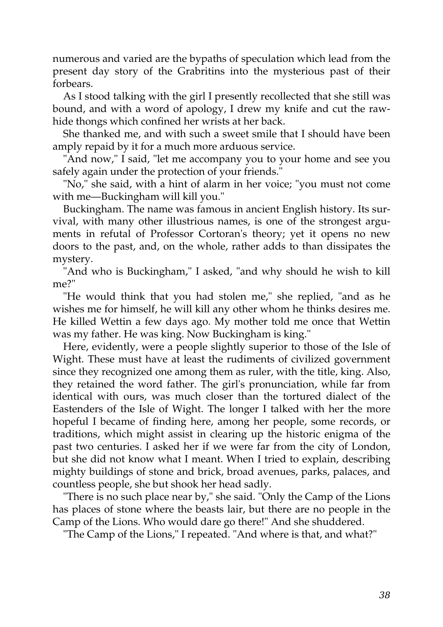numerous and varied are the bypaths of speculation which lead from the present day story of the Grabritins into the mysterious past of their forbears.

As I stood talking with the girl I presently recollected that she still was bound, and with a word of apology, I drew my knife and cut the rawhide thongs which confined her wrists at her back.

She thanked me, and with such a sweet smile that I should have been amply repaid by it for a much more arduous service.

"And now," I said, "let me accompany you to your home and see you safely again under the protection of your friends."

"No," she said, with a hint of alarm in her voice; "you must not come with me—Buckingham will kill you."

Buckingham. The name was famous in ancient English history. Its survival, with many other illustrious names, is one of the strongest arguments in refutal of Professor Cortoran's theory; yet it opens no new doors to the past, and, on the whole, rather adds to than dissipates the mystery.

"And who is Buckingham," I asked, "and why should he wish to kill me?"

"He would think that you had stolen me," she replied, "and as he wishes me for himself, he will kill any other whom he thinks desires me. He killed Wettin a few days ago. My mother told me once that Wettin was my father. He was king. Now Buckingham is king."

Here, evidently, were a people slightly superior to those of the Isle of Wight. These must have at least the rudiments of civilized government since they recognized one among them as ruler, with the title, king. Also, they retained the word father. The girl's pronunciation, while far from identical with ours, was much closer than the tortured dialect of the Eastenders of the Isle of Wight. The longer I talked with her the more hopeful I became of finding here, among her people, some records, or traditions, which might assist in clearing up the historic enigma of the past two centuries. I asked her if we were far from the city of London, but she did not know what I meant. When I tried to explain, describing mighty buildings of stone and brick, broad avenues, parks, palaces, and countless people, she but shook her head sadly.

"There is no such place near by," she said. "Only the Camp of the Lions has places of stone where the beasts lair, but there are no people in the Camp of the Lions. Who would dare go there!" And she shuddered.

"The Camp of the Lions," I repeated. "And where is that, and what?"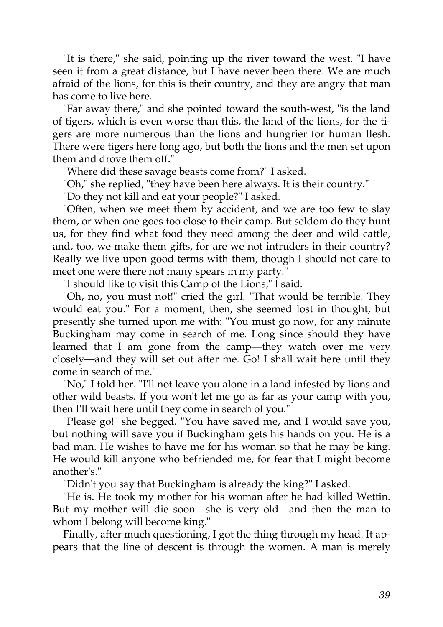"It is there," she said, pointing up the river toward the west. "I have seen it from a great distance, but I have never been there. We are much afraid of the lions, for this is their country, and they are angry that man has come to live here.

"Far away there," and she pointed toward the south-west, "is the land of tigers, which is even worse than this, the land of the lions, for the tigers are more numerous than the lions and hungrier for human flesh. There were tigers here long ago, but both the lions and the men set upon them and drove them off."

"Where did these savage beasts come from?" I asked.

"Oh," she replied, "they have been here always. It is their country."

"Do they not kill and eat your people?" I asked.

"Often, when we meet them by accident, and we are too few to slay them, or when one goes too close to their camp. But seldom do they hunt us, for they find what food they need among the deer and wild cattle, and, too, we make them gifts, for are we not intruders in their country? Really we live upon good terms with them, though I should not care to meet one were there not many spears in my party."

"I should like to visit this Camp of the Lions," I said.

"Oh, no, you must not!" cried the girl. "That would be terrible. They would eat you." For a moment, then, she seemed lost in thought, but presently she turned upon me with: "You must go now, for any minute Buckingham may come in search of me. Long since should they have learned that I am gone from the camp—they watch over me very closely—and they will set out after me. Go! I shall wait here until they come in search of me."

"No," I told her. "I'll not leave you alone in a land infested by lions and other wild beasts. If you won't let me go as far as your camp with you, then I'll wait here until they come in search of you."

"Please go!" she begged. "You have saved me, and I would save you, but nothing will save you if Buckingham gets his hands on you. He is a bad man. He wishes to have me for his woman so that he may be king. He would kill anyone who befriended me, for fear that I might become another's."

"Didn't you say that Buckingham is already the king?" I asked.

"He is. He took my mother for his woman after he had killed Wettin. But my mother will die soon—she is very old—and then the man to whom I belong will become king."

Finally, after much questioning, I got the thing through my head. It appears that the line of descent is through the women. A man is merely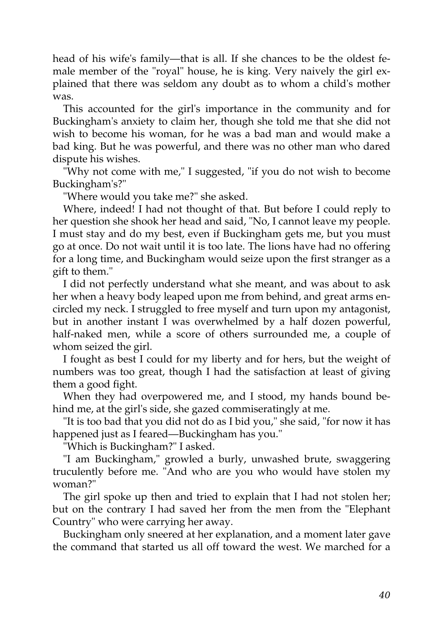head of his wife's family—that is all. If she chances to be the oldest female member of the "royal" house, he is king. Very naively the girl explained that there was seldom any doubt as to whom a child's mother was.

This accounted for the girl's importance in the community and for Buckingham's anxiety to claim her, though she told me that she did not wish to become his woman, for he was a bad man and would make a bad king. But he was powerful, and there was no other man who dared dispute his wishes.

"Why not come with me," I suggested, "if you do not wish to become Buckingham's?"

"Where would you take me?" she asked.

Where, indeed! I had not thought of that. But before I could reply to her question she shook her head and said, "No, I cannot leave my people. I must stay and do my best, even if Buckingham gets me, but you must go at once. Do not wait until it is too late. The lions have had no offering for a long time, and Buckingham would seize upon the first stranger as a gift to them."

I did not perfectly understand what she meant, and was about to ask her when a heavy body leaped upon me from behind, and great arms encircled my neck. I struggled to free myself and turn upon my antagonist, but in another instant I was overwhelmed by a half dozen powerful, half-naked men, while a score of others surrounded me, a couple of whom seized the girl.

I fought as best I could for my liberty and for hers, but the weight of numbers was too great, though I had the satisfaction at least of giving them a good fight.

When they had overpowered me, and I stood, my hands bound behind me, at the girl's side, she gazed commiseratingly at me.

"It is too bad that you did not do as I bid you," she said, "for now it has happened just as I feared—Buckingham has you."

"Which is Buckingham?" I asked.

"I am Buckingham," growled a burly, unwashed brute, swaggering truculently before me. "And who are you who would have stolen my woman?"

The girl spoke up then and tried to explain that I had not stolen her; but on the contrary I had saved her from the men from the "Elephant Country" who were carrying her away.

Buckingham only sneered at her explanation, and a moment later gave the command that started us all off toward the west. We marched for a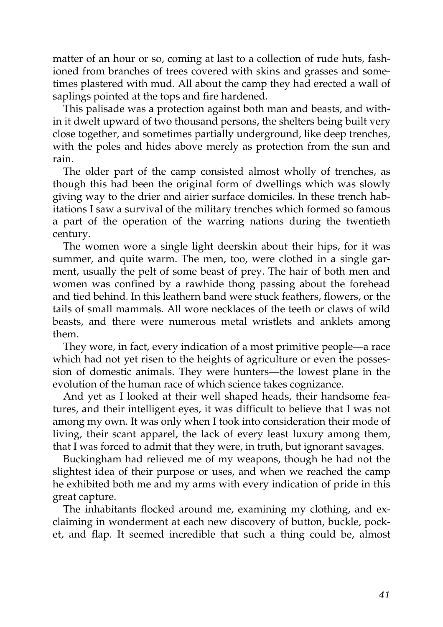matter of an hour or so, coming at last to a collection of rude huts, fashioned from branches of trees covered with skins and grasses and sometimes plastered with mud. All about the camp they had erected a wall of saplings pointed at the tops and fire hardened.

This palisade was a protection against both man and beasts, and within it dwelt upward of two thousand persons, the shelters being built very close together, and sometimes partially underground, like deep trenches, with the poles and hides above merely as protection from the sun and rain.

The older part of the camp consisted almost wholly of trenches, as though this had been the original form of dwellings which was slowly giving way to the drier and airier surface domiciles. In these trench habitations I saw a survival of the military trenches which formed so famous a part of the operation of the warring nations during the twentieth century.

The women wore a single light deerskin about their hips, for it was summer, and quite warm. The men, too, were clothed in a single garment, usually the pelt of some beast of prey. The hair of both men and women was confined by a rawhide thong passing about the forehead and tied behind. In this leathern band were stuck feathers, flowers, or the tails of small mammals. All wore necklaces of the teeth or claws of wild beasts, and there were numerous metal wristlets and anklets among them.

They wore, in fact, every indication of a most primitive people—a race which had not yet risen to the heights of agriculture or even the possession of domestic animals. They were hunters—the lowest plane in the evolution of the human race of which science takes cognizance.

And yet as I looked at their well shaped heads, their handsome features, and their intelligent eyes, it was difficult to believe that I was not among my own. It was only when I took into consideration their mode of living, their scant apparel, the lack of every least luxury among them, that I was forced to admit that they were, in truth, but ignorant savages.

Buckingham had relieved me of my weapons, though he had not the slightest idea of their purpose or uses, and when we reached the camp he exhibited both me and my arms with every indication of pride in this great capture.

The inhabitants flocked around me, examining my clothing, and exclaiming in wonderment at each new discovery of button, buckle, pocket, and flap. It seemed incredible that such a thing could be, almost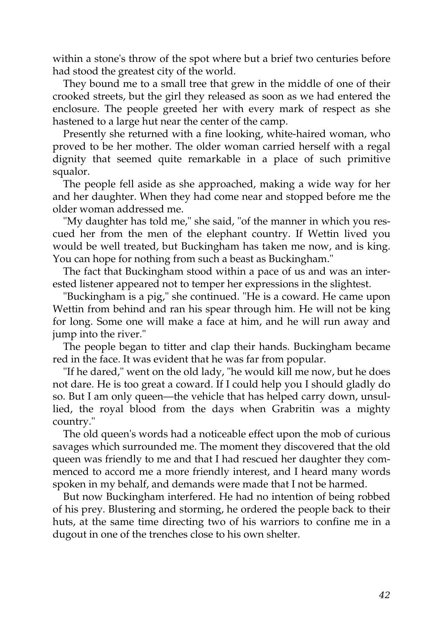within a stone's throw of the spot where but a brief two centuries before had stood the greatest city of the world.

They bound me to a small tree that grew in the middle of one of their crooked streets, but the girl they released as soon as we had entered the enclosure. The people greeted her with every mark of respect as she hastened to a large hut near the center of the camp.

Presently she returned with a fine looking, white-haired woman, who proved to be her mother. The older woman carried herself with a regal dignity that seemed quite remarkable in a place of such primitive squalor.

The people fell aside as she approached, making a wide way for her and her daughter. When they had come near and stopped before me the older woman addressed me.

"My daughter has told me," she said, "of the manner in which you rescued her from the men of the elephant country. If Wettin lived you would be well treated, but Buckingham has taken me now, and is king. You can hope for nothing from such a beast as Buckingham."

The fact that Buckingham stood within a pace of us and was an interested listener appeared not to temper her expressions in the slightest.

"Buckingham is a pig," she continued. "He is a coward. He came upon Wettin from behind and ran his spear through him. He will not be king for long. Some one will make a face at him, and he will run away and jump into the river."

The people began to titter and clap their hands. Buckingham became red in the face. It was evident that he was far from popular.

"If he dared," went on the old lady, "he would kill me now, but he does not dare. He is too great a coward. If I could help you I should gladly do so. But I am only queen—the vehicle that has helped carry down, unsullied, the royal blood from the days when Grabritin was a mighty country."

The old queen's words had a noticeable effect upon the mob of curious savages which surrounded me. The moment they discovered that the old queen was friendly to me and that I had rescued her daughter they commenced to accord me a more friendly interest, and I heard many words spoken in my behalf, and demands were made that I not be harmed.

But now Buckingham interfered. He had no intention of being robbed of his prey. Blustering and storming, he ordered the people back to their huts, at the same time directing two of his warriors to confine me in a dugout in one of the trenches close to his own shelter.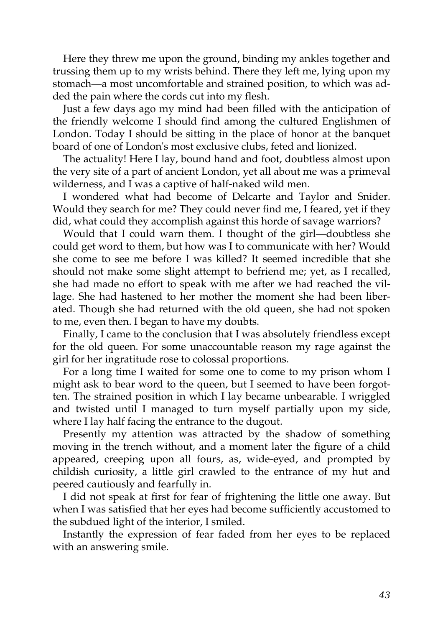Here they threw me upon the ground, binding my ankles together and trussing them up to my wrists behind. There they left me, lying upon my stomach—a most uncomfortable and strained position, to which was added the pain where the cords cut into my flesh.

Just a few days ago my mind had been filled with the anticipation of the friendly welcome I should find among the cultured Englishmen of London. Today I should be sitting in the place of honor at the banquet board of one of London's most exclusive clubs, feted and lionized.

The actuality! Here I lay, bound hand and foot, doubtless almost upon the very site of a part of ancient London, yet all about me was a primeval wilderness, and I was a captive of half-naked wild men.

I wondered what had become of Delcarte and Taylor and Snider. Would they search for me? They could never find me, I feared, yet if they did, what could they accomplish against this horde of savage warriors?

Would that I could warn them. I thought of the girl—doubtless she could get word to them, but how was I to communicate with her? Would she come to see me before I was killed? It seemed incredible that she should not make some slight attempt to befriend me; yet, as I recalled, she had made no effort to speak with me after we had reached the village. She had hastened to her mother the moment she had been liberated. Though she had returned with the old queen, she had not spoken to me, even then. I began to have my doubts.

Finally, I came to the conclusion that I was absolutely friendless except for the old queen. For some unaccountable reason my rage against the girl for her ingratitude rose to colossal proportions.

For a long time I waited for some one to come to my prison whom I might ask to bear word to the queen, but I seemed to have been forgotten. The strained position in which I lay became unbearable. I wriggled and twisted until I managed to turn myself partially upon my side, where I lay half facing the entrance to the dugout.

Presently my attention was attracted by the shadow of something moving in the trench without, and a moment later the figure of a child appeared, creeping upon all fours, as, wide-eyed, and prompted by childish curiosity, a little girl crawled to the entrance of my hut and peered cautiously and fearfully in.

I did not speak at first for fear of frightening the little one away. But when I was satisfied that her eyes had become sufficiently accustomed to the subdued light of the interior, I smiled.

Instantly the expression of fear faded from her eyes to be replaced with an answering smile.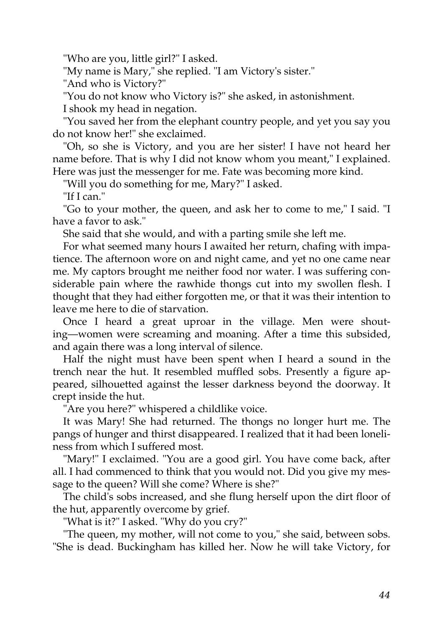"Who are you, little girl?" I asked.

"My name is Mary," she replied. "I am Victory's sister."

"And who is Victory?"

"You do not know who Victory is?" she asked, in astonishment.

I shook my head in negation.

"You saved her from the elephant country people, and yet you say you do not know her!" she exclaimed.

"Oh, so she is Victory, and you are her sister! I have not heard her name before. That is why I did not know whom you meant," I explained. Here was just the messenger for me. Fate was becoming more kind.

"Will you do something for me, Mary?" I asked.

"If I can."

"Go to your mother, the queen, and ask her to come to me," I said. "I have a favor to ask."

She said that she would, and with a parting smile she left me.

For what seemed many hours I awaited her return, chafing with impatience. The afternoon wore on and night came, and yet no one came near me. My captors brought me neither food nor water. I was suffering considerable pain where the rawhide thongs cut into my swollen flesh. I thought that they had either forgotten me, or that it was their intention to leave me here to die of starvation.

Once I heard a great uproar in the village. Men were shouting—women were screaming and moaning. After a time this subsided, and again there was a long interval of silence.

Half the night must have been spent when I heard a sound in the trench near the hut. It resembled muffled sobs. Presently a figure appeared, silhouetted against the lesser darkness beyond the doorway. It crept inside the hut.

"Are you here?" whispered a childlike voice.

It was Mary! She had returned. The thongs no longer hurt me. The pangs of hunger and thirst disappeared. I realized that it had been loneliness from which I suffered most.

"Mary!" I exclaimed. "You are a good girl. You have come back, after all. I had commenced to think that you would not. Did you give my message to the queen? Will she come? Where is she?"

The child's sobs increased, and she flung herself upon the dirt floor of the hut, apparently overcome by grief.

"What is it?" I asked. "Why do you cry?"

"The queen, my mother, will not come to you," she said, between sobs. "She is dead. Buckingham has killed her. Now he will take Victory, for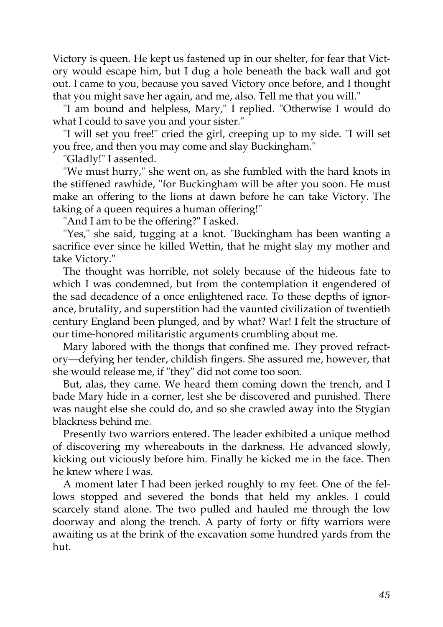Victory is queen. He kept us fastened up in our shelter, for fear that Victory would escape him, but I dug a hole beneath the back wall and got out. I came to you, because you saved Victory once before, and I thought that you might save her again, and me, also. Tell me that you will."

"I am bound and helpless, Mary," I replied. "Otherwise I would do what I could to save you and your sister."

"I will set you free!" cried the girl, creeping up to my side. "I will set you free, and then you may come and slay Buckingham."

"Gladly!" I assented.

"We must hurry," she went on, as she fumbled with the hard knots in the stiffened rawhide, "for Buckingham will be after you soon. He must make an offering to the lions at dawn before he can take Victory. The taking of a queen requires a human offering!"

"And I am to be the offering?" I asked.

"Yes," she said, tugging at a knot. "Buckingham has been wanting a sacrifice ever since he killed Wettin, that he might slay my mother and take Victory."

The thought was horrible, not solely because of the hideous fate to which I was condemned, but from the contemplation it engendered of the sad decadence of a once enlightened race. To these depths of ignorance, brutality, and superstition had the vaunted civilization of twentieth century England been plunged, and by what? War! I felt the structure of our time-honored militaristic arguments crumbling about me.

Mary labored with the thongs that confined me. They proved refractory—defying her tender, childish fingers. She assured me, however, that she would release me, if "they" did not come too soon.

But, alas, they came. We heard them coming down the trench, and I bade Mary hide in a corner, lest she be discovered and punished. There was naught else she could do, and so she crawled away into the Stygian blackness behind me.

Presently two warriors entered. The leader exhibited a unique method of discovering my whereabouts in the darkness. He advanced slowly, kicking out viciously before him. Finally he kicked me in the face. Then he knew where I was.

A moment later I had been jerked roughly to my feet. One of the fellows stopped and severed the bonds that held my ankles. I could scarcely stand alone. The two pulled and hauled me through the low doorway and along the trench. A party of forty or fifty warriors were awaiting us at the brink of the excavation some hundred yards from the hut.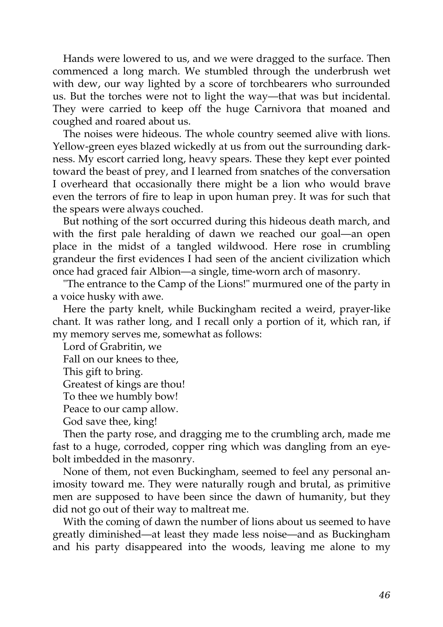Hands were lowered to us, and we were dragged to the surface. Then commenced a long march. We stumbled through the underbrush wet with dew, our way lighted by a score of torchbearers who surrounded us. But the torches were not to light the way—that was but incidental. They were carried to keep off the huge Carnivora that moaned and coughed and roared about us.

The noises were hideous. The whole country seemed alive with lions. Yellow-green eyes blazed wickedly at us from out the surrounding darkness. My escort carried long, heavy spears. These they kept ever pointed toward the beast of prey, and I learned from snatches of the conversation I overheard that occasionally there might be a lion who would brave even the terrors of fire to leap in upon human prey. It was for such that the spears were always couched.

But nothing of the sort occurred during this hideous death march, and with the first pale heralding of dawn we reached our goal—an open place in the midst of a tangled wildwood. Here rose in crumbling grandeur the first evidences I had seen of the ancient civilization which once had graced fair Albion—a single, time-worn arch of masonry.

"The entrance to the Camp of the Lions!" murmured one of the party in a voice husky with awe.

Here the party knelt, while Buckingham recited a weird, prayer-like chant. It was rather long, and I recall only a portion of it, which ran, if my memory serves me, somewhat as follows:

Lord of Grabritin, we

Fall on our knees to thee,

This gift to bring.

Greatest of kings are thou!

To thee we humbly bow!

Peace to our camp allow.

God save thee, king!

Then the party rose, and dragging me to the crumbling arch, made me fast to a huge, corroded, copper ring which was dangling from an eyebolt imbedded in the masonry.

None of them, not even Buckingham, seemed to feel any personal animosity toward me. They were naturally rough and brutal, as primitive men are supposed to have been since the dawn of humanity, but they did not go out of their way to maltreat me.

With the coming of dawn the number of lions about us seemed to have greatly diminished—at least they made less noise—and as Buckingham and his party disappeared into the woods, leaving me alone to my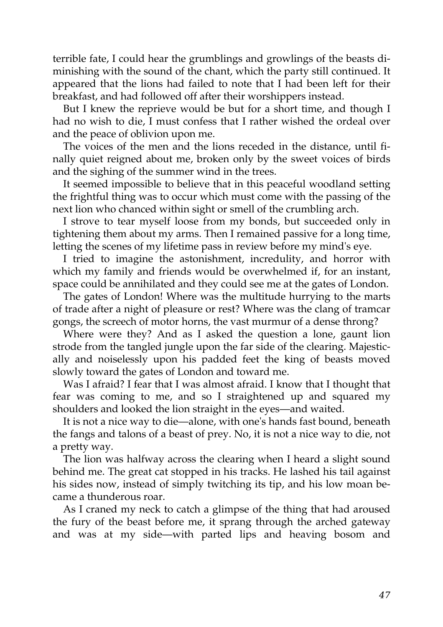terrible fate, I could hear the grumblings and growlings of the beasts diminishing with the sound of the chant, which the party still continued. It appeared that the lions had failed to note that I had been left for their breakfast, and had followed off after their worshippers instead.

But I knew the reprieve would be but for a short time, and though I had no wish to die, I must confess that I rather wished the ordeal over and the peace of oblivion upon me.

The voices of the men and the lions receded in the distance, until finally quiet reigned about me, broken only by the sweet voices of birds and the sighing of the summer wind in the trees.

It seemed impossible to believe that in this peaceful woodland setting the frightful thing was to occur which must come with the passing of the next lion who chanced within sight or smell of the crumbling arch.

I strove to tear myself loose from my bonds, but succeeded only in tightening them about my arms. Then I remained passive for a long time, letting the scenes of my lifetime pass in review before my mind's eye.

I tried to imagine the astonishment, incredulity, and horror with which my family and friends would be overwhelmed if, for an instant, space could be annihilated and they could see me at the gates of London.

The gates of London! Where was the multitude hurrying to the marts of trade after a night of pleasure or rest? Where was the clang of tramcar gongs, the screech of motor horns, the vast murmur of a dense throng?

Where were they? And as I asked the question a lone, gaunt lion strode from the tangled jungle upon the far side of the clearing. Majestically and noiselessly upon his padded feet the king of beasts moved slowly toward the gates of London and toward me.

Was I afraid? I fear that I was almost afraid. I know that I thought that fear was coming to me, and so I straightened up and squared my shoulders and looked the lion straight in the eyes—and waited.

It is not a nice way to die—alone, with one's hands fast bound, beneath the fangs and talons of a beast of prey. No, it is not a nice way to die, not a pretty way.

The lion was halfway across the clearing when I heard a slight sound behind me. The great cat stopped in his tracks. He lashed his tail against his sides now, instead of simply twitching its tip, and his low moan became a thunderous roar.

As I craned my neck to catch a glimpse of the thing that had aroused the fury of the beast before me, it sprang through the arched gateway and was at my side—with parted lips and heaving bosom and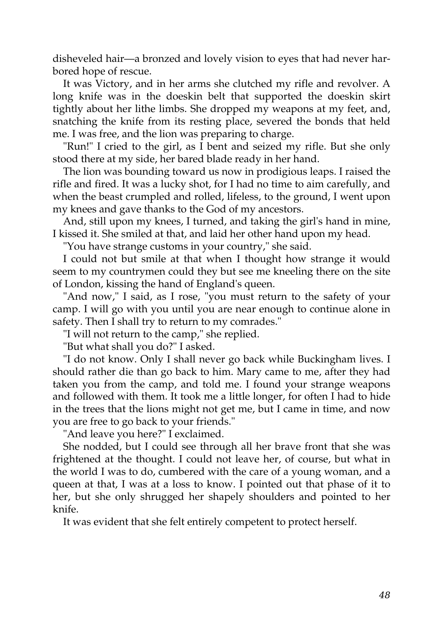disheveled hair—a bronzed and lovely vision to eyes that had never harbored hope of rescue.

It was Victory, and in her arms she clutched my rifle and revolver. A long knife was in the doeskin belt that supported the doeskin skirt tightly about her lithe limbs. She dropped my weapons at my feet, and, snatching the knife from its resting place, severed the bonds that held me. I was free, and the lion was preparing to charge.

"Run!" I cried to the girl, as I bent and seized my rifle. But she only stood there at my side, her bared blade ready in her hand.

The lion was bounding toward us now in prodigious leaps. I raised the rifle and fired. It was a lucky shot, for I had no time to aim carefully, and when the beast crumpled and rolled, lifeless, to the ground, I went upon my knees and gave thanks to the God of my ancestors.

And, still upon my knees, I turned, and taking the girl's hand in mine, I kissed it. She smiled at that, and laid her other hand upon my head.

"You have strange customs in your country," she said.

I could not but smile at that when I thought how strange it would seem to my countrymen could they but see me kneeling there on the site of London, kissing the hand of England's queen.

"And now," I said, as I rose, "you must return to the safety of your camp. I will go with you until you are near enough to continue alone in safety. Then I shall try to return to my comrades."

"I will not return to the camp," she replied.

"But what shall you do?" I asked.

"I do not know. Only I shall never go back while Buckingham lives. I should rather die than go back to him. Mary came to me, after they had taken you from the camp, and told me. I found your strange weapons and followed with them. It took me a little longer, for often I had to hide in the trees that the lions might not get me, but I came in time, and now you are free to go back to your friends."

"And leave you here?" I exclaimed.

She nodded, but I could see through all her brave front that she was frightened at the thought. I could not leave her, of course, but what in the world I was to do, cumbered with the care of a young woman, and a queen at that, I was at a loss to know. I pointed out that phase of it to her, but she only shrugged her shapely shoulders and pointed to her knife.

It was evident that she felt entirely competent to protect herself.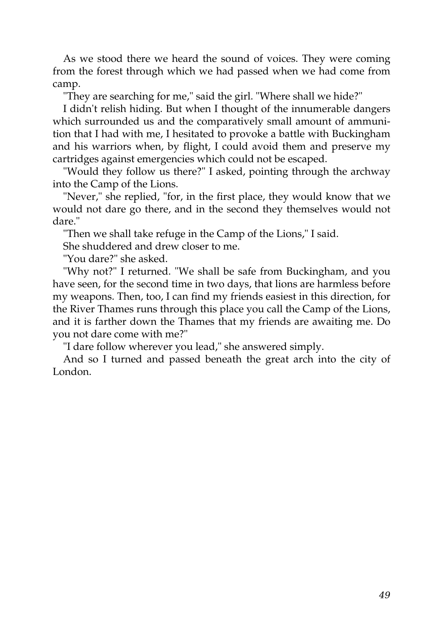As we stood there we heard the sound of voices. They were coming from the forest through which we had passed when we had come from camp.

"They are searching for me," said the girl. "Where shall we hide?"

I didn't relish hiding. But when I thought of the innumerable dangers which surrounded us and the comparatively small amount of ammunition that I had with me, I hesitated to provoke a battle with Buckingham and his warriors when, by flight, I could avoid them and preserve my cartridges against emergencies which could not be escaped.

"Would they follow us there?" I asked, pointing through the archway into the Camp of the Lions.

"Never," she replied, "for, in the first place, they would know that we would not dare go there, and in the second they themselves would not dare."

"Then we shall take refuge in the Camp of the Lions," I said.

She shuddered and drew closer to me.

"You dare?" she asked.

"Why not?" I returned. "We shall be safe from Buckingham, and you have seen, for the second time in two days, that lions are harmless before my weapons. Then, too, I can find my friends easiest in this direction, for the River Thames runs through this place you call the Camp of the Lions, and it is farther down the Thames that my friends are awaiting me. Do you not dare come with me?"

"I dare follow wherever you lead," she answered simply.

And so I turned and passed beneath the great arch into the city of London.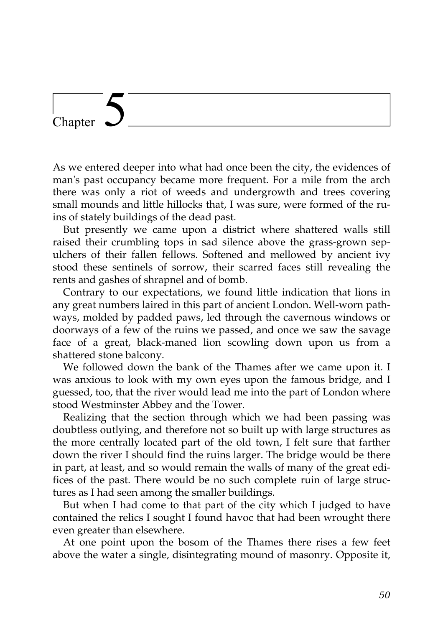## Chapter

As we entered deeper into what had once been the city, the evidences of man's past occupancy became more frequent. For a mile from the arch there was only a riot of weeds and undergrowth and trees covering small mounds and little hillocks that, I was sure, were formed of the ruins of stately buildings of the dead past.

But presently we came upon a district where shattered walls still raised their crumbling tops in sad silence above the grass-grown sepulchers of their fallen fellows. Softened and mellowed by ancient ivy stood these sentinels of sorrow, their scarred faces still revealing the rents and gashes of shrapnel and of bomb.

Contrary to our expectations, we found little indication that lions in any great numbers laired in this part of ancient London. Well-worn pathways, molded by padded paws, led through the cavernous windows or doorways of a few of the ruins we passed, and once we saw the savage face of a great, black-maned lion scowling down upon us from a shattered stone balcony.

We followed down the bank of the Thames after we came upon it. I was anxious to look with my own eyes upon the famous bridge, and I guessed, too, that the river would lead me into the part of London where stood Westminster Abbey and the Tower.

Realizing that the section through which we had been passing was doubtless outlying, and therefore not so built up with large structures as the more centrally located part of the old town, I felt sure that farther down the river I should find the ruins larger. The bridge would be there in part, at least, and so would remain the walls of many of the great edifices of the past. There would be no such complete ruin of large structures as I had seen among the smaller buildings.

But when I had come to that part of the city which I judged to have contained the relics I sought I found havoc that had been wrought there even greater than elsewhere.

At one point upon the bosom of the Thames there rises a few feet above the water a single, disintegrating mound of masonry. Opposite it,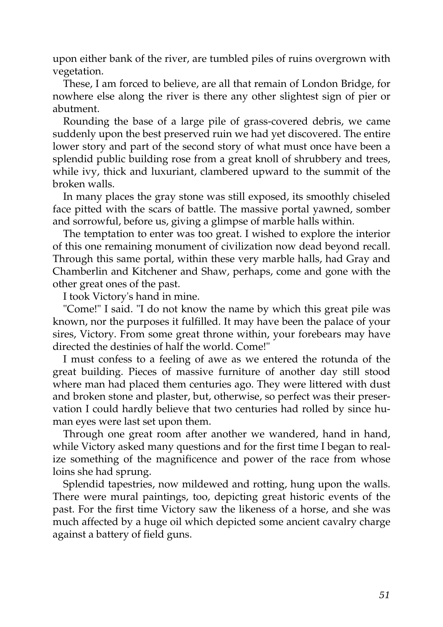upon either bank of the river, are tumbled piles of ruins overgrown with vegetation.

These, I am forced to believe, are all that remain of London Bridge, for nowhere else along the river is there any other slightest sign of pier or abutment.

Rounding the base of a large pile of grass-covered debris, we came suddenly upon the best preserved ruin we had yet discovered. The entire lower story and part of the second story of what must once have been a splendid public building rose from a great knoll of shrubbery and trees, while ivy, thick and luxuriant, clambered upward to the summit of the broken walls.

In many places the gray stone was still exposed, its smoothly chiseled face pitted with the scars of battle. The massive portal yawned, somber and sorrowful, before us, giving a glimpse of marble halls within.

The temptation to enter was too great. I wished to explore the interior of this one remaining monument of civilization now dead beyond recall. Through this same portal, within these very marble halls, had Gray and Chamberlin and Kitchener and Shaw, perhaps, come and gone with the other great ones of the past.

I took Victory's hand in mine.

"Come!" I said. "I do not know the name by which this great pile was known, nor the purposes it fulfilled. It may have been the palace of your sires, Victory. From some great throne within, your forebears may have directed the destinies of half the world. Come!"

I must confess to a feeling of awe as we entered the rotunda of the great building. Pieces of massive furniture of another day still stood where man had placed them centuries ago. They were littered with dust and broken stone and plaster, but, otherwise, so perfect was their preservation I could hardly believe that two centuries had rolled by since human eyes were last set upon them.

Through one great room after another we wandered, hand in hand, while Victory asked many questions and for the first time I began to realize something of the magnificence and power of the race from whose loins she had sprung.

Splendid tapestries, now mildewed and rotting, hung upon the walls. There were mural paintings, too, depicting great historic events of the past. For the first time Victory saw the likeness of a horse, and she was much affected by a huge oil which depicted some ancient cavalry charge against a battery of field guns.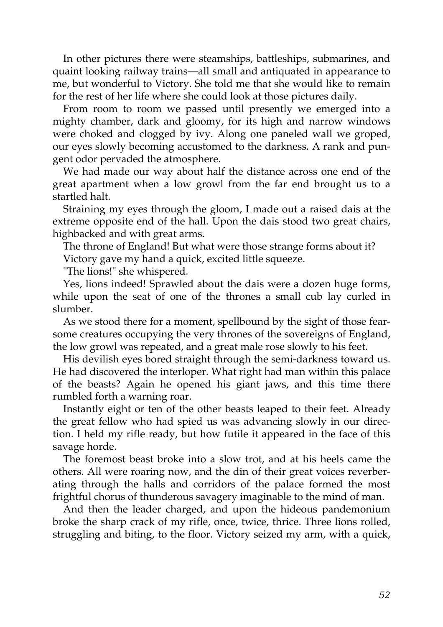In other pictures there were steamships, battleships, submarines, and quaint looking railway trains—all small and antiquated in appearance to me, but wonderful to Victory. She told me that she would like to remain for the rest of her life where she could look at those pictures daily.

From room to room we passed until presently we emerged into a mighty chamber, dark and gloomy, for its high and narrow windows were choked and clogged by ivy. Along one paneled wall we groped, our eyes slowly becoming accustomed to the darkness. A rank and pungent odor pervaded the atmosphere.

We had made our way about half the distance across one end of the great apartment when a low growl from the far end brought us to a startled halt.

Straining my eyes through the gloom, I made out a raised dais at the extreme opposite end of the hall. Upon the dais stood two great chairs, highbacked and with great arms.

The throne of England! But what were those strange forms about it?

Victory gave my hand a quick, excited little squeeze.

"The lions!" she whispered.

Yes, lions indeed! Sprawled about the dais were a dozen huge forms, while upon the seat of one of the thrones a small cub lay curled in slumber.

As we stood there for a moment, spellbound by the sight of those fearsome creatures occupying the very thrones of the sovereigns of England, the low growl was repeated, and a great male rose slowly to his feet.

His devilish eyes bored straight through the semi-darkness toward us. He had discovered the interloper. What right had man within this palace of the beasts? Again he opened his giant jaws, and this time there rumbled forth a warning roar.

Instantly eight or ten of the other beasts leaped to their feet. Already the great fellow who had spied us was advancing slowly in our direction. I held my rifle ready, but how futile it appeared in the face of this savage horde.

The foremost beast broke into a slow trot, and at his heels came the others. All were roaring now, and the din of their great voices reverberating through the halls and corridors of the palace formed the most frightful chorus of thunderous savagery imaginable to the mind of man.

And then the leader charged, and upon the hideous pandemonium broke the sharp crack of my rifle, once, twice, thrice. Three lions rolled, struggling and biting, to the floor. Victory seized my arm, with a quick,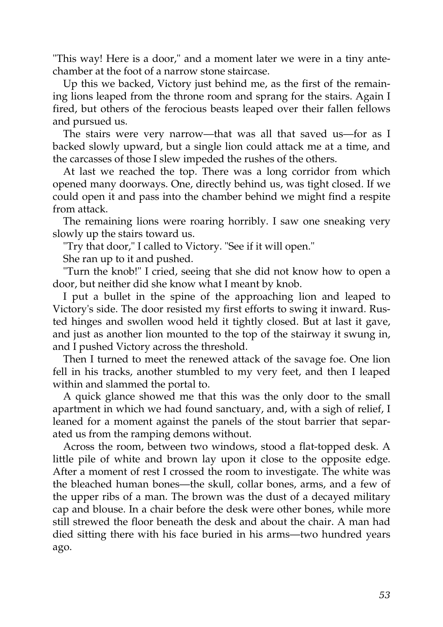"This way! Here is a door," and a moment later we were in a tiny antechamber at the foot of a narrow stone staircase.

Up this we backed, Victory just behind me, as the first of the remaining lions leaped from the throne room and sprang for the stairs. Again I fired, but others of the ferocious beasts leaped over their fallen fellows and pursued us.

The stairs were very narrow—that was all that saved us—for as I backed slowly upward, but a single lion could attack me at a time, and the carcasses of those I slew impeded the rushes of the others.

At last we reached the top. There was a long corridor from which opened many doorways. One, directly behind us, was tight closed. If we could open it and pass into the chamber behind we might find a respite from attack.

The remaining lions were roaring horribly. I saw one sneaking very slowly up the stairs toward us.

"Try that door," I called to Victory. "See if it will open."

She ran up to it and pushed.

"Turn the knob!" I cried, seeing that she did not know how to open a door, but neither did she know what I meant by knob.

I put a bullet in the spine of the approaching lion and leaped to Victory's side. The door resisted my first efforts to swing it inward. Rusted hinges and swollen wood held it tightly closed. But at last it gave, and just as another lion mounted to the top of the stairway it swung in, and I pushed Victory across the threshold.

Then I turned to meet the renewed attack of the savage foe. One lion fell in his tracks, another stumbled to my very feet, and then I leaped within and slammed the portal to.

A quick glance showed me that this was the only door to the small apartment in which we had found sanctuary, and, with a sigh of relief, I leaned for a moment against the panels of the stout barrier that separated us from the ramping demons without.

Across the room, between two windows, stood a flat-topped desk. A little pile of white and brown lay upon it close to the opposite edge. After a moment of rest I crossed the room to investigate. The white was the bleached human bones—the skull, collar bones, arms, and a few of the upper ribs of a man. The brown was the dust of a decayed military cap and blouse. In a chair before the desk were other bones, while more still strewed the floor beneath the desk and about the chair. A man had died sitting there with his face buried in his arms—two hundred years ago.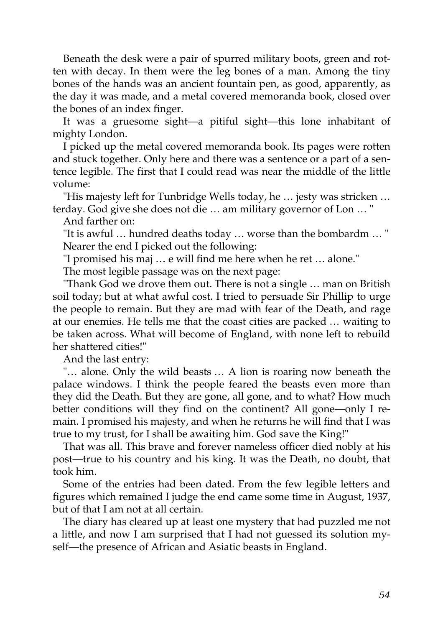Beneath the desk were a pair of spurred military boots, green and rotten with decay. In them were the leg bones of a man. Among the tiny bones of the hands was an ancient fountain pen, as good, apparently, as the day it was made, and a metal covered memoranda book, closed over the bones of an index finger.

It was a gruesome sight—a pitiful sight—this lone inhabitant of mighty London.

I picked up the metal covered memoranda book. Its pages were rotten and stuck together. Only here and there was a sentence or a part of a sentence legible. The first that I could read was near the middle of the little volume:

"His majesty left for Tunbridge Wells today, he … jesty was stricken … terday. God give she does not die … am military governor of Lon … "

And farther on:

"It is awful … hundred deaths today … worse than the bombardm … " Nearer the end I picked out the following:

"I promised his maj … e will find me here when he ret … alone."

The most legible passage was on the next page:

"Thank God we drove them out. There is not a single … man on British soil today; but at what awful cost. I tried to persuade Sir Phillip to urge the people to remain. But they are mad with fear of the Death, and rage at our enemies. He tells me that the coast cities are packed … waiting to be taken across. What will become of England, with none left to rebuild her shattered cities!"

And the last entry:

"… alone. Only the wild beasts … A lion is roaring now beneath the palace windows. I think the people feared the beasts even more than they did the Death. But they are gone, all gone, and to what? How much better conditions will they find on the continent? All gone—only I remain. I promised his majesty, and when he returns he will find that I was true to my trust, for I shall be awaiting him. God save the King!"

That was all. This brave and forever nameless officer died nobly at his post—true to his country and his king. It was the Death, no doubt, that took him.

Some of the entries had been dated. From the few legible letters and figures which remained I judge the end came some time in August, 1937, but of that I am not at all certain.

The diary has cleared up at least one mystery that had puzzled me not a little, and now I am surprised that I had not guessed its solution myself—the presence of African and Asiatic beasts in England.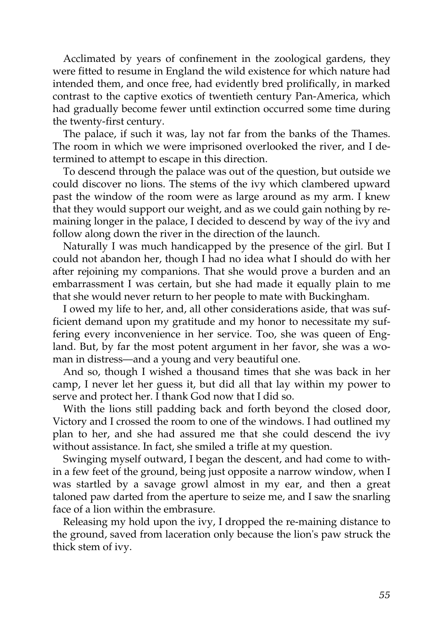Acclimated by years of confinement in the zoological gardens, they were fitted to resume in England the wild existence for which nature had intended them, and once free, had evidently bred prolifically, in marked contrast to the captive exotics of twentieth century Pan-America, which had gradually become fewer until extinction occurred some time during the twenty-first century.

The palace, if such it was, lay not far from the banks of the Thames. The room in which we were imprisoned overlooked the river, and I determined to attempt to escape in this direction.

To descend through the palace was out of the question, but outside we could discover no lions. The stems of the ivy which clambered upward past the window of the room were as large around as my arm. I knew that they would support our weight, and as we could gain nothing by remaining longer in the palace, I decided to descend by way of the ivy and follow along down the river in the direction of the launch.

Naturally I was much handicapped by the presence of the girl. But I could not abandon her, though I had no idea what I should do with her after rejoining my companions. That she would prove a burden and an embarrassment I was certain, but she had made it equally plain to me that she would never return to her people to mate with Buckingham.

I owed my life to her, and, all other considerations aside, that was sufficient demand upon my gratitude and my honor to necessitate my suffering every inconvenience in her service. Too, she was queen of England. But, by far the most potent argument in her favor, she was a woman in distress—and a young and very beautiful one.

And so, though I wished a thousand times that she was back in her camp, I never let her guess it, but did all that lay within my power to serve and protect her. I thank God now that I did so.

With the lions still padding back and forth beyond the closed door, Victory and I crossed the room to one of the windows. I had outlined my plan to her, and she had assured me that she could descend the ivy without assistance. In fact, she smiled a trifle at my question.

Swinging myself outward, I began the descent, and had come to within a few feet of the ground, being just opposite a narrow window, when I was startled by a savage growl almost in my ear, and then a great taloned paw darted from the aperture to seize me, and I saw the snarling face of a lion within the embrasure.

Releasing my hold upon the ivy, I dropped the re-maining distance to the ground, saved from laceration only because the lion's paw struck the thick stem of ivy.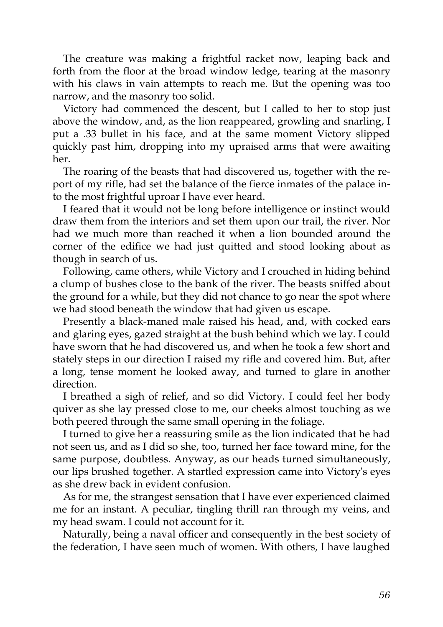The creature was making a frightful racket now, leaping back and forth from the floor at the broad window ledge, tearing at the masonry with his claws in vain attempts to reach me. But the opening was too narrow, and the masonry too solid.

Victory had commenced the descent, but I called to her to stop just above the window, and, as the lion reappeared, growling and snarling, I put a .33 bullet in his face, and at the same moment Victory slipped quickly past him, dropping into my upraised arms that were awaiting her.

The roaring of the beasts that had discovered us, together with the report of my rifle, had set the balance of the fierce inmates of the palace into the most frightful uproar I have ever heard.

I feared that it would not be long before intelligence or instinct would draw them from the interiors and set them upon our trail, the river. Nor had we much more than reached it when a lion bounded around the corner of the edifice we had just quitted and stood looking about as though in search of us.

Following, came others, while Victory and I crouched in hiding behind a clump of bushes close to the bank of the river. The beasts sniffed about the ground for a while, but they did not chance to go near the spot where we had stood beneath the window that had given us escape.

Presently a black-maned male raised his head, and, with cocked ears and glaring eyes, gazed straight at the bush behind which we lay. I could have sworn that he had discovered us, and when he took a few short and stately steps in our direction I raised my rifle and covered him. But, after a long, tense moment he looked away, and turned to glare in another direction.

I breathed a sigh of relief, and so did Victory. I could feel her body quiver as she lay pressed close to me, our cheeks almost touching as we both peered through the same small opening in the foliage.

I turned to give her a reassuring smile as the lion indicated that he had not seen us, and as I did so she, too, turned her face toward mine, for the same purpose, doubtless. Anyway, as our heads turned simultaneously, our lips brushed together. A startled expression came into Victory's eyes as she drew back in evident confusion.

As for me, the strangest sensation that I have ever experienced claimed me for an instant. A peculiar, tingling thrill ran through my veins, and my head swam. I could not account for it.

Naturally, being a naval officer and consequently in the best society of the federation, I have seen much of women. With others, I have laughed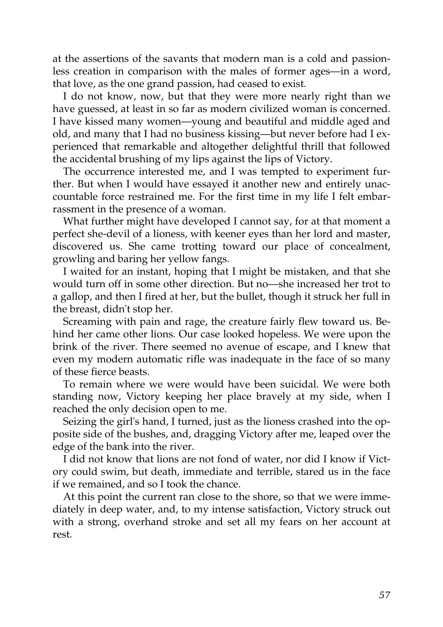at the assertions of the savants that modern man is a cold and passionless creation in comparison with the males of former ages—in a word, that love, as the one grand passion, had ceased to exist.

I do not know, now, but that they were more nearly right than we have guessed, at least in so far as modern civilized woman is concerned. I have kissed many women—young and beautiful and middle aged and old, and many that I had no business kissing—but never before had I experienced that remarkable and altogether delightful thrill that followed the accidental brushing of my lips against the lips of Victory.

The occurrence interested me, and I was tempted to experiment further. But when I would have essayed it another new and entirely unaccountable force restrained me. For the first time in my life I felt embarrassment in the presence of a woman.

What further might have developed I cannot say, for at that moment a perfect she-devil of a lioness, with keener eyes than her lord and master, discovered us. She came trotting toward our place of concealment, growling and baring her yellow fangs.

I waited for an instant, hoping that I might be mistaken, and that she would turn off in some other direction. But no—she increased her trot to a gallop, and then I fired at her, but the bullet, though it struck her full in the breast, didn't stop her.

Screaming with pain and rage, the creature fairly flew toward us. Behind her came other lions. Our case looked hopeless. We were upon the brink of the river. There seemed no avenue of escape, and I knew that even my modern automatic rifle was inadequate in the face of so many of these fierce beasts.

To remain where we were would have been suicidal. We were both standing now, Victory keeping her place bravely at my side, when I reached the only decision open to me.

Seizing the girl's hand, I turned, just as the lioness crashed into the opposite side of the bushes, and, dragging Victory after me, leaped over the edge of the bank into the river.

I did not know that lions are not fond of water, nor did I know if Victory could swim, but death, immediate and terrible, stared us in the face if we remained, and so I took the chance.

At this point the current ran close to the shore, so that we were immediately in deep water, and, to my intense satisfaction, Victory struck out with a strong, overhand stroke and set all my fears on her account at rest.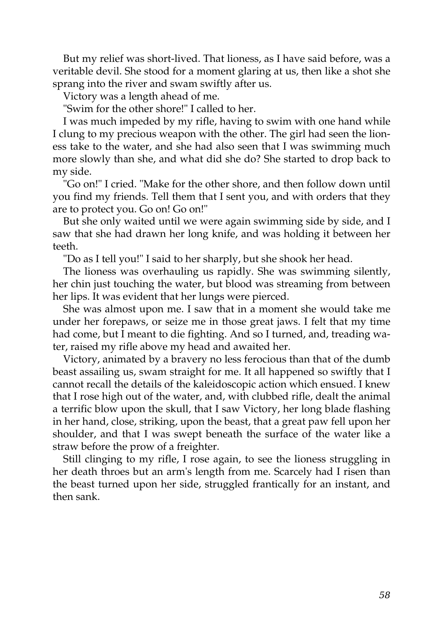But my relief was short-lived. That lioness, as I have said before, was a veritable devil. She stood for a moment glaring at us, then like a shot she sprang into the river and swam swiftly after us.

Victory was a length ahead of me.

"Swim for the other shore!" I called to her.

I was much impeded by my rifle, having to swim with one hand while I clung to my precious weapon with the other. The girl had seen the lioness take to the water, and she had also seen that I was swimming much more slowly than she, and what did she do? She started to drop back to my side.

"Go on!" I cried. "Make for the other shore, and then follow down until you find my friends. Tell them that I sent you, and with orders that they are to protect you. Go on! Go on!"

But she only waited until we were again swimming side by side, and I saw that she had drawn her long knife, and was holding it between her teeth.

"Do as I tell you!" I said to her sharply, but she shook her head.

The lioness was overhauling us rapidly. She was swimming silently, her chin just touching the water, but blood was streaming from between her lips. It was evident that her lungs were pierced.

She was almost upon me. I saw that in a moment she would take me under her forepaws, or seize me in those great jaws. I felt that my time had come, but I meant to die fighting. And so I turned, and, treading water, raised my rifle above my head and awaited her.

Victory, animated by a bravery no less ferocious than that of the dumb beast assailing us, swam straight for me. It all happened so swiftly that I cannot recall the details of the kaleidoscopic action which ensued. I knew that I rose high out of the water, and, with clubbed rifle, dealt the animal a terrific blow upon the skull, that I saw Victory, her long blade flashing in her hand, close, striking, upon the beast, that a great paw fell upon her shoulder, and that I was swept beneath the surface of the water like a straw before the prow of a freighter.

Still clinging to my rifle, I rose again, to see the lioness struggling in her death throes but an arm's length from me. Scarcely had I risen than the beast turned upon her side, struggled frantically for an instant, and then sank.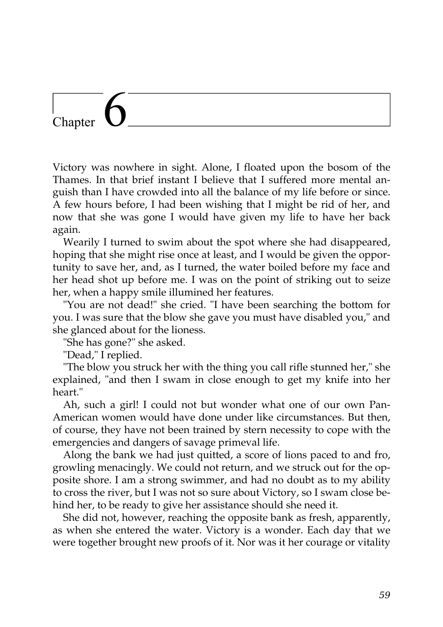## Chapter

Victory was nowhere in sight. Alone, I floated upon the bosom of the Thames. In that brief instant I believe that I suffered more mental anguish than I have crowded into all the balance of my life before or since. A few hours before, I had been wishing that I might be rid of her, and now that she was gone I would have given my life to have her back again.

Wearily I turned to swim about the spot where she had disappeared, hoping that she might rise once at least, and I would be given the opportunity to save her, and, as I turned, the water boiled before my face and her head shot up before me. I was on the point of striking out to seize her, when a happy smile illumined her features.

"You are not dead!" she cried. "I have been searching the bottom for you. I was sure that the blow she gave you must have disabled you," and she glanced about for the lioness.

"She has gone?" she asked.

"Dead," I replied.

"The blow you struck her with the thing you call rifle stunned her," she explained, "and then I swam in close enough to get my knife into her heart."

Ah, such a girl! I could not but wonder what one of our own Pan-American women would have done under like circumstances. But then, of course, they have not been trained by stern necessity to cope with the emergencies and dangers of savage primeval life.

Along the bank we had just quitted, a score of lions paced to and fro, growling menacingly. We could not return, and we struck out for the opposite shore. I am a strong swimmer, and had no doubt as to my ability to cross the river, but I was not so sure about Victory, so I swam close behind her, to be ready to give her assistance should she need it.

She did not, however, reaching the opposite bank as fresh, apparently, as when she entered the water. Victory is a wonder. Each day that we were together brought new proofs of it. Nor was it her courage or vitality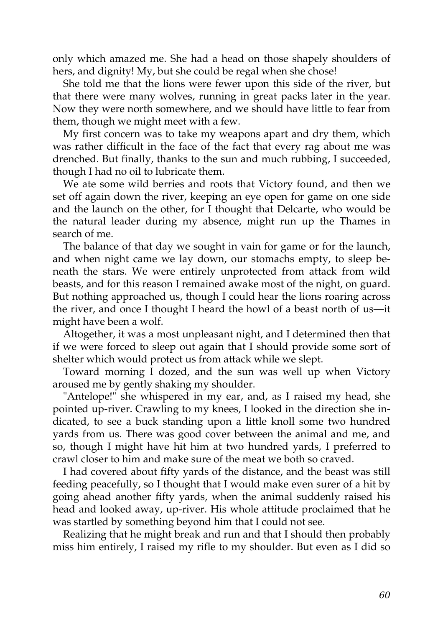only which amazed me. She had a head on those shapely shoulders of hers, and dignity! My, but she could be regal when she chose!

She told me that the lions were fewer upon this side of the river, but that there were many wolves, running in great packs later in the year. Now they were north somewhere, and we should have little to fear from them, though we might meet with a few.

My first concern was to take my weapons apart and dry them, which was rather difficult in the face of the fact that every rag about me was drenched. But finally, thanks to the sun and much rubbing, I succeeded, though I had no oil to lubricate them.

We ate some wild berries and roots that Victory found, and then we set off again down the river, keeping an eye open for game on one side and the launch on the other, for I thought that Delcarte, who would be the natural leader during my absence, might run up the Thames in search of me.

The balance of that day we sought in vain for game or for the launch, and when night came we lay down, our stomachs empty, to sleep beneath the stars. We were entirely unprotected from attack from wild beasts, and for this reason I remained awake most of the night, on guard. But nothing approached us, though I could hear the lions roaring across the river, and once I thought I heard the howl of a beast north of us—it might have been a wolf.

Altogether, it was a most unpleasant night, and I determined then that if we were forced to sleep out again that I should provide some sort of shelter which would protect us from attack while we slept.

Toward morning I dozed, and the sun was well up when Victory aroused me by gently shaking my shoulder.

"Antelope!" she whispered in my ear, and, as I raised my head, she pointed up-river. Crawling to my knees, I looked in the direction she indicated, to see a buck standing upon a little knoll some two hundred yards from us. There was good cover between the animal and me, and so, though I might have hit him at two hundred yards, I preferred to crawl closer to him and make sure of the meat we both so craved.

I had covered about fifty yards of the distance, and the beast was still feeding peacefully, so I thought that I would make even surer of a hit by going ahead another fifty yards, when the animal suddenly raised his head and looked away, up-river. His whole attitude proclaimed that he was startled by something beyond him that I could not see.

Realizing that he might break and run and that I should then probably miss him entirely, I raised my rifle to my shoulder. But even as I did so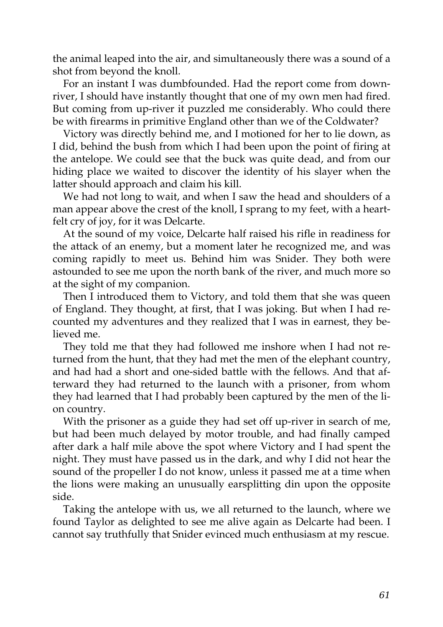the animal leaped into the air, and simultaneously there was a sound of a shot from beyond the knoll.

For an instant I was dumbfounded. Had the report come from downriver, I should have instantly thought that one of my own men had fired. But coming from up-river it puzzled me considerably. Who could there be with firearms in primitive England other than we of the Coldwater?

Victory was directly behind me, and I motioned for her to lie down, as I did, behind the bush from which I had been upon the point of firing at the antelope. We could see that the buck was quite dead, and from our hiding place we waited to discover the identity of his slayer when the latter should approach and claim his kill.

We had not long to wait, and when I saw the head and shoulders of a man appear above the crest of the knoll, I sprang to my feet, with a heartfelt cry of joy, for it was Delcarte.

At the sound of my voice, Delcarte half raised his rifle in readiness for the attack of an enemy, but a moment later he recognized me, and was coming rapidly to meet us. Behind him was Snider. They both were astounded to see me upon the north bank of the river, and much more so at the sight of my companion.

Then I introduced them to Victory, and told them that she was queen of England. They thought, at first, that I was joking. But when I had recounted my adventures and they realized that I was in earnest, they believed me.

They told me that they had followed me inshore when I had not returned from the hunt, that they had met the men of the elephant country, and had had a short and one-sided battle with the fellows. And that afterward they had returned to the launch with a prisoner, from whom they had learned that I had probably been captured by the men of the lion country.

With the prisoner as a guide they had set off up-river in search of me, but had been much delayed by motor trouble, and had finally camped after dark a half mile above the spot where Victory and I had spent the night. They must have passed us in the dark, and why I did not hear the sound of the propeller I do not know, unless it passed me at a time when the lions were making an unusually earsplitting din upon the opposite side.

Taking the antelope with us, we all returned to the launch, where we found Taylor as delighted to see me alive again as Delcarte had been. I cannot say truthfully that Snider evinced much enthusiasm at my rescue.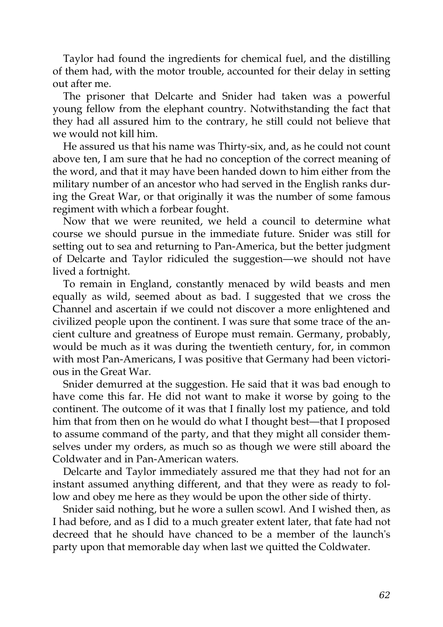Taylor had found the ingredients for chemical fuel, and the distilling of them had, with the motor trouble, accounted for their delay in setting out after me.

The prisoner that Delcarte and Snider had taken was a powerful young fellow from the elephant country. Notwithstanding the fact that they had all assured him to the contrary, he still could not believe that we would not kill him.

He assured us that his name was Thirty-six, and, as he could not count above ten, I am sure that he had no conception of the correct meaning of the word, and that it may have been handed down to him either from the military number of an ancestor who had served in the English ranks during the Great War, or that originally it was the number of some famous regiment with which a forbear fought.

Now that we were reunited, we held a council to determine what course we should pursue in the immediate future. Snider was still for setting out to sea and returning to Pan-America, but the better judgment of Delcarte and Taylor ridiculed the suggestion—we should not have lived a fortnight.

To remain in England, constantly menaced by wild beasts and men equally as wild, seemed about as bad. I suggested that we cross the Channel and ascertain if we could not discover a more enlightened and civilized people upon the continent. I was sure that some trace of the ancient culture and greatness of Europe must remain. Germany, probably, would be much as it was during the twentieth century, for, in common with most Pan-Americans, I was positive that Germany had been victorious in the Great War.

Snider demurred at the suggestion. He said that it was bad enough to have come this far. He did not want to make it worse by going to the continent. The outcome of it was that I finally lost my patience, and told him that from then on he would do what I thought best—that I proposed to assume command of the party, and that they might all consider themselves under my orders, as much so as though we were still aboard the Coldwater and in Pan-American waters.

Delcarte and Taylor immediately assured me that they had not for an instant assumed anything different, and that they were as ready to follow and obey me here as they would be upon the other side of thirty.

Snider said nothing, but he wore a sullen scowl. And I wished then, as I had before, and as I did to a much greater extent later, that fate had not decreed that he should have chanced to be a member of the launch's party upon that memorable day when last we quitted the Coldwater.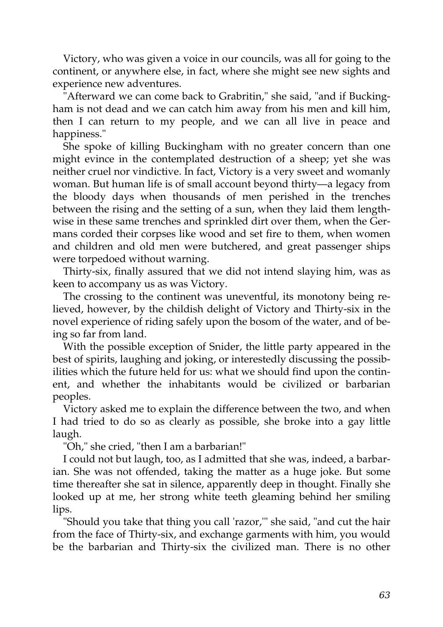Victory, who was given a voice in our councils, was all for going to the continent, or anywhere else, in fact, where she might see new sights and experience new adventures.

"Afterward we can come back to Grabritin," she said, "and if Buckingham is not dead and we can catch him away from his men and kill him, then I can return to my people, and we can all live in peace and happiness."

She spoke of killing Buckingham with no greater concern than one might evince in the contemplated destruction of a sheep; yet she was neither cruel nor vindictive. In fact, Victory is a very sweet and womanly woman. But human life is of small account beyond thirty—a legacy from the bloody days when thousands of men perished in the trenches between the rising and the setting of a sun, when they laid them lengthwise in these same trenches and sprinkled dirt over them, when the Germans corded their corpses like wood and set fire to them, when women and children and old men were butchered, and great passenger ships were torpedoed without warning.

Thirty-six, finally assured that we did not intend slaying him, was as keen to accompany us as was Victory.

The crossing to the continent was uneventful, its monotony being relieved, however, by the childish delight of Victory and Thirty-six in the novel experience of riding safely upon the bosom of the water, and of being so far from land.

With the possible exception of Snider, the little party appeared in the best of spirits, laughing and joking, or interestedly discussing the possibilities which the future held for us: what we should find upon the continent, and whether the inhabitants would be civilized or barbarian peoples.

Victory asked me to explain the difference between the two, and when I had tried to do so as clearly as possible, she broke into a gay little laugh.

"Oh," she cried, "then I am a barbarian!"

I could not but laugh, too, as I admitted that she was, indeed, a barbarian. She was not offended, taking the matter as a huge joke. But some time thereafter she sat in silence, apparently deep in thought. Finally she looked up at me, her strong white teeth gleaming behind her smiling lips.

"Should you take that thing you call 'razor,'" she said, "and cut the hair from the face of Thirty-six, and exchange garments with him, you would be the barbarian and Thirty-six the civilized man. There is no other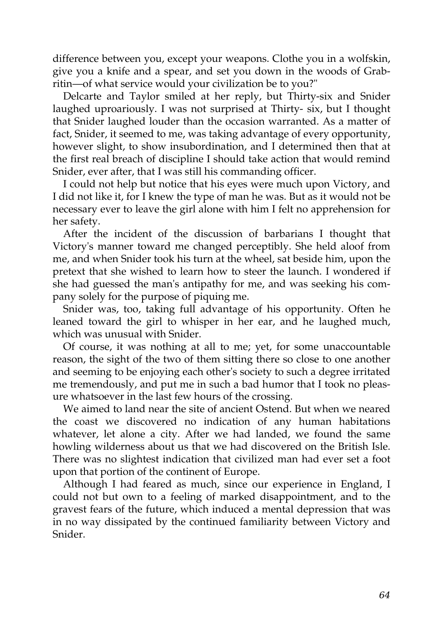difference between you, except your weapons. Clothe you in a wolfskin, give you a knife and a spear, and set you down in the woods of Grabritin—of what service would your civilization be to you?"

Delcarte and Taylor smiled at her reply, but Thirty-six and Snider laughed uproariously. I was not surprised at Thirty- six, but I thought that Snider laughed louder than the occasion warranted. As a matter of fact, Snider, it seemed to me, was taking advantage of every opportunity, however slight, to show insubordination, and I determined then that at the first real breach of discipline I should take action that would remind Snider, ever after, that I was still his commanding officer.

I could not help but notice that his eyes were much upon Victory, and I did not like it, for I knew the type of man he was. But as it would not be necessary ever to leave the girl alone with him I felt no apprehension for her safety.

After the incident of the discussion of barbarians I thought that Victory's manner toward me changed perceptibly. She held aloof from me, and when Snider took his turn at the wheel, sat beside him, upon the pretext that she wished to learn how to steer the launch. I wondered if she had guessed the man's antipathy for me, and was seeking his company solely for the purpose of piquing me.

Snider was, too, taking full advantage of his opportunity. Often he leaned toward the girl to whisper in her ear, and he laughed much, which was unusual with Snider.

Of course, it was nothing at all to me; yet, for some unaccountable reason, the sight of the two of them sitting there so close to one another and seeming to be enjoying each other's society to such a degree irritated me tremendously, and put me in such a bad humor that I took no pleasure whatsoever in the last few hours of the crossing.

We aimed to land near the site of ancient Ostend. But when we neared the coast we discovered no indication of any human habitations whatever, let alone a city. After we had landed, we found the same howling wilderness about us that we had discovered on the British Isle. There was no slightest indication that civilized man had ever set a foot upon that portion of the continent of Europe.

Although I had feared as much, since our experience in England, I could not but own to a feeling of marked disappointment, and to the gravest fears of the future, which induced a mental depression that was in no way dissipated by the continued familiarity between Victory and Snider.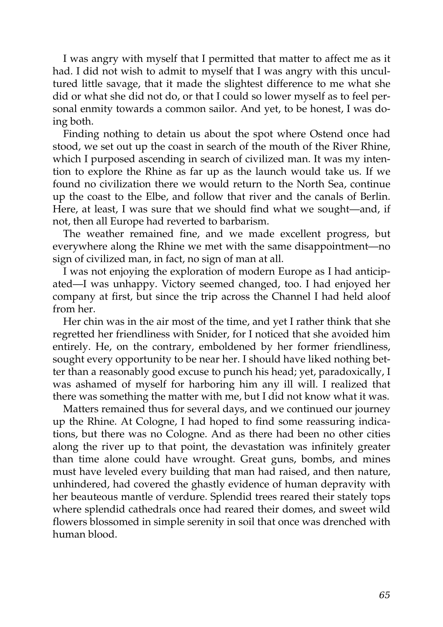I was angry with myself that I permitted that matter to affect me as it had. I did not wish to admit to myself that I was angry with this uncultured little savage, that it made the slightest difference to me what she did or what she did not do, or that I could so lower myself as to feel personal enmity towards a common sailor. And yet, to be honest, I was doing both.

Finding nothing to detain us about the spot where Ostend once had stood, we set out up the coast in search of the mouth of the River Rhine, which I purposed ascending in search of civilized man. It was my intention to explore the Rhine as far up as the launch would take us. If we found no civilization there we would return to the North Sea, continue up the coast to the Elbe, and follow that river and the canals of Berlin. Here, at least, I was sure that we should find what we sought—and, if not, then all Europe had reverted to barbarism.

The weather remained fine, and we made excellent progress, but everywhere along the Rhine we met with the same disappointment—no sign of civilized man, in fact, no sign of man at all.

I was not enjoying the exploration of modern Europe as I had anticipated—I was unhappy. Victory seemed changed, too. I had enjoyed her company at first, but since the trip across the Channel I had held aloof from her.

Her chin was in the air most of the time, and yet I rather think that she regretted her friendliness with Snider, for I noticed that she avoided him entirely. He, on the contrary, emboldened by her former friendliness, sought every opportunity to be near her. I should have liked nothing better than a reasonably good excuse to punch his head; yet, paradoxically, I was ashamed of myself for harboring him any ill will. I realized that there was something the matter with me, but I did not know what it was.

Matters remained thus for several days, and we continued our journey up the Rhine. At Cologne, I had hoped to find some reassuring indications, but there was no Cologne. And as there had been no other cities along the river up to that point, the devastation was infinitely greater than time alone could have wrought. Great guns, bombs, and mines must have leveled every building that man had raised, and then nature, unhindered, had covered the ghastly evidence of human depravity with her beauteous mantle of verdure. Splendid trees reared their stately tops where splendid cathedrals once had reared their domes, and sweet wild flowers blossomed in simple serenity in soil that once was drenched with human blood.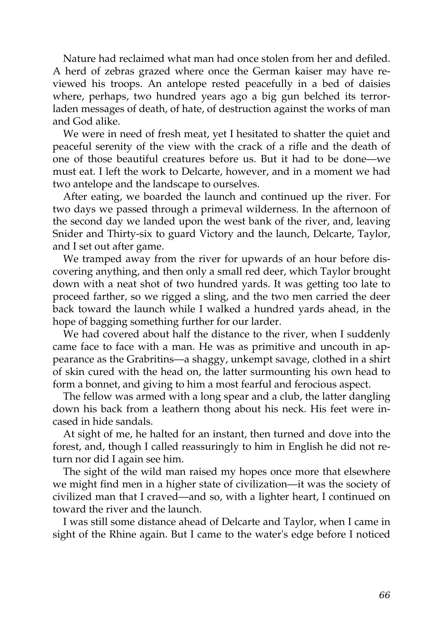Nature had reclaimed what man had once stolen from her and defiled. A herd of zebras grazed where once the German kaiser may have reviewed his troops. An antelope rested peacefully in a bed of daisies where, perhaps, two hundred years ago a big gun belched its terrorladen messages of death, of hate, of destruction against the works of man and God alike.

We were in need of fresh meat, yet I hesitated to shatter the quiet and peaceful serenity of the view with the crack of a rifle and the death of one of those beautiful creatures before us. But it had to be done—we must eat. I left the work to Delcarte, however, and in a moment we had two antelope and the landscape to ourselves.

After eating, we boarded the launch and continued up the river. For two days we passed through a primeval wilderness. In the afternoon of the second day we landed upon the west bank of the river, and, leaving Snider and Thirty-six to guard Victory and the launch, Delcarte, Taylor, and I set out after game.

We tramped away from the river for upwards of an hour before discovering anything, and then only a small red deer, which Taylor brought down with a neat shot of two hundred yards. It was getting too late to proceed farther, so we rigged a sling, and the two men carried the deer back toward the launch while I walked a hundred yards ahead, in the hope of bagging something further for our larder.

We had covered about half the distance to the river, when I suddenly came face to face with a man. He was as primitive and uncouth in appearance as the Grabritins—a shaggy, unkempt savage, clothed in a shirt of skin cured with the head on, the latter surmounting his own head to form a bonnet, and giving to him a most fearful and ferocious aspect.

The fellow was armed with a long spear and a club, the latter dangling down his back from a leathern thong about his neck. His feet were incased in hide sandals.

At sight of me, he halted for an instant, then turned and dove into the forest, and, though I called reassuringly to him in English he did not return nor did I again see him.

The sight of the wild man raised my hopes once more that elsewhere we might find men in a higher state of civilization—it was the society of civilized man that I craved—and so, with a lighter heart, I continued on toward the river and the launch.

I was still some distance ahead of Delcarte and Taylor, when I came in sight of the Rhine again. But I came to the water's edge before I noticed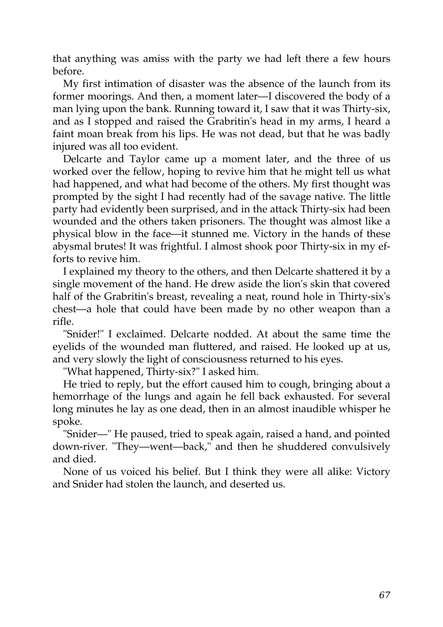that anything was amiss with the party we had left there a few hours before.

My first intimation of disaster was the absence of the launch from its former moorings. And then, a moment later—I discovered the body of a man lying upon the bank. Running toward it, I saw that it was Thirty-six, and as I stopped and raised the Grabritin's head in my arms, I heard a faint moan break from his lips. He was not dead, but that he was badly injured was all too evident.

Delcarte and Taylor came up a moment later, and the three of us worked over the fellow, hoping to revive him that he might tell us what had happened, and what had become of the others. My first thought was prompted by the sight I had recently had of the savage native. The little party had evidently been surprised, and in the attack Thirty-six had been wounded and the others taken prisoners. The thought was almost like a physical blow in the face—it stunned me. Victory in the hands of these abysmal brutes! It was frightful. I almost shook poor Thirty-six in my efforts to revive him.

I explained my theory to the others, and then Delcarte shattered it by a single movement of the hand. He drew aside the lion's skin that covered half of the Grabritin's breast, revealing a neat, round hole in Thirty-six's chest—a hole that could have been made by no other weapon than a rifle.

"Snider!" I exclaimed. Delcarte nodded. At about the same time the eyelids of the wounded man fluttered, and raised. He looked up at us, and very slowly the light of consciousness returned to his eyes.

"What happened, Thirty-six?" I asked him.

He tried to reply, but the effort caused him to cough, bringing about a hemorrhage of the lungs and again he fell back exhausted. For several long minutes he lay as one dead, then in an almost inaudible whisper he spoke.

"Snider—" He paused, tried to speak again, raised a hand, and pointed down-river. "They—went—back," and then he shuddered convulsively and died.

None of us voiced his belief. But I think they were all alike: Victory and Snider had stolen the launch, and deserted us.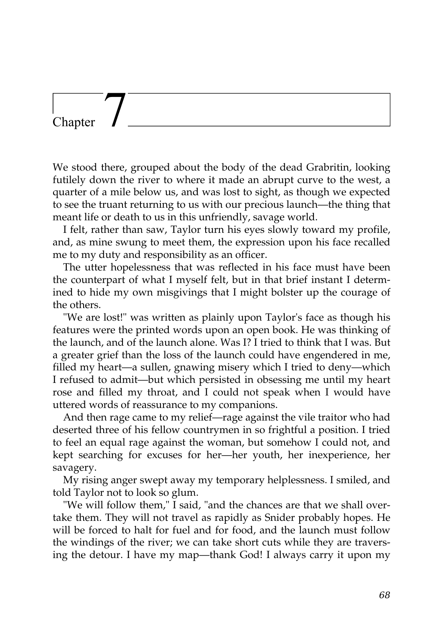## Chapter

We stood there, grouped about the body of the dead Grabritin, looking futilely down the river to where it made an abrupt curve to the west, a quarter of a mile below us, and was lost to sight, as though we expected to see the truant returning to us with our precious launch—the thing that meant life or death to us in this unfriendly, savage world.

I felt, rather than saw, Taylor turn his eyes slowly toward my profile, and, as mine swung to meet them, the expression upon his face recalled me to my duty and responsibility as an officer.

The utter hopelessness that was reflected in his face must have been the counterpart of what I myself felt, but in that brief instant I determined to hide my own misgivings that I might bolster up the courage of the others.

"We are lost!" was written as plainly upon Taylor's face as though his features were the printed words upon an open book. He was thinking of the launch, and of the launch alone. Was I? I tried to think that I was. But a greater grief than the loss of the launch could have engendered in me, filled my heart—a sullen, gnawing misery which I tried to deny—which I refused to admit—but which persisted in obsessing me until my heart rose and filled my throat, and I could not speak when I would have uttered words of reassurance to my companions.

And then rage came to my relief—rage against the vile traitor who had deserted three of his fellow countrymen in so frightful a position. I tried to feel an equal rage against the woman, but somehow I could not, and kept searching for excuses for her—her youth, her inexperience, her savagery.

My rising anger swept away my temporary helplessness. I smiled, and told Taylor not to look so glum.

"We will follow them," I said, "and the chances are that we shall overtake them. They will not travel as rapidly as Snider probably hopes. He will be forced to halt for fuel and for food, and the launch must follow the windings of the river; we can take short cuts while they are traversing the detour. I have my map—thank God! I always carry it upon my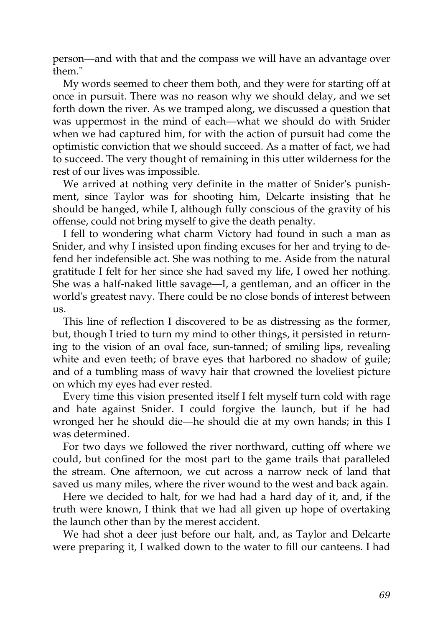person—and with that and the compass we will have an advantage over them."

My words seemed to cheer them both, and they were for starting off at once in pursuit. There was no reason why we should delay, and we set forth down the river. As we tramped along, we discussed a question that was uppermost in the mind of each—what we should do with Snider when we had captured him, for with the action of pursuit had come the optimistic conviction that we should succeed. As a matter of fact, we had to succeed. The very thought of remaining in this utter wilderness for the rest of our lives was impossible.

We arrived at nothing very definite in the matter of Snider's punishment, since Taylor was for shooting him, Delcarte insisting that he should be hanged, while I, although fully conscious of the gravity of his offense, could not bring myself to give the death penalty.

I fell to wondering what charm Victory had found in such a man as Snider, and why I insisted upon finding excuses for her and trying to defend her indefensible act. She was nothing to me. Aside from the natural gratitude I felt for her since she had saved my life, I owed her nothing. She was a half-naked little savage—I, a gentleman, and an officer in the world's greatest navy. There could be no close bonds of interest between us.

This line of reflection I discovered to be as distressing as the former, but, though I tried to turn my mind to other things, it persisted in returning to the vision of an oval face, sun-tanned; of smiling lips, revealing white and even teeth; of brave eyes that harbored no shadow of guile; and of a tumbling mass of wavy hair that crowned the loveliest picture on which my eyes had ever rested.

Every time this vision presented itself I felt myself turn cold with rage and hate against Snider. I could forgive the launch, but if he had wronged her he should die—he should die at my own hands; in this I was determined.

For two days we followed the river northward, cutting off where we could, but confined for the most part to the game trails that paralleled the stream. One afternoon, we cut across a narrow neck of land that saved us many miles, where the river wound to the west and back again.

Here we decided to halt, for we had had a hard day of it, and, if the truth were known, I think that we had all given up hope of overtaking the launch other than by the merest accident.

We had shot a deer just before our halt, and, as Taylor and Delcarte were preparing it, I walked down to the water to fill our canteens. I had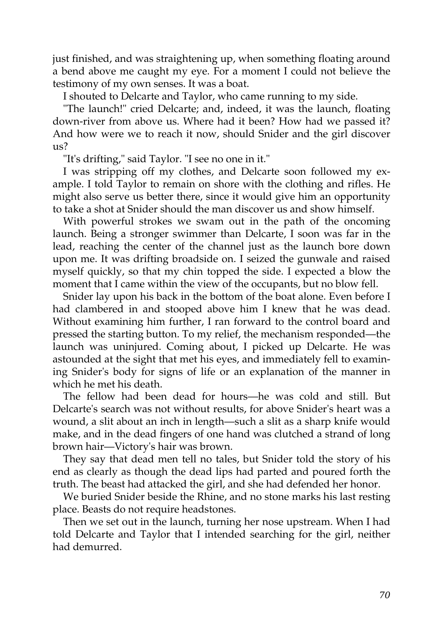just finished, and was straightening up, when something floating around a bend above me caught my eye. For a moment I could not believe the testimony of my own senses. It was a boat.

I shouted to Delcarte and Taylor, who came running to my side.

"The launch!" cried Delcarte; and, indeed, it was the launch, floating down-river from above us. Where had it been? How had we passed it? And how were we to reach it now, should Snider and the girl discover us?

"It's drifting," said Taylor. "I see no one in it."

I was stripping off my clothes, and Delcarte soon followed my example. I told Taylor to remain on shore with the clothing and rifles. He might also serve us better there, since it would give him an opportunity to take a shot at Snider should the man discover us and show himself.

With powerful strokes we swam out in the path of the oncoming launch. Being a stronger swimmer than Delcarte, I soon was far in the lead, reaching the center of the channel just as the launch bore down upon me. It was drifting broadside on. I seized the gunwale and raised myself quickly, so that my chin topped the side. I expected a blow the moment that I came within the view of the occupants, but no blow fell.

Snider lay upon his back in the bottom of the boat alone. Even before I had clambered in and stooped above him I knew that he was dead. Without examining him further, I ran forward to the control board and pressed the starting button. To my relief, the mechanism responded—the launch was uninjured. Coming about, I picked up Delcarte. He was astounded at the sight that met his eyes, and immediately fell to examining Snider's body for signs of life or an explanation of the manner in which he met his death.

The fellow had been dead for hours—he was cold and still. But Delcarte's search was not without results, for above Snider's heart was a wound, a slit about an inch in length—such a slit as a sharp knife would make, and in the dead fingers of one hand was clutched a strand of long brown hair—Victory's hair was brown.

They say that dead men tell no tales, but Snider told the story of his end as clearly as though the dead lips had parted and poured forth the truth. The beast had attacked the girl, and she had defended her honor.

We buried Snider beside the Rhine, and no stone marks his last resting place. Beasts do not require headstones.

Then we set out in the launch, turning her nose upstream. When I had told Delcarte and Taylor that I intended searching for the girl, neither had demurred.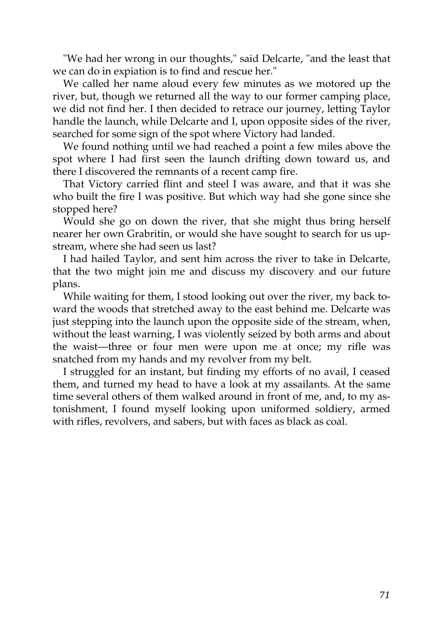"We had her wrong in our thoughts," said Delcarte, "and the least that we can do in expiation is to find and rescue her."

We called her name aloud every few minutes as we motored up the river, but, though we returned all the way to our former camping place, we did not find her. I then decided to retrace our journey, letting Taylor handle the launch, while Delcarte and I, upon opposite sides of the river, searched for some sign of the spot where Victory had landed.

We found nothing until we had reached a point a few miles above the spot where I had first seen the launch drifting down toward us, and there I discovered the remnants of a recent camp fire.

That Victory carried flint and steel I was aware, and that it was she who built the fire I was positive. But which way had she gone since she stopped here?

Would she go on down the river, that she might thus bring herself nearer her own Grabritin, or would she have sought to search for us upstream, where she had seen us last?

I had hailed Taylor, and sent him across the river to take in Delcarte, that the two might join me and discuss my discovery and our future plans.

While waiting for them, I stood looking out over the river, my back toward the woods that stretched away to the east behind me. Delcarte was just stepping into the launch upon the opposite side of the stream, when, without the least warning, I was violently seized by both arms and about the waist—three or four men were upon me at once; my rifle was snatched from my hands and my revolver from my belt.

I struggled for an instant, but finding my efforts of no avail, I ceased them, and turned my head to have a look at my assailants. At the same time several others of them walked around in front of me, and, to my astonishment, I found myself looking upon uniformed soldiery, armed with rifles, revolvers, and sabers, but with faces as black as coal.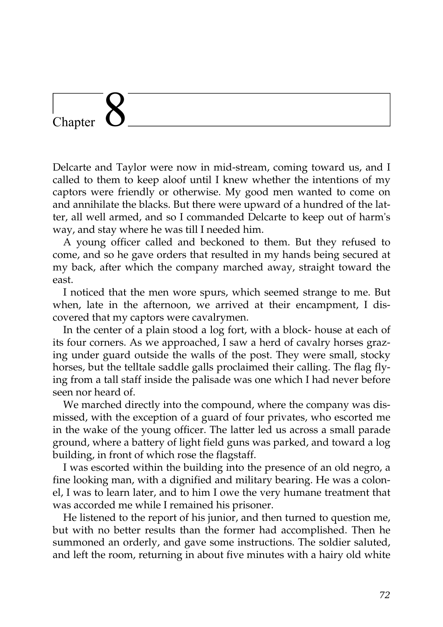## Chapter

Delcarte and Taylor were now in mid-stream, coming toward us, and I called to them to keep aloof until I knew whether the intentions of my captors were friendly or otherwise. My good men wanted to come on and annihilate the blacks. But there were upward of a hundred of the latter, all well armed, and so I commanded Delcarte to keep out of harm's way, and stay where he was till I needed him.

A young officer called and beckoned to them. But they refused to come, and so he gave orders that resulted in my hands being secured at my back, after which the company marched away, straight toward the east.

I noticed that the men wore spurs, which seemed strange to me. But when, late in the afternoon, we arrived at their encampment, I discovered that my captors were cavalrymen.

In the center of a plain stood a log fort, with a block- house at each of its four corners. As we approached, I saw a herd of cavalry horses grazing under guard outside the walls of the post. They were small, stocky horses, but the telltale saddle galls proclaimed their calling. The flag flying from a tall staff inside the palisade was one which I had never before seen nor heard of.

We marched directly into the compound, where the company was dismissed, with the exception of a guard of four privates, who escorted me in the wake of the young officer. The latter led us across a small parade ground, where a battery of light field guns was parked, and toward a log building, in front of which rose the flagstaff.

I was escorted within the building into the presence of an old negro, a fine looking man, with a dignified and military bearing. He was a colonel, I was to learn later, and to him I owe the very humane treatment that was accorded me while I remained his prisoner.

He listened to the report of his junior, and then turned to question me, but with no better results than the former had accomplished. Then he summoned an orderly, and gave some instructions. The soldier saluted, and left the room, returning in about five minutes with a hairy old white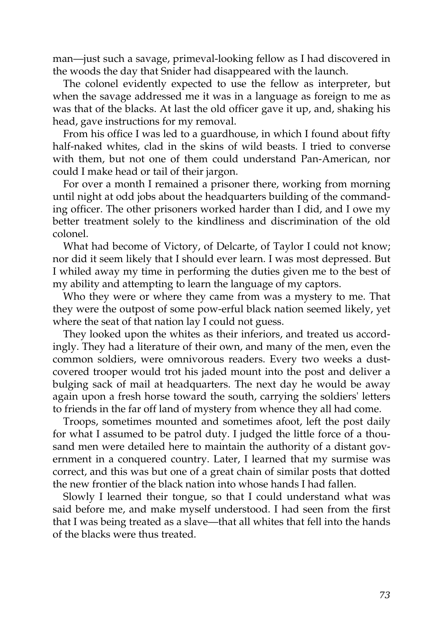man—just such a savage, primeval-looking fellow as I had discovered in the woods the day that Snider had disappeared with the launch.

The colonel evidently expected to use the fellow as interpreter, but when the savage addressed me it was in a language as foreign to me as was that of the blacks. At last the old officer gave it up, and, shaking his head, gave instructions for my removal.

From his office I was led to a guardhouse, in which I found about fifty half-naked whites, clad in the skins of wild beasts. I tried to converse with them, but not one of them could understand Pan-American, nor could I make head or tail of their jargon.

For over a month I remained a prisoner there, working from morning until night at odd jobs about the headquarters building of the commanding officer. The other prisoners worked harder than I did, and I owe my better treatment solely to the kindliness and discrimination of the old colonel.

What had become of Victory, of Delcarte, of Taylor I could not know; nor did it seem likely that I should ever learn. I was most depressed. But I whiled away my time in performing the duties given me to the best of my ability and attempting to learn the language of my captors.

Who they were or where they came from was a mystery to me. That they were the outpost of some pow-erful black nation seemed likely, yet where the seat of that nation lay I could not guess.

They looked upon the whites as their inferiors, and treated us accordingly. They had a literature of their own, and many of the men, even the common soldiers, were omnivorous readers. Every two weeks a dustcovered trooper would trot his jaded mount into the post and deliver a bulging sack of mail at headquarters. The next day he would be away again upon a fresh horse toward the south, carrying the soldiers' letters to friends in the far off land of mystery from whence they all had come.

Troops, sometimes mounted and sometimes afoot, left the post daily for what I assumed to be patrol duty. I judged the little force of a thousand men were detailed here to maintain the authority of a distant government in a conquered country. Later, I learned that my surmise was correct, and this was but one of a great chain of similar posts that dotted the new frontier of the black nation into whose hands I had fallen.

Slowly I learned their tongue, so that I could understand what was said before me, and make myself understood. I had seen from the first that I was being treated as a slave—that all whites that fell into the hands of the blacks were thus treated.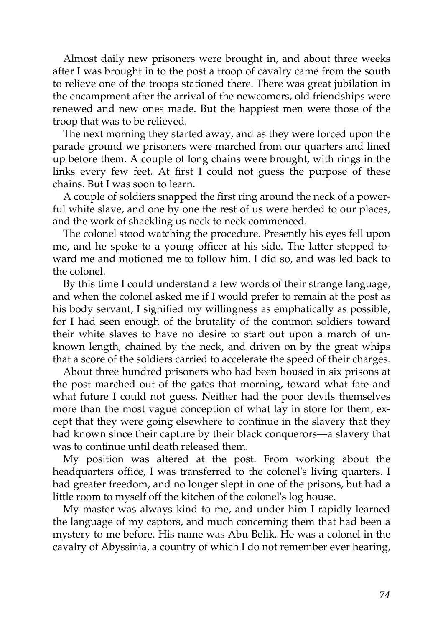Almost daily new prisoners were brought in, and about three weeks after I was brought in to the post a troop of cavalry came from the south to relieve one of the troops stationed there. There was great jubilation in the encampment after the arrival of the newcomers, old friendships were renewed and new ones made. But the happiest men were those of the troop that was to be relieved.

The next morning they started away, and as they were forced upon the parade ground we prisoners were marched from our quarters and lined up before them. A couple of long chains were brought, with rings in the links every few feet. At first I could not guess the purpose of these chains. But I was soon to learn.

A couple of soldiers snapped the first ring around the neck of a powerful white slave, and one by one the rest of us were herded to our places, and the work of shackling us neck to neck commenced.

The colonel stood watching the procedure. Presently his eyes fell upon me, and he spoke to a young officer at his side. The latter stepped toward me and motioned me to follow him. I did so, and was led back to the colonel.

By this time I could understand a few words of their strange language, and when the colonel asked me if I would prefer to remain at the post as his body servant, I signified my willingness as emphatically as possible, for I had seen enough of the brutality of the common soldiers toward their white slaves to have no desire to start out upon a march of unknown length, chained by the neck, and driven on by the great whips that a score of the soldiers carried to accelerate the speed of their charges.

About three hundred prisoners who had been housed in six prisons at the post marched out of the gates that morning, toward what fate and what future I could not guess. Neither had the poor devils themselves more than the most vague conception of what lay in store for them, except that they were going elsewhere to continue in the slavery that they had known since their capture by their black conquerors—a slavery that was to continue until death released them.

My position was altered at the post. From working about the headquarters office, I was transferred to the colonel's living quarters. I had greater freedom, and no longer slept in one of the prisons, but had a little room to myself off the kitchen of the colonel's log house.

My master was always kind to me, and under him I rapidly learned the language of my captors, and much concerning them that had been a mystery to me before. His name was Abu Belik. He was a colonel in the cavalry of Abyssinia, a country of which I do not remember ever hearing,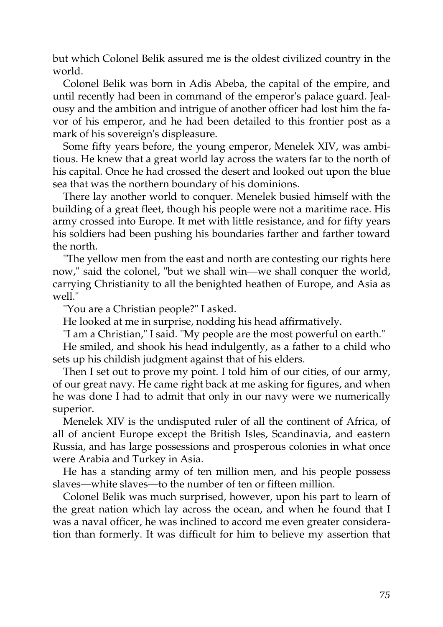but which Colonel Belik assured me is the oldest civilized country in the world.

Colonel Belik was born in Adis Abeba, the capital of the empire, and until recently had been in command of the emperor's palace guard. Jealousy and the ambition and intrigue of another officer had lost him the favor of his emperor, and he had been detailed to this frontier post as a mark of his sovereign's displeasure.

Some fifty years before, the young emperor, Menelek XIV, was ambitious. He knew that a great world lay across the waters far to the north of his capital. Once he had crossed the desert and looked out upon the blue sea that was the northern boundary of his dominions.

There lay another world to conquer. Menelek busied himself with the building of a great fleet, though his people were not a maritime race. His army crossed into Europe. It met with little resistance, and for fifty years his soldiers had been pushing his boundaries farther and farther toward the north.

"The yellow men from the east and north are contesting our rights here now," said the colonel, "but we shall win—we shall conquer the world, carrying Christianity to all the benighted heathen of Europe, and Asia as well."

"You are a Christian people?" I asked.

He looked at me in surprise, nodding his head affirmatively.

"I am a Christian," I said. "My people are the most powerful on earth."

He smiled, and shook his head indulgently, as a father to a child who sets up his childish judgment against that of his elders.

Then I set out to prove my point. I told him of our cities, of our army, of our great navy. He came right back at me asking for figures, and when he was done I had to admit that only in our navy were we numerically superior.

Menelek XIV is the undisputed ruler of all the continent of Africa, of all of ancient Europe except the British Isles, Scandinavia, and eastern Russia, and has large possessions and prosperous colonies in what once were Arabia and Turkey in Asia.

He has a standing army of ten million men, and his people possess slaves—white slaves—to the number of ten or fifteen million.

Colonel Belik was much surprised, however, upon his part to learn of the great nation which lay across the ocean, and when he found that I was a naval officer, he was inclined to accord me even greater consideration than formerly. It was difficult for him to believe my assertion that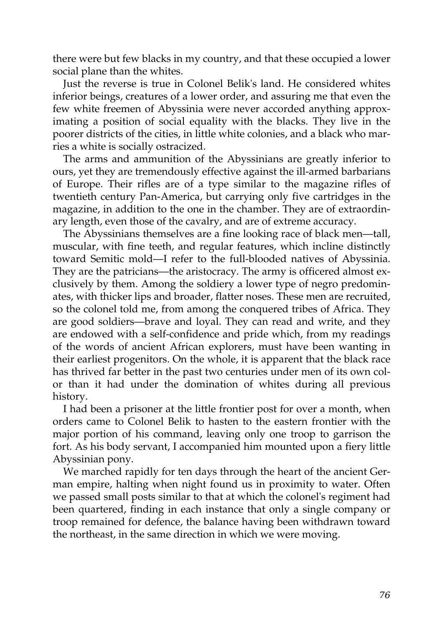there were but few blacks in my country, and that these occupied a lower social plane than the whites.

Just the reverse is true in Colonel Belik's land. He considered whites inferior beings, creatures of a lower order, and assuring me that even the few white freemen of Abyssinia were never accorded anything approximating a position of social equality with the blacks. They live in the poorer districts of the cities, in little white colonies, and a black who marries a white is socially ostracized.

The arms and ammunition of the Abyssinians are greatly inferior to ours, yet they are tremendously effective against the ill-armed barbarians of Europe. Their rifles are of a type similar to the magazine rifles of twentieth century Pan-America, but carrying only five cartridges in the magazine, in addition to the one in the chamber. They are of extraordinary length, even those of the cavalry, and are of extreme accuracy.

The Abyssinians themselves are a fine looking race of black men—tall, muscular, with fine teeth, and regular features, which incline distinctly toward Semitic mold—I refer to the full-blooded natives of Abyssinia. They are the patricians—the aristocracy. The army is officered almost exclusively by them. Among the soldiery a lower type of negro predominates, with thicker lips and broader, flatter noses. These men are recruited, so the colonel told me, from among the conquered tribes of Africa. They are good soldiers—brave and loyal. They can read and write, and they are endowed with a self-confidence and pride which, from my readings of the words of ancient African explorers, must have been wanting in their earliest progenitors. On the whole, it is apparent that the black race has thrived far better in the past two centuries under men of its own color than it had under the domination of whites during all previous history.

I had been a prisoner at the little frontier post for over a month, when orders came to Colonel Belik to hasten to the eastern frontier with the major portion of his command, leaving only one troop to garrison the fort. As his body servant, I accompanied him mounted upon a fiery little Abyssinian pony.

We marched rapidly for ten days through the heart of the ancient German empire, halting when night found us in proximity to water. Often we passed small posts similar to that at which the colonel's regiment had been quartered, finding in each instance that only a single company or troop remained for defence, the balance having been withdrawn toward the northeast, in the same direction in which we were moving.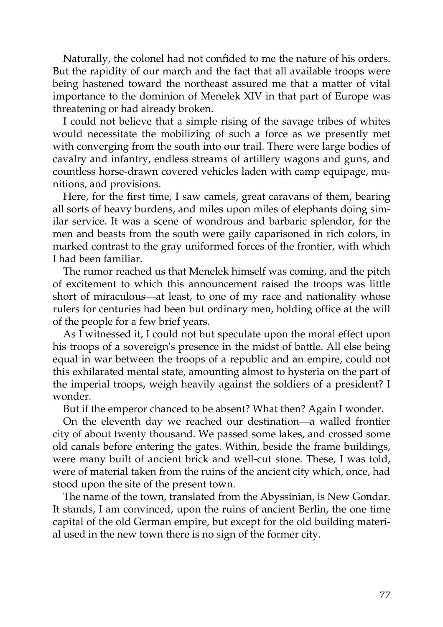Naturally, the colonel had not confided to me the nature of his orders. But the rapidity of our march and the fact that all available troops were being hastened toward the northeast assured me that a matter of vital importance to the dominion of Menelek XIV in that part of Europe was threatening or had already broken.

I could not believe that a simple rising of the savage tribes of whites would necessitate the mobilizing of such a force as we presently met with converging from the south into our trail. There were large bodies of cavalry and infantry, endless streams of artillery wagons and guns, and countless horse-drawn covered vehicles laden with camp equipage, munitions, and provisions.

Here, for the first time, I saw camels, great caravans of them, bearing all sorts of heavy burdens, and miles upon miles of elephants doing similar service. It was a scene of wondrous and barbaric splendor, for the men and beasts from the south were gaily caparisoned in rich colors, in marked contrast to the gray uniformed forces of the frontier, with which I had been familiar.

The rumor reached us that Menelek himself was coming, and the pitch of excitement to which this announcement raised the troops was little short of miraculous—at least, to one of my race and nationality whose rulers for centuries had been but ordinary men, holding office at the will of the people for a few brief years.

As I witnessed it, I could not but speculate upon the moral effect upon his troops of a sovereign's presence in the midst of battle. All else being equal in war between the troops of a republic and an empire, could not this exhilarated mental state, amounting almost to hysteria on the part of the imperial troops, weigh heavily against the soldiers of a president? I wonder.

But if the emperor chanced to be absent? What then? Again I wonder.

On the eleventh day we reached our destination—a walled frontier city of about twenty thousand. We passed some lakes, and crossed some old canals before entering the gates. Within, beside the frame buildings, were many built of ancient brick and well-cut stone. These, I was told, were of material taken from the ruins of the ancient city which, once, had stood upon the site of the present town.

The name of the town, translated from the Abyssinian, is New Gondar. It stands, I am convinced, upon the ruins of ancient Berlin, the one time capital of the old German empire, but except for the old building material used in the new town there is no sign of the former city.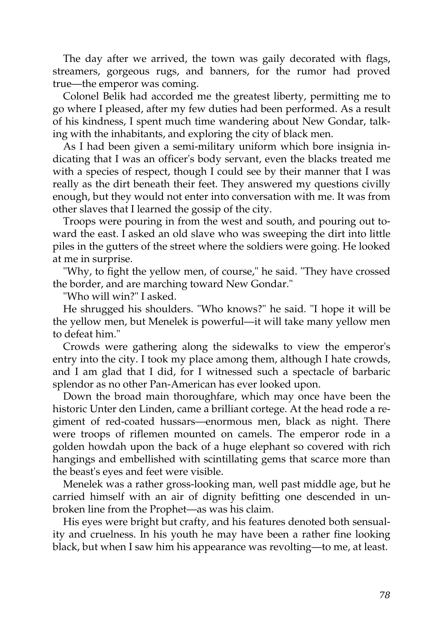The day after we arrived, the town was gaily decorated with flags, streamers, gorgeous rugs, and banners, for the rumor had proved true—the emperor was coming.

Colonel Belik had accorded me the greatest liberty, permitting me to go where I pleased, after my few duties had been performed. As a result of his kindness, I spent much time wandering about New Gondar, talking with the inhabitants, and exploring the city of black men.

As I had been given a semi-military uniform which bore insignia indicating that I was an officer's body servant, even the blacks treated me with a species of respect, though I could see by their manner that I was really as the dirt beneath their feet. They answered my questions civilly enough, but they would not enter into conversation with me. It was from other slaves that I learned the gossip of the city.

Troops were pouring in from the west and south, and pouring out toward the east. I asked an old slave who was sweeping the dirt into little piles in the gutters of the street where the soldiers were going. He looked at me in surprise.

"Why, to fight the yellow men, of course," he said. "They have crossed the border, and are marching toward New Gondar."

"Who will win?" I asked.

He shrugged his shoulders. "Who knows?" he said. "I hope it will be the yellow men, but Menelek is powerful—it will take many yellow men to defeat him."

Crowds were gathering along the sidewalks to view the emperor's entry into the city. I took my place among them, although I hate crowds, and I am glad that I did, for I witnessed such a spectacle of barbaric splendor as no other Pan-American has ever looked upon.

Down the broad main thoroughfare, which may once have been the historic Unter den Linden, came a brilliant cortege. At the head rode a regiment of red-coated hussars—enormous men, black as night. There were troops of riflemen mounted on camels. The emperor rode in a golden howdah upon the back of a huge elephant so covered with rich hangings and embellished with scintillating gems that scarce more than the beast's eyes and feet were visible.

Menelek was a rather gross-looking man, well past middle age, but he carried himself with an air of dignity befitting one descended in unbroken line from the Prophet—as was his claim.

His eyes were bright but crafty, and his features denoted both sensuality and cruelness. In his youth he may have been a rather fine looking black, but when I saw him his appearance was revolting—to me, at least.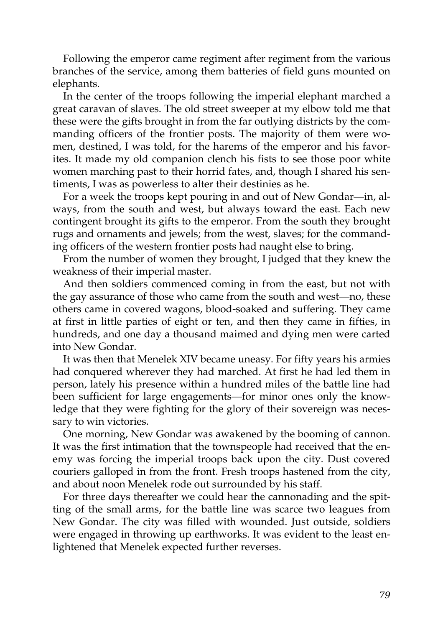Following the emperor came regiment after regiment from the various branches of the service, among them batteries of field guns mounted on elephants.

In the center of the troops following the imperial elephant marched a great caravan of slaves. The old street sweeper at my elbow told me that these were the gifts brought in from the far outlying districts by the commanding officers of the frontier posts. The majority of them were women, destined, I was told, for the harems of the emperor and his favorites. It made my old companion clench his fists to see those poor white women marching past to their horrid fates, and, though I shared his sentiments, I was as powerless to alter their destinies as he.

For a week the troops kept pouring in and out of New Gondar—in, always, from the south and west, but always toward the east. Each new contingent brought its gifts to the emperor. From the south they brought rugs and ornaments and jewels; from the west, slaves; for the commanding officers of the western frontier posts had naught else to bring.

From the number of women they brought, I judged that they knew the weakness of their imperial master.

And then soldiers commenced coming in from the east, but not with the gay assurance of those who came from the south and west—no, these others came in covered wagons, blood-soaked and suffering. They came at first in little parties of eight or ten, and then they came in fifties, in hundreds, and one day a thousand maimed and dying men were carted into New Gondar.

It was then that Menelek XIV became uneasy. For fifty years his armies had conquered wherever they had marched. At first he had led them in person, lately his presence within a hundred miles of the battle line had been sufficient for large engagements—for minor ones only the knowledge that they were fighting for the glory of their sovereign was necessary to win victories.

One morning, New Gondar was awakened by the booming of cannon. It was the first intimation that the townspeople had received that the enemy was forcing the imperial troops back upon the city. Dust covered couriers galloped in from the front. Fresh troops hastened from the city, and about noon Menelek rode out surrounded by his staff.

For three days thereafter we could hear the cannonading and the spitting of the small arms, for the battle line was scarce two leagues from New Gondar. The city was filled with wounded. Just outside, soldiers were engaged in throwing up earthworks. It was evident to the least enlightened that Menelek expected further reverses.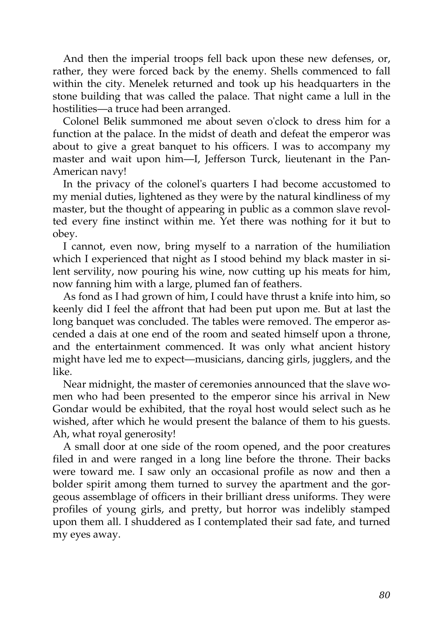And then the imperial troops fell back upon these new defenses, or, rather, they were forced back by the enemy. Shells commenced to fall within the city. Menelek returned and took up his headquarters in the stone building that was called the palace. That night came a lull in the hostilities—a truce had been arranged.

Colonel Belik summoned me about seven o'clock to dress him for a function at the palace. In the midst of death and defeat the emperor was about to give a great banquet to his officers. I was to accompany my master and wait upon him—I, Jefferson Turck, lieutenant in the Pan-American navy!

In the privacy of the colonel's quarters I had become accustomed to my menial duties, lightened as they were by the natural kindliness of my master, but the thought of appearing in public as a common slave revolted every fine instinct within me. Yet there was nothing for it but to obey.

I cannot, even now, bring myself to a narration of the humiliation which I experienced that night as I stood behind my black master in silent servility, now pouring his wine, now cutting up his meats for him, now fanning him with a large, plumed fan of feathers.

As fond as I had grown of him, I could have thrust a knife into him, so keenly did I feel the affront that had been put upon me. But at last the long banquet was concluded. The tables were removed. The emperor ascended a dais at one end of the room and seated himself upon a throne, and the entertainment commenced. It was only what ancient history might have led me to expect—musicians, dancing girls, jugglers, and the like.

Near midnight, the master of ceremonies announced that the slave women who had been presented to the emperor since his arrival in New Gondar would be exhibited, that the royal host would select such as he wished, after which he would present the balance of them to his guests. Ah, what royal generosity!

A small door at one side of the room opened, and the poor creatures filed in and were ranged in a long line before the throne. Their backs were toward me. I saw only an occasional profile as now and then a bolder spirit among them turned to survey the apartment and the gorgeous assemblage of officers in their brilliant dress uniforms. They were profiles of young girls, and pretty, but horror was indelibly stamped upon them all. I shuddered as I contemplated their sad fate, and turned my eyes away.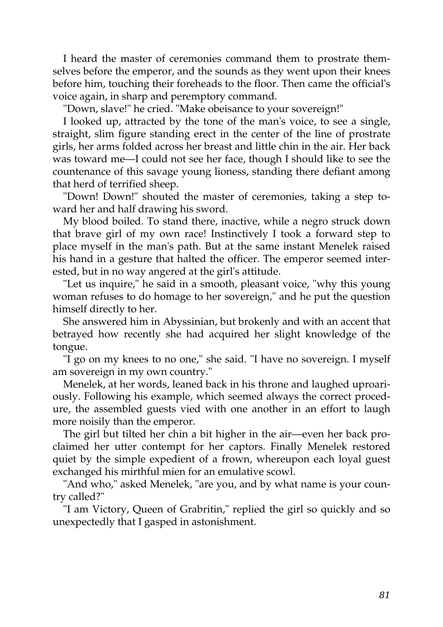I heard the master of ceremonies command them to prostrate themselves before the emperor, and the sounds as they went upon their knees before him, touching their foreheads to the floor. Then came the official's voice again, in sharp and peremptory command.

"Down, slave!" he cried. "Make obeisance to your sovereign!"

I looked up, attracted by the tone of the man's voice, to see a single, straight, slim figure standing erect in the center of the line of prostrate girls, her arms folded across her breast and little chin in the air. Her back was toward me—I could not see her face, though I should like to see the countenance of this savage young lioness, standing there defiant among that herd of terrified sheep.

"Down! Down!" shouted the master of ceremonies, taking a step toward her and half drawing his sword.

My blood boiled. To stand there, inactive, while a negro struck down that brave girl of my own race! Instinctively I took a forward step to place myself in the man's path. But at the same instant Menelek raised his hand in a gesture that halted the officer. The emperor seemed interested, but in no way angered at the girl's attitude.

"Let us inquire," he said in a smooth, pleasant voice, "why this young woman refuses to do homage to her sovereign," and he put the question himself directly to her.

She answered him in Abyssinian, but brokenly and with an accent that betrayed how recently she had acquired her slight knowledge of the tongue.

"I go on my knees to no one," she said. "I have no sovereign. I myself am sovereign in my own country."

Menelek, at her words, leaned back in his throne and laughed uproariously. Following his example, which seemed always the correct procedure, the assembled guests vied with one another in an effort to laugh more noisily than the emperor.

The girl but tilted her chin a bit higher in the air—even her back proclaimed her utter contempt for her captors. Finally Menelek restored quiet by the simple expedient of a frown, whereupon each loyal guest exchanged his mirthful mien for an emulative scowl.

"And who," asked Menelek, "are you, and by what name is your country called?"

"I am Victory, Queen of Grabritin," replied the girl so quickly and so unexpectedly that I gasped in astonishment.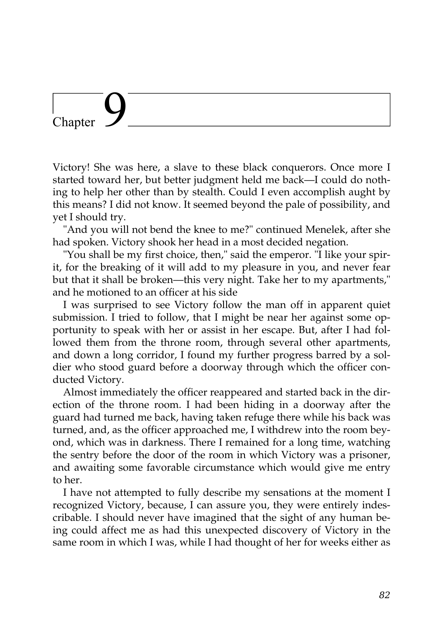## Chapter

Victory! She was here, a slave to these black conquerors. Once more I started toward her, but better judgment held me back—I could do nothing to help her other than by stealth. Could I even accomplish aught by this means? I did not know. It seemed beyond the pale of possibility, and yet I should try.

"And you will not bend the knee to me?" continued Menelek, after she had spoken. Victory shook her head in a most decided negation.

"You shall be my first choice, then," said the emperor. "I like your spirit, for the breaking of it will add to my pleasure in you, and never fear but that it shall be broken—this very night. Take her to my apartments," and he motioned to an officer at his side

I was surprised to see Victory follow the man off in apparent quiet submission. I tried to follow, that I might be near her against some opportunity to speak with her or assist in her escape. But, after I had followed them from the throne room, through several other apartments, and down a long corridor, I found my further progress barred by a soldier who stood guard before a doorway through which the officer conducted Victory.

Almost immediately the officer reappeared and started back in the direction of the throne room. I had been hiding in a doorway after the guard had turned me back, having taken refuge there while his back was turned, and, as the officer approached me, I withdrew into the room beyond, which was in darkness. There I remained for a long time, watching the sentry before the door of the room in which Victory was a prisoner, and awaiting some favorable circumstance which would give me entry to her.

I have not attempted to fully describe my sensations at the moment I recognized Victory, because, I can assure you, they were entirely indescribable. I should never have imagined that the sight of any human being could affect me as had this unexpected discovery of Victory in the same room in which I was, while I had thought of her for weeks either as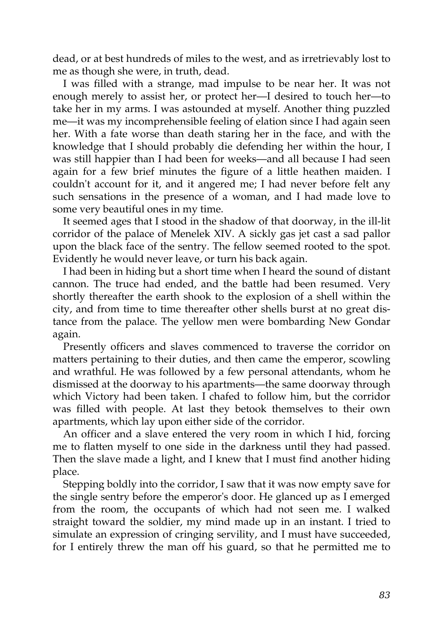dead, or at best hundreds of miles to the west, and as irretrievably lost to me as though she were, in truth, dead.

I was filled with a strange, mad impulse to be near her. It was not enough merely to assist her, or protect her—I desired to touch her—to take her in my arms. I was astounded at myself. Another thing puzzled me—it was my incomprehensible feeling of elation since I had again seen her. With a fate worse than death staring her in the face, and with the knowledge that I should probably die defending her within the hour, I was still happier than I had been for weeks—and all because I had seen again for a few brief minutes the figure of a little heathen maiden. I couldn't account for it, and it angered me; I had never before felt any such sensations in the presence of a woman, and I had made love to some very beautiful ones in my time.

It seemed ages that I stood in the shadow of that doorway, in the ill-lit corridor of the palace of Menelek XIV. A sickly gas jet cast a sad pallor upon the black face of the sentry. The fellow seemed rooted to the spot. Evidently he would never leave, or turn his back again.

I had been in hiding but a short time when I heard the sound of distant cannon. The truce had ended, and the battle had been resumed. Very shortly thereafter the earth shook to the explosion of a shell within the city, and from time to time thereafter other shells burst at no great distance from the palace. The yellow men were bombarding New Gondar again.

Presently officers and slaves commenced to traverse the corridor on matters pertaining to their duties, and then came the emperor, scowling and wrathful. He was followed by a few personal attendants, whom he dismissed at the doorway to his apartments—the same doorway through which Victory had been taken. I chafed to follow him, but the corridor was filled with people. At last they betook themselves to their own apartments, which lay upon either side of the corridor.

An officer and a slave entered the very room in which I hid, forcing me to flatten myself to one side in the darkness until they had passed. Then the slave made a light, and I knew that I must find another hiding place.

Stepping boldly into the corridor, I saw that it was now empty save for the single sentry before the emperor's door. He glanced up as I emerged from the room, the occupants of which had not seen me. I walked straight toward the soldier, my mind made up in an instant. I tried to simulate an expression of cringing servility, and I must have succeeded, for I entirely threw the man off his guard, so that he permitted me to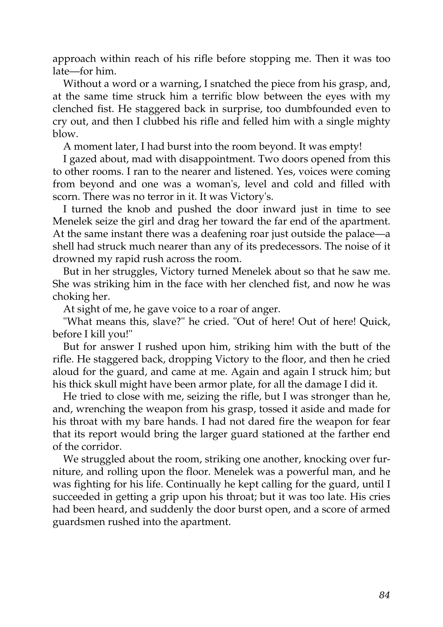approach within reach of his rifle before stopping me. Then it was too late—for him.

Without a word or a warning, I snatched the piece from his grasp, and, at the same time struck him a terrific blow between the eyes with my clenched fist. He staggered back in surprise, too dumbfounded even to cry out, and then I clubbed his rifle and felled him with a single mighty blow.

A moment later, I had burst into the room beyond. It was empty!

I gazed about, mad with disappointment. Two doors opened from this to other rooms. I ran to the nearer and listened. Yes, voices were coming from beyond and one was a woman's, level and cold and filled with scorn. There was no terror in it. It was Victory's.

I turned the knob and pushed the door inward just in time to see Menelek seize the girl and drag her toward the far end of the apartment. At the same instant there was a deafening roar just outside the palace—a shell had struck much nearer than any of its predecessors. The noise of it drowned my rapid rush across the room.

But in her struggles, Victory turned Menelek about so that he saw me. She was striking him in the face with her clenched fist, and now he was choking her.

At sight of me, he gave voice to a roar of anger.

"What means this, slave?" he cried. "Out of here! Out of here! Quick, before I kill you!"

But for answer I rushed upon him, striking him with the butt of the rifle. He staggered back, dropping Victory to the floor, and then he cried aloud for the guard, and came at me. Again and again I struck him; but his thick skull might have been armor plate, for all the damage I did it.

He tried to close with me, seizing the rifle, but I was stronger than he, and, wrenching the weapon from his grasp, tossed it aside and made for his throat with my bare hands. I had not dared fire the weapon for fear that its report would bring the larger guard stationed at the farther end of the corridor.

We struggled about the room, striking one another, knocking over furniture, and rolling upon the floor. Menelek was a powerful man, and he was fighting for his life. Continually he kept calling for the guard, until I succeeded in getting a grip upon his throat; but it was too late. His cries had been heard, and suddenly the door burst open, and a score of armed guardsmen rushed into the apartment.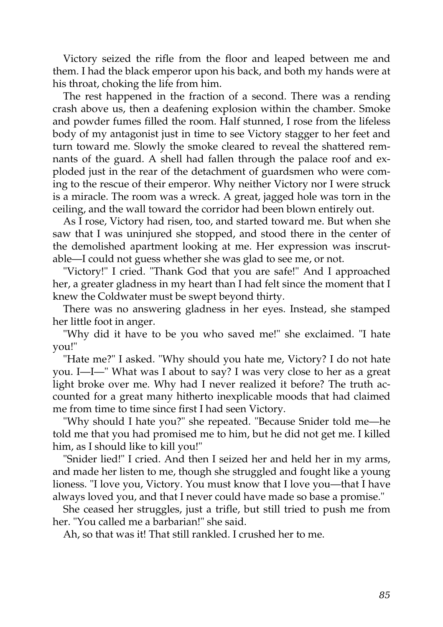Victory seized the rifle from the floor and leaped between me and them. I had the black emperor upon his back, and both my hands were at his throat, choking the life from him.

The rest happened in the fraction of a second. There was a rending crash above us, then a deafening explosion within the chamber. Smoke and powder fumes filled the room. Half stunned, I rose from the lifeless body of my antagonist just in time to see Victory stagger to her feet and turn toward me. Slowly the smoke cleared to reveal the shattered remnants of the guard. A shell had fallen through the palace roof and exploded just in the rear of the detachment of guardsmen who were coming to the rescue of their emperor. Why neither Victory nor I were struck is a miracle. The room was a wreck. A great, jagged hole was torn in the ceiling, and the wall toward the corridor had been blown entirely out.

As I rose, Victory had risen, too, and started toward me. But when she saw that I was uninjured she stopped, and stood there in the center of the demolished apartment looking at me. Her expression was inscrutable—I could not guess whether she was glad to see me, or not.

"Victory!" I cried. "Thank God that you are safe!" And I approached her, a greater gladness in my heart than I had felt since the moment that I knew the Coldwater must be swept beyond thirty.

There was no answering gladness in her eyes. Instead, she stamped her little foot in anger.

"Why did it have to be you who saved me!" she exclaimed. "I hate you!"

"Hate me?" I asked. "Why should you hate me, Victory? I do not hate you. I—I—" What was I about to say? I was very close to her as a great light broke over me. Why had I never realized it before? The truth accounted for a great many hitherto inexplicable moods that had claimed me from time to time since first I had seen Victory.

"Why should I hate you?" she repeated. "Because Snider told me—he told me that you had promised me to him, but he did not get me. I killed him, as I should like to kill you!"

"Snider lied!" I cried. And then I seized her and held her in my arms, and made her listen to me, though she struggled and fought like a young lioness. "I love you, Victory. You must know that I love you—that I have always loved you, and that I never could have made so base a promise."

She ceased her struggles, just a trifle, but still tried to push me from her. "You called me a barbarian!" she said.

Ah, so that was it! That still rankled. I crushed her to me.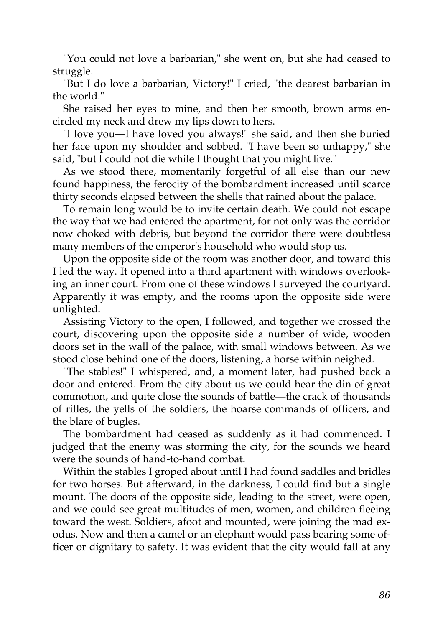"You could not love a barbarian," she went on, but she had ceased to struggle.

"But I do love a barbarian, Victory!" I cried, "the dearest barbarian in the world."

She raised her eyes to mine, and then her smooth, brown arms encircled my neck and drew my lips down to hers.

"I love you—I have loved you always!" she said, and then she buried her face upon my shoulder and sobbed. "I have been so unhappy," she said, "but I could not die while I thought that you might live."

As we stood there, momentarily forgetful of all else than our new found happiness, the ferocity of the bombardment increased until scarce thirty seconds elapsed between the shells that rained about the palace.

To remain long would be to invite certain death. We could not escape the way that we had entered the apartment, for not only was the corridor now choked with debris, but beyond the corridor there were doubtless many members of the emperor's household who would stop us.

Upon the opposite side of the room was another door, and toward this I led the way. It opened into a third apartment with windows overlooking an inner court. From one of these windows I surveyed the courtyard. Apparently it was empty, and the rooms upon the opposite side were unlighted.

Assisting Victory to the open, I followed, and together we crossed the court, discovering upon the opposite side a number of wide, wooden doors set in the wall of the palace, with small windows between. As we stood close behind one of the doors, listening, a horse within neighed.

"The stables!" I whispered, and, a moment later, had pushed back a door and entered. From the city about us we could hear the din of great commotion, and quite close the sounds of battle—the crack of thousands of rifles, the yells of the soldiers, the hoarse commands of officers, and the blare of bugles.

The bombardment had ceased as suddenly as it had commenced. I judged that the enemy was storming the city, for the sounds we heard were the sounds of hand-to-hand combat.

Within the stables I groped about until I had found saddles and bridles for two horses. But afterward, in the darkness, I could find but a single mount. The doors of the opposite side, leading to the street, were open, and we could see great multitudes of men, women, and children fleeing toward the west. Soldiers, afoot and mounted, were joining the mad exodus. Now and then a camel or an elephant would pass bearing some officer or dignitary to safety. It was evident that the city would fall at any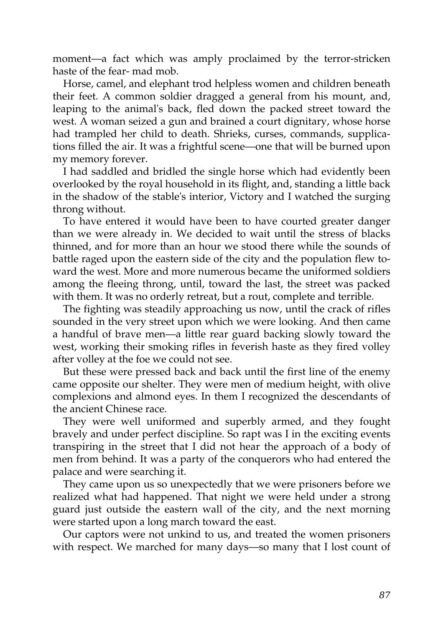moment—a fact which was amply proclaimed by the terror-stricken haste of the fear- mad mob.

Horse, camel, and elephant trod helpless women and children beneath their feet. A common soldier dragged a general from his mount, and, leaping to the animal's back, fled down the packed street toward the west. A woman seized a gun and brained a court dignitary, whose horse had trampled her child to death. Shrieks, curses, commands, supplications filled the air. It was a frightful scene—one that will be burned upon my memory forever.

I had saddled and bridled the single horse which had evidently been overlooked by the royal household in its flight, and, standing a little back in the shadow of the stable's interior, Victory and I watched the surging throng without.

To have entered it would have been to have courted greater danger than we were already in. We decided to wait until the stress of blacks thinned, and for more than an hour we stood there while the sounds of battle raged upon the eastern side of the city and the population flew toward the west. More and more numerous became the uniformed soldiers among the fleeing throng, until, toward the last, the street was packed with them. It was no orderly retreat, but a rout, complete and terrible.

The fighting was steadily approaching us now, until the crack of rifles sounded in the very street upon which we were looking. And then came a handful of brave men—a little rear guard backing slowly toward the west, working their smoking rifles in feverish haste as they fired volley after volley at the foe we could not see.

But these were pressed back and back until the first line of the enemy came opposite our shelter. They were men of medium height, with olive complexions and almond eyes. In them I recognized the descendants of the ancient Chinese race.

They were well uniformed and superbly armed, and they fought bravely and under perfect discipline. So rapt was I in the exciting events transpiring in the street that I did not hear the approach of a body of men from behind. It was a party of the conquerors who had entered the palace and were searching it.

They came upon us so unexpectedly that we were prisoners before we realized what had happened. That night we were held under a strong guard just outside the eastern wall of the city, and the next morning were started upon a long march toward the east.

Our captors were not unkind to us, and treated the women prisoners with respect. We marched for many days—so many that I lost count of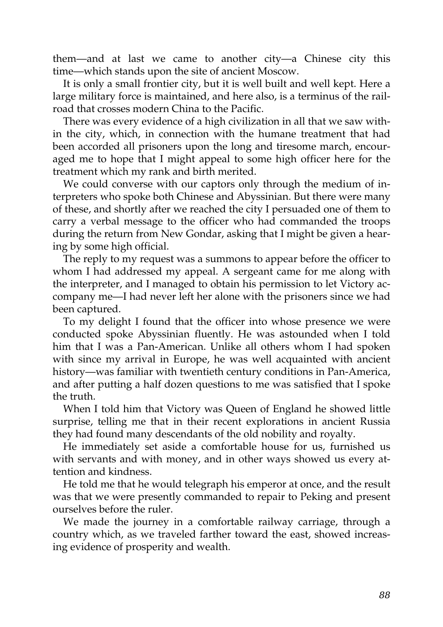them—and at last we came to another city—a Chinese city this time—which stands upon the site of ancient Moscow.

It is only a small frontier city, but it is well built and well kept. Here a large military force is maintained, and here also, is a terminus of the railroad that crosses modern China to the Pacific.

There was every evidence of a high civilization in all that we saw within the city, which, in connection with the humane treatment that had been accorded all prisoners upon the long and tiresome march, encouraged me to hope that I might appeal to some high officer here for the treatment which my rank and birth merited.

We could converse with our captors only through the medium of interpreters who spoke both Chinese and Abyssinian. But there were many of these, and shortly after we reached the city I persuaded one of them to carry a verbal message to the officer who had commanded the troops during the return from New Gondar, asking that I might be given a hearing by some high official.

The reply to my request was a summons to appear before the officer to whom I had addressed my appeal. A sergeant came for me along with the interpreter, and I managed to obtain his permission to let Victory accompany me—I had never left her alone with the prisoners since we had been captured.

To my delight I found that the officer into whose presence we were conducted spoke Abyssinian fluently. He was astounded when I told him that I was a Pan-American. Unlike all others whom I had spoken with since my arrival in Europe, he was well acquainted with ancient history—was familiar with twentieth century conditions in Pan-America, and after putting a half dozen questions to me was satisfied that I spoke the truth.

When I told him that Victory was Queen of England he showed little surprise, telling me that in their recent explorations in ancient Russia they had found many descendants of the old nobility and royalty.

He immediately set aside a comfortable house for us, furnished us with servants and with money, and in other ways showed us every attention and kindness.

He told me that he would telegraph his emperor at once, and the result was that we were presently commanded to repair to Peking and present ourselves before the ruler.

We made the journey in a comfortable railway carriage, through a country which, as we traveled farther toward the east, showed increasing evidence of prosperity and wealth.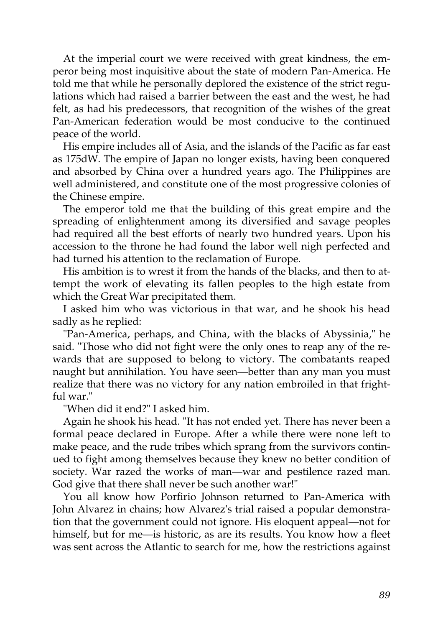At the imperial court we were received with great kindness, the emperor being most inquisitive about the state of modern Pan-America. He told me that while he personally deplored the existence of the strict regulations which had raised a barrier between the east and the west, he had felt, as had his predecessors, that recognition of the wishes of the great Pan-American federation would be most conducive to the continued peace of the world.

His empire includes all of Asia, and the islands of the Pacific as far east as 175dW. The empire of Japan no longer exists, having been conquered and absorbed by China over a hundred years ago. The Philippines are well administered, and constitute one of the most progressive colonies of the Chinese empire.

The emperor told me that the building of this great empire and the spreading of enlightenment among its diversified and savage peoples had required all the best efforts of nearly two hundred years. Upon his accession to the throne he had found the labor well nigh perfected and had turned his attention to the reclamation of Europe.

His ambition is to wrest it from the hands of the blacks, and then to attempt the work of elevating its fallen peoples to the high estate from which the Great War precipitated them.

I asked him who was victorious in that war, and he shook his head sadly as he replied:

"Pan-America, perhaps, and China, with the blacks of Abyssinia," he said. "Those who did not fight were the only ones to reap any of the rewards that are supposed to belong to victory. The combatants reaped naught but annihilation. You have seen—better than any man you must realize that there was no victory for any nation embroiled in that frightful war."

"When did it end?" I asked him.

Again he shook his head. "It has not ended yet. There has never been a formal peace declared in Europe. After a while there were none left to make peace, and the rude tribes which sprang from the survivors continued to fight among themselves because they knew no better condition of society. War razed the works of man—war and pestilence razed man. God give that there shall never be such another war!"

You all know how Porfirio Johnson returned to Pan-America with John Alvarez in chains; how Alvarez's trial raised a popular demonstration that the government could not ignore. His eloquent appeal—not for himself, but for me—is historic, as are its results. You know how a fleet was sent across the Atlantic to search for me, how the restrictions against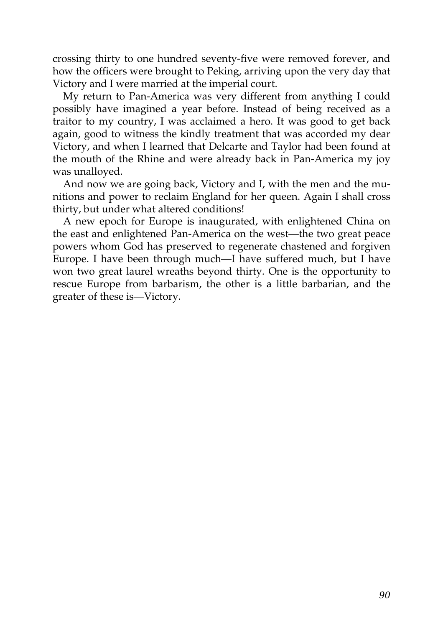crossing thirty to one hundred seventy-five were removed forever, and how the officers were brought to Peking, arriving upon the very day that Victory and I were married at the imperial court.

My return to Pan-America was very different from anything I could possibly have imagined a year before. Instead of being received as a traitor to my country, I was acclaimed a hero. It was good to get back again, good to witness the kindly treatment that was accorded my dear Victory, and when I learned that Delcarte and Taylor had been found at the mouth of the Rhine and were already back in Pan-America my joy was unalloyed.

And now we are going back, Victory and I, with the men and the munitions and power to reclaim England for her queen. Again I shall cross thirty, but under what altered conditions!

A new epoch for Europe is inaugurated, with enlightened China on the east and enlightened Pan-America on the west—the two great peace powers whom God has preserved to regenerate chastened and forgiven Europe. I have been through much—I have suffered much, but I have won two great laurel wreaths beyond thirty. One is the opportunity to rescue Europe from barbarism, the other is a little barbarian, and the greater of these is—Victory.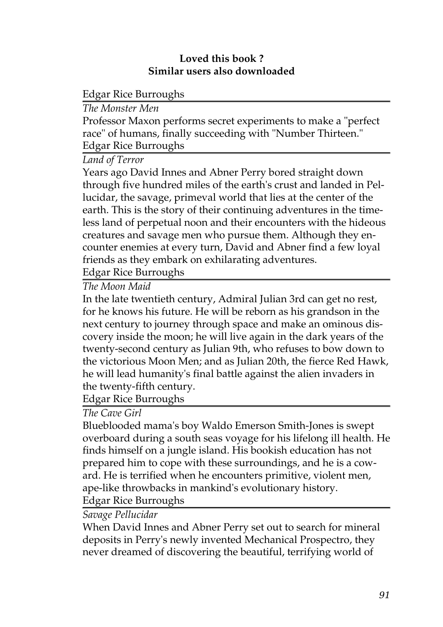## **Loved this book ? Similar users also downloaded**

Edgar Rice Burroughs

*[The Monster Men](http://generation.feedbooks.com/book/855.pdf)*

Professor Maxon performs secret experiments to make a "perfect race" of humans, finally succeeding with "Number Thirteen." Edgar Rice Burroughs

*[Land of Terror](http://generation.feedbooks.com/book/1228.pdf)*

Years ago David Innes and Abner Perry bored straight down through five hundred miles of the earth's crust and landed in Pellucidar, the savage, primeval world that lies at the center of the earth. This is the story of their continuing adventures in the timeless land of perpetual noon and their encounters with the hideous creatures and savage men who pursue them. Although they encounter enemies at every turn, David and Abner find a few loyal friends as they embark on exhilarating adventures.

Edgar Rice Burroughs

*[The Moon Maid](http://generation.feedbooks.com/book/1223.pdf)*

In the late twentieth century, Admiral Julian 3rd can get no rest, for he knows his future. He will be reborn as his grandson in the next century to journey through space and make an ominous discovery inside the moon; he will live again in the dark years of the twenty-second century as Julian 9th, who refuses to bow down to the victorious Moon Men; and as Julian 20th, the fierce Red Hawk, he will lead humanity's final battle against the alien invaders in the twenty-fifth century.

Edgar Rice Burroughs

*[The Cave Girl](http://generation.feedbooks.com/book/141.pdf)*

Blueblooded mama's boy Waldo Emerson Smith-Jones is swept overboard during a south seas voyage for his lifelong ill health. He finds himself on a jungle island. His bookish education has not prepared him to cope with these surroundings, and he is a coward. He is terrified when he encounters primitive, violent men, ape-like throwbacks in mankind's evolutionary history.

Edgar Rice Burroughs

*[Savage Pellucidar](http://generation.feedbooks.com/book/1229.pdf)*

When David Innes and Abner Perry set out to search for mineral deposits in Perry's newly invented Mechanical Prospectro, they never dreamed of discovering the beautiful, terrifying world of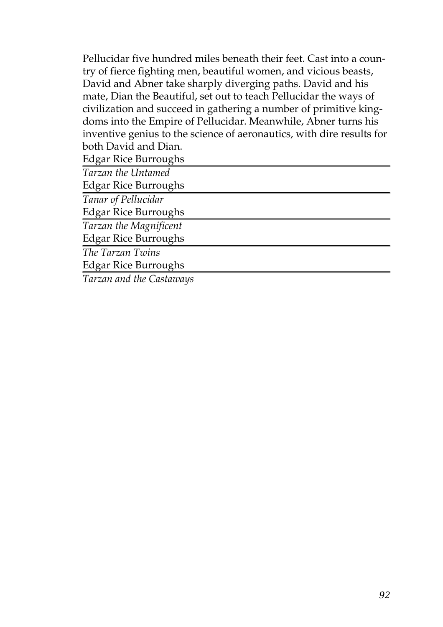Pellucidar five hundred miles beneath their feet. Cast into a country of fierce fighting men, beautiful women, and vicious beasts, David and Abner take sharply diverging paths. David and his mate, Dian the Beautiful, set out to teach Pellucidar the ways of civilization and succeed in gathering a number of primitive kingdoms into the Empire of Pellucidar. Meanwhile, Abner turns his inventive genius to the science of aeronautics, with dire results for both David and Dian.

Edgar Rice Burroughs

*[Tarzan the Untamed](http://generation.feedbooks.com/book/949.pdf)*

Edgar Rice Burroughs

*[Tanar of Pellucidar](http://generation.feedbooks.com/book/1226.pdf)*

Edgar Rice Burroughs

*[Tarzan the Magnificent](http://generation.feedbooks.com/book/1444.pdf)*

Edgar Rice Burroughs

*[The Tarzan Twins](http://generation.feedbooks.com/book/1431.pdf)*

Edgar Rice Burroughs

*[Tarzan and the Castaways](http://generation.feedbooks.com/book/1446.pdf)*